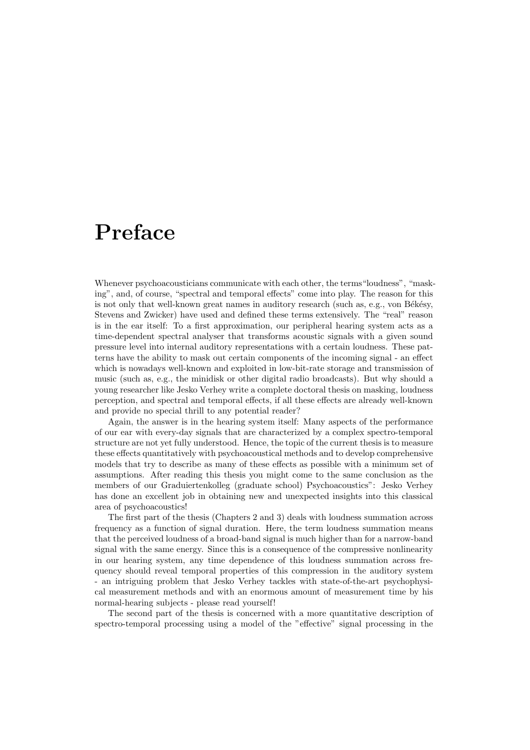# **Preface**

Whenever psychoacousticians communicate with each other, the terms "loudness", "masking", and, of course, "spectral and temporal effects" come into play. The reason for this is not only that well-known great names in auditory research (such as, e.g., von Békésy, Stevens and Zwicker) have used and defined these terms extensively. The "real" reason is in the ear itself: To a first approximation, our peripheral hearing system acts as a time-dependent spectral analyser that transforms acoustic signals with a given sound pressure level into internal auditory representations with a certain loudness. These patterns have the ability to mask out certain components of the incoming signal - an effect which is nowadays well-known and exploited in low-bit-rate storage and transmission of music (such as, e.g., the minidisk or other digital radio broadcasts). But why should a young researcher like Jesko Verhey write a complete doctoral thesis on masking, loudness perception, and spectral and temporal effects, if all these effects are already well-known and provide no special thrill to any potential reader?

Again, the answer is in the hearing system itself: Many aspects of the performance of our ear with every-day signals that are characterized by a complex spectro-temporal structure are not yet fully understood. Hence, the topic of the current thesis is to measure these effects quantitatively with psychoacoustical methods and to develop comprehensive models that try to describe as many of these effects as possible with a minimum set of assumptions. After reading this thesis you might come to the same conclusion as the members of our Graduiertenkolleg (graduate school) Psychoacoustics": Jesko Verhey has done an excellent job in obtaining new and unexpected insights into this classical area of psychoacoustics!

The first part of the thesis (Chapters 2 and 3) deals with loudness summation across frequency as a function of signal duration. Here, the term loudness summation means that the perceived loudness of a broad-band signal is much higher than for a narrow-band signal with the same energy. Since this is a consequence of the compressive nonlinearity in our hearing system, any time dependence of this loudness summation across frequency should reveal temporal properties of this compression in the auditory system - an intriguing problem that Jesko Verhey tackles with state-of-the-art psychophysical measurement methods and with an enormous amount of measurement time by his normal-hearing subjects - please read yourself!

The second part of the thesis is concerned with a more quantitative description of spectro-temporal processing using a model of the "effective" signal processing in the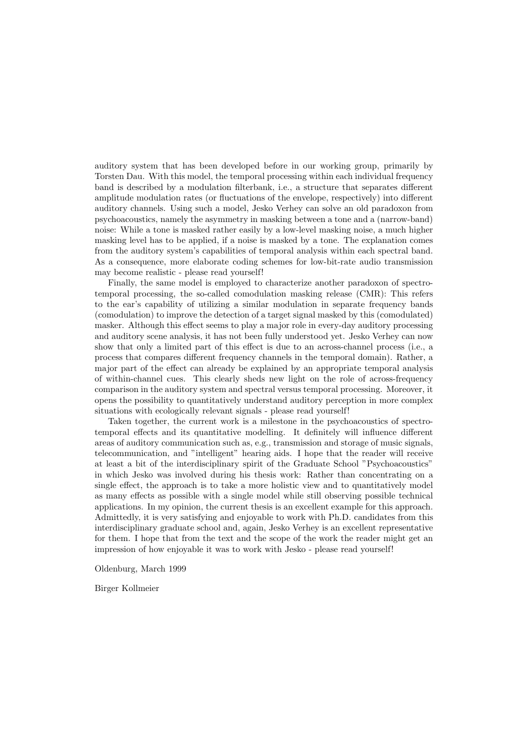auditory system that has been developed before in our working group, primarily by Torsten Dau. With this model, the temporal processing within each individual frequency band is described by a modulation filterbank, i.e., a structure that separates different amplitude modulation rates (or fluctuations of the envelope, respectively) into different auditory channels. Using such a model, Jesko Verhey can solve an old paradoxon from psychoacoustics, namely the asymmetry in masking between a tone and a (narrow-band) noise: While a tone is masked rather easily by a low-level masking noise, a much higher masking level has to be applied, if a noise is masked by a tone. The explanation comes from the auditory system's capabilities of temporal analysis within each spectral band. As a consequence, more elaborate coding schemes for low-bit-rate audio transmission may become realistic - please read yourself!

Finally, the same model is employed to characterize another paradoxon of spectrotemporal processing, the so-called comodulation masking release (CMR): This refers to the ear's capability of utilizing a similar modulation in separate frequency bands (comodulation) to improve the detection of a target signal masked by this (comodulated) masker. Although this effect seems to play a major role in every-day auditory processing and auditory scene analysis, it has not been fully understood yet. Jesko Verhey can now show that only a limited part of this effect is due to an across-channel process (i.e., a process that compares different frequency channels in the temporal domain). Rather, a major part of the effect can already be explained by an appropriate temporal analysis of within-channel cues. This clearly sheds new light on the role of across-frequency comparison in the auditory system and spectral versus temporal processing. Moreover, it opens the possibility to quantitatively understand auditory perception in more complex situations with ecologically relevant signals - please read yourself!

Taken together, the current work is a milestone in the psychoacoustics of spectrotemporal effects and its quantitative modelling. It definitely will influence different areas of auditory communication such as, e.g., transmission and storage of music signals, telecommunication, and "intelligent" hearing aids. I hope that the reader will receive at least a bit of the interdisciplinary spirit of the Graduate School "Psychoacoustics" in which Jesko was involved during his thesis work: Rather than concentrating on a single effect, the approach is to take a more holistic view and to quantitatively model as many effects as possible with a single model while still observing possible technical applications. In my opinion, the current thesis is an excellent example for this approach. Admittedly, it is very satisfying and enjoyable to work with Ph.D. candidates from this interdisciplinary graduate school and, again, Jesko Verhey is an excellent representative for them. I hope that from the text and the scope of the work the reader might get an impression of how enjoyable it was to work with Jesko - please read yourself!

Oldenburg, March 1999

Birger Kollmeier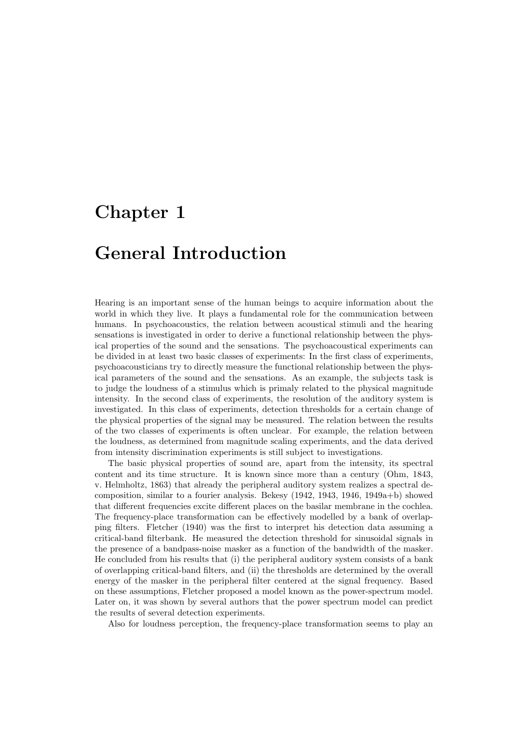# **Chapter 1**

## **General Introduction**

Hearing is an important sense of the human beings to acquire information about the world in which they live. It plays a fundamental role for the communication between humans. In psychoacoustics, the relation between acoustical stimuli and the hearing sensations is investigated in order to derive a functional relationship between the physical properties of the sound and the sensations. The psychoacoustical experiments can be divided in at least two basic classes of experiments: In the first class of experiments, psychoacousticians try to directly measure the functional relationship between the physical parameters of the sound and the sensations. As an example, the subjects task is to judge the loudness of a stimulus which is primaly related to the physical magnitude intensity. In the second class of experiments, the resolution of the auditory system is investigated. In this class of experiments, detection thresholds for a certain change of the physical properties of the signal may be measured. The relation between the results of the two classes of experiments is often unclear. For example, the relation between the loudness, as determined from magnitude scaling experiments, and the data derived from intensity discrimination experiments is still subject to investigations.

The basic physical properties of sound are, apart from the intensity, its spectral content and its time structure. It is known since more than a century (Ohm, 1843, v. Helmholtz, 1863) that already the peripheral auditory system realizes a spectral decomposition, similar to a fourier analysis. Bekesy (1942, 1943, 1946, 1949a+b) showed that different frequencies excite different places on the basilar membrane in the cochlea. The frequency-place transformation can be effectively modelled by a bank of overlapping filters. Fletcher (1940) was the first to interpret his detection data assuming a critical-band filterbank. He measured the detection threshold for sinusoidal signals in the presence of a bandpass-noise masker as a function of the bandwidth of the masker. He concluded from his results that (i) the peripheral auditory system consists of a bank of overlapping critical-band filters, and (ii) the thresholds are determined by the overall energy of the masker in the peripheral filter centered at the signal frequency. Based on these assumptions, Fletcher proposed a model known as the power-spectrum model. Later on, it was shown by several authors that the power spectrum model can predict the results of several detection experiments.

Also for loudness perception, the frequency-place transformation seems to play an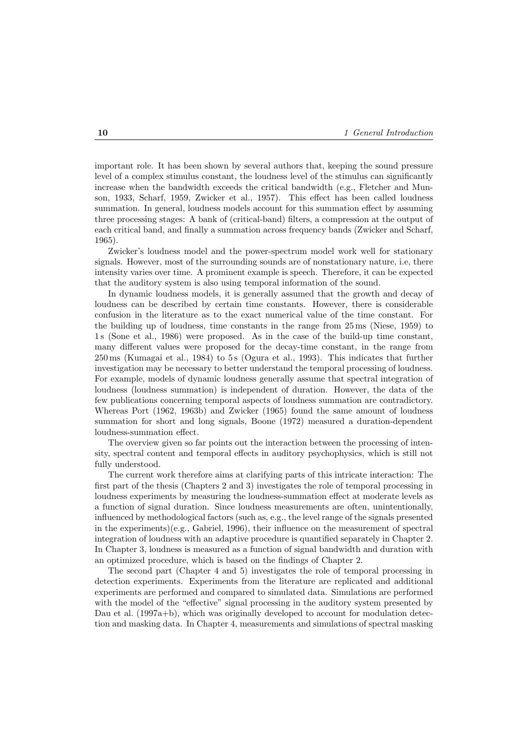important role. It has been shown by several authors that, keeping the sound pressure level of a complex stimulus constant, the loudness level of the stimulus can significantly increase when the bandwidth exceeds the critical bandwidth (e.g., Fletcher and Munson, 1933, Scharf, 1959, Zwicker et al., 1957). This effect has been called loudness summation. In general, loudness models account for this summation effect by assuming three processing stages: A bank of (critical-band) filters, a compression at the output of each critical band, and finally a summation across frequency bands (Zwicker and Scharf, 1965).

Zwicker's loudness model and the power-spectrum model work well for stationary signals. However, most of the surrounding sounds are of nonstationary nature, i.e, there intensity varies over time. A prominent example is speech. Therefore, it can be expected that the auditory system is also using temporal information of the sound.

In dynamic loudness models, it is generally assumed that the growth and decay of loudness can be described by certain time constants. However, there is considerable confusion in the literature as to the exact numerical value of the time constant. For the building up of loudness, time constants in the range from 25 ms (Niese, 1959) to 1 s (Sone et al., 1986) were proposed. As in the case of the build-up time constant, many different values were proposed for the decay-time constant, in the range from 250 ms (Kumagai et al., 1984) to 5 s (Ogura et al., 1993). This indicates that further investigation may be necessary to better understand the temporal processing of loudness. For example, models of dynamic loudness generally assume that spectral integration of loudness (loudness summation) is independent of duration. However, the data of the few publications concerning temporal aspects of loudness summation are contradictory. Whereas Port (1962, 1963b) and Zwicker (1965) found the same amount of loudness summation for short and long signals, Boone (1972) measured a duration-dependent loudness-summation effect.

The overview given so far points out the interaction between the processing of intensity, spectral content and temporal effects in auditory psychophysics, which is still not fully understood.

The current work therefore aims at clarifying parts of this intricate interaction: The first part of the thesis (Chapters 2 and 3) investigates the role of temporal processing in loudness experiments by measuring the loudness-summation effect at moderate levels as a function of signal duration. Since loudness measurements are often, unintentionally, influenced by methodological factors (such as, e.g., the level range of the signals presented in the experiments)(e.g., Gabriel, 1996), their influence on the measurement of spectral integration of loudness with an adaptive procedure is quantified separately in Chapter 2. In Chapter 3, loudness is measured as a function of signal bandwidth and duration with an optimized procedure, which is based on the findings of Chapter 2.

The second part (Chapter 4 and 5) investigates the role of temporal processing in detection experiments. Experiments from the literature are replicated and additional experiments are performed and compared to simulated data. Simulations are performed with the model of the "effective" signal processing in the auditory system presented by Dau et al. (1997a+b), which was originally developed to account for modulation detection and masking data. In Chapter 4, measurements and simulations of spectral masking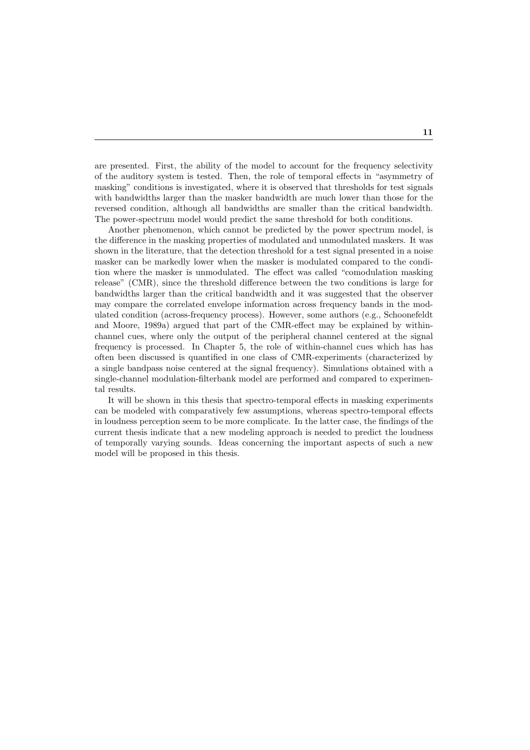are presented. First, the ability of the model to account for the frequency selectivity of the auditory system is tested. Then, the role of temporal effects in "asymmetry of masking" conditions is investigated, where it is observed that thresholds for test signals with bandwidths larger than the masker bandwidth are much lower than those for the reversed condition, although all bandwidths are smaller than the critical bandwidth. The power-spectrum model would predict the same threshold for both conditions.

Another phenomenon, which cannot be predicted by the power spectrum model, is the difference in the masking properties of modulated and unmodulated maskers. It was shown in the literature, that the detection threshold for a test signal presented in a noise masker can be markedly lower when the masker is modulated compared to the condition where the masker is unmodulated. The effect was called "comodulation masking release" (CMR), since the threshold difference between the two conditions is large for bandwidths larger than the critical bandwidth and it was suggested that the observer may compare the correlated envelope information across frequency bands in the modulated condition (across-frequency process). However, some authors (e.g., Schoonefeldt and Moore, 1989a) argued that part of the CMR-effect may be explained by withinchannel cues, where only the output of the peripheral channel centered at the signal frequency is processed. In Chapter 5, the role of within-channel cues which has has often been discussed is quantified in one class of CMR-experiments (characterized by a single bandpass noise centered at the signal frequency). Simulations obtained with a single-channel modulation-filterbank model are performed and compared to experimental results.

It will be shown in this thesis that spectro-temporal effects in masking experiments can be modeled with comparatively few assumptions, whereas spectro-temporal effects in loudness perception seem to be more complicate. In the latter case, the findings of the current thesis indicate that a new modeling approach is needed to predict the loudness of temporally varying sounds. Ideas concerning the important aspects of such a new model will be proposed in this thesis.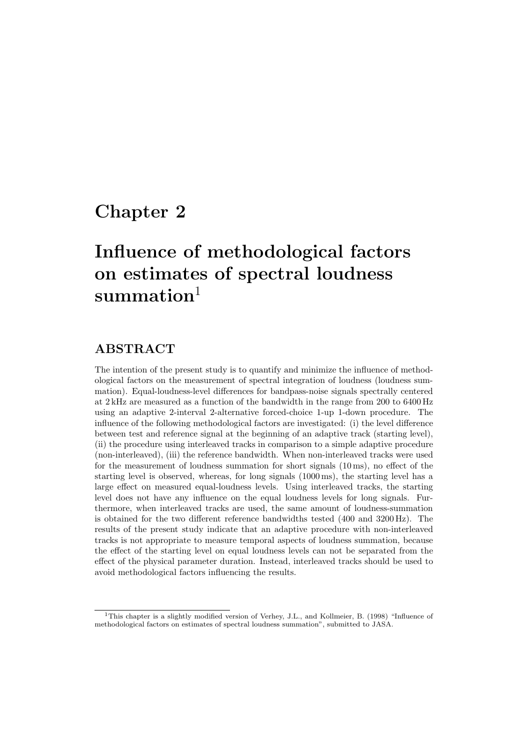## **Chapter 2**

# **Influence of methodological factors on estimates of spectral loudness summation**<sup>1</sup>

## **ABSTRACT**

The intention of the present study is to quantify and minimize the influence of methodological factors on the measurement of spectral integration of loudness (loudness summation). Equal-loudness-level differences for bandpass-noise signals spectrally centered at 2 kHz are measured as a function of the bandwidth in the range from 200 to 6400 Hz using an adaptive 2-interval 2-alternative forced-choice 1-up 1-down procedure. The influence of the following methodological factors are investigated: (i) the level difference between test and reference signal at the beginning of an adaptive track (starting level), (ii) the procedure using interleaved tracks in comparison to a simple adaptive procedure (non-interleaved), (iii) the reference bandwidth. When non-interleaved tracks were used for the measurement of loudness summation for short signals (10 ms), no effect of the starting level is observed, whereas, for long signals (1000 ms), the starting level has a large effect on measured equal-loudness levels. Using interleaved tracks, the starting level does not have any influence on the equal loudness levels for long signals. Furthermore, when interleaved tracks are used, the same amount of loudness-summation is obtained for the two different reference bandwidths tested (400 and 3200 Hz). The results of the present study indicate that an adaptive procedure with non-interleaved tracks is not appropriate to measure temporal aspects of loudness summation, because the effect of the starting level on equal loudness levels can not be separated from the effect of the physical parameter duration. Instead, interleaved tracks should be used to avoid methodological factors influencing the results.

<sup>&</sup>lt;sup>1</sup>This chapter is a slightly modified version of Verhey, J.L., and Kollmeier, B. (1998) "Influence of methodological factors on estimates of spectral loudness summation", submitted to JASA.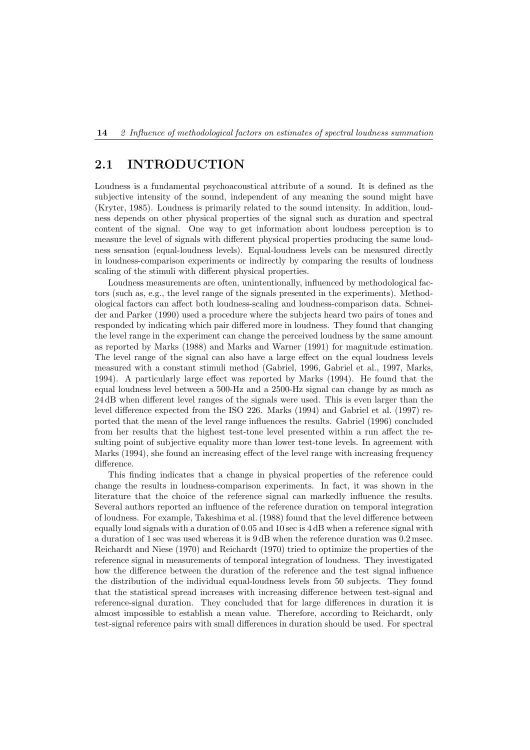## **2.1 INTRODUCTION**

Loudness is a fundamental psychoacoustical attribute of a sound. It is defined as the subjective intensity of the sound, independent of any meaning the sound might have (Kryter, 1985). Loudness is primarily related to the sound intensity. In addition, loudness depends on other physical properties of the signal such as duration and spectral content of the signal. One way to get information about loudness perception is to measure the level of signals with different physical properties producing the same loudness sensation (equal-loudness levels). Equal-loudness levels can be measured directly in loudness-comparison experiments or indirectly by comparing the results of loudness scaling of the stimuli with different physical properties.

Loudness measurements are often, unintentionally, influenced by methodological factors (such as, e.g., the level range of the signals presented in the experiments). Methodological factors can affect both loudness-scaling and loudness-comparison data. Schneider and Parker (1990) used a procedure where the subjects heard two pairs of tones and responded by indicating which pair differed more in loudness. They found that changing the level range in the experiment can change the perceived loudness by the same amount as reported by Marks (1988) and Marks and Warner (1991) for magnitude estimation. The level range of the signal can also have a large effect on the equal loudness levels measured with a constant stimuli method (Gabriel, 1996, Gabriel et al., 1997, Marks, 1994). A particularly large effect was reported by Marks (1994). He found that the equal loudness level between a 500-Hz and a 2500-Hz signal can change by as much as 24 dB when different level ranges of the signals were used. This is even larger than the level difference expected from the ISO 226. Marks (1994) and Gabriel et al. (1997) reported that the mean of the level range influences the results. Gabriel (1996) concluded from her results that the highest test-tone level presented within a run affect the resulting point of subjective equality more than lower test-tone levels. In agreement with Marks (1994), she found an increasing effect of the level range with increasing frequency difference.

This finding indicates that a change in physical properties of the reference could change the results in loudness-comparison experiments. In fact, it was shown in the literature that the choice of the reference signal can markedly influence the results. Several authors reported an influence of the reference duration on temporal integration of loudness. For example, Takeshima et al. (1988) found that the level difference between equally loud signals with a duration of 0.05 and 10 sec is 4 dB when a reference signal with a duration of 1 sec was used whereas it is 9 dB when the reference duration was 0.2 msec. Reichardt and Niese (1970) and Reichardt (1970) tried to optimize the properties of the reference signal in measurements of temporal integration of loudness. They investigated how the difference between the duration of the reference and the test signal influence the distribution of the individual equal-loudness levels from 50 subjects. They found that the statistical spread increases with increasing difference between test-signal and reference-signal duration. They concluded that for large differences in duration it is almost impossible to establish a mean value. Therefore, according to Reichardt, only test-signal reference pairs with small differences in duration should be used. For spectral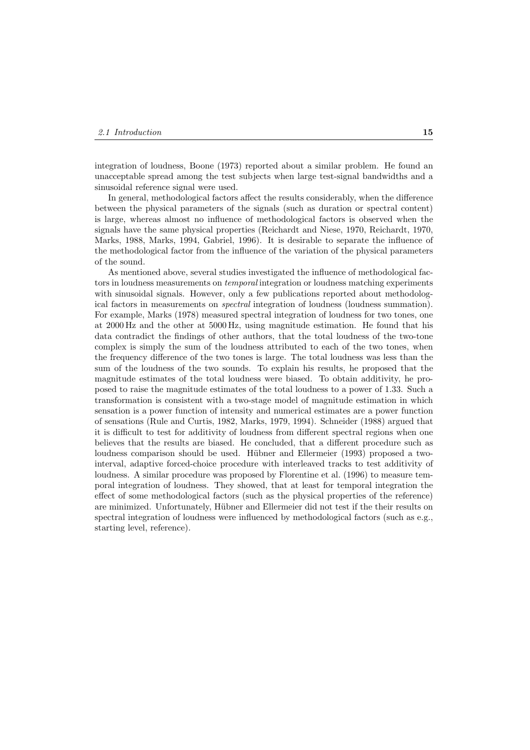integration of loudness, Boone (1973) reported about a similar problem. He found an unacceptable spread among the test subjects when large test-signal bandwidths and a sinusoidal reference signal were used.

In general, methodological factors affect the results considerably, when the difference between the physical parameters of the signals (such as duration or spectral content) is large, whereas almost no influence of methodological factors is observed when the signals have the same physical properties (Reichardt and Niese, 1970, Reichardt, 1970, Marks, 1988, Marks, 1994, Gabriel, 1996). It is desirable to separate the influence of the methodological factor from the influence of the variation of the physical parameters of the sound.

As mentioned above, several studies investigated the influence of methodological factors in loudness measurements on *temporal* integration or loudness matching experiments with sinusoidal signals. However, only a few publications reported about methodological factors in measurements on *spectral* integration of loudness (loudness summation). For example, Marks (1978) measured spectral integration of loudness for two tones, one at 2000 Hz and the other at 5000 Hz, using magnitude estimation. He found that his data contradict the findings of other authors, that the total loudness of the two-tone complex is simply the sum of the loudness attributed to each of the two tones, when the frequency difference of the two tones is large. The total loudness was less than the sum of the loudness of the two sounds. To explain his results, he proposed that the magnitude estimates of the total loudness were biased. To obtain additivity, he proposed to raise the magnitude estimates of the total loudness to a power of 1.33. Such a transformation is consistent with a two-stage model of magnitude estimation in which sensation is a power function of intensity and numerical estimates are a power function of sensations (Rule and Curtis, 1982, Marks, 1979, 1994). Schneider (1988) argued that it is difficult to test for additivity of loudness from different spectral regions when one believes that the results are biased. He concluded, that a different procedure such as loudness comparison should be used. Hübner and Ellermeier (1993) proposed a twointerval, adaptive forced-choice procedure with interleaved tracks to test additivity of loudness. A similar procedure was proposed by Florentine et al. (1996) to measure temporal integration of loudness. They showed, that at least for temporal integration the effect of some methodological factors (such as the physical properties of the reference) are minimized. Unfortunately, Hübner and Ellermeier did not test if the their results on spectral integration of loudness were influenced by methodological factors (such as e.g., starting level, reference).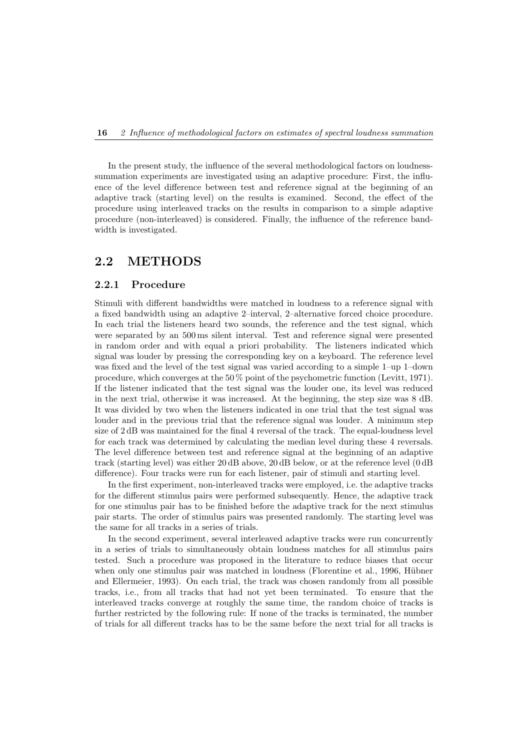In the present study, the influence of the several methodological factors on loudnesssummation experiments are investigated using an adaptive procedure: First, the influence of the level difference between test and reference signal at the beginning of an adaptive track (starting level) on the results is examined. Second, the effect of the procedure using interleaved tracks on the results in comparison to a simple adaptive procedure (non-interleaved) is considered. Finally, the influence of the reference bandwidth is investigated.

## **2.2 METHODS**

#### **2.2.1 Procedure**

Stimuli with different bandwidths were matched in loudness to a reference signal with a fixed bandwidth using an adaptive 2–interval, 2–alternative forced choice procedure. In each trial the listeners heard two sounds, the reference and the test signal, which were separated by an 500 ms silent interval. Test and reference signal were presented in random order and with equal a priori probability. The listeners indicated which signal was louder by pressing the corresponding key on a keyboard. The reference level was fixed and the level of the test signal was varied according to a simple 1–up 1–down procedure, which converges at the 50 % point of the psychometric function (Levitt, 1971). If the listener indicated that the test signal was the louder one, its level was reduced in the next trial, otherwise it was increased. At the beginning, the step size was 8 dB. It was divided by two when the listeners indicated in one trial that the test signal was louder and in the previous trial that the reference signal was louder. A minimum step size of 2 dB was maintained for the final 4 reversal of the track. The equal-loudness level for each track was determined by calculating the median level during these 4 reversals. The level difference between test and reference signal at the beginning of an adaptive track (starting level) was either 20 dB above, 20 dB below, or at the reference level (0 dB difference). Four tracks were run for each listener, pair of stimuli and starting level.

In the first experiment, non-interleaved tracks were employed, i.e. the adaptive tracks for the different stimulus pairs were performed subsequently. Hence, the adaptive track for one stimulus pair has to be finished before the adaptive track for the next stimulus pair starts. The order of stimulus pairs was presented randomly. The starting level was the same for all tracks in a series of trials.

In the second experiment, several interleaved adaptive tracks were run concurrently in a series of trials to simultaneously obtain loudness matches for all stimulus pairs tested. Such a procedure was proposed in the literature to reduce biases that occur when only one stimulus pair was matched in loudness (Florentine et al., 1996, Hübner and Ellermeier, 1993). On each trial, the track was chosen randomly from all possible tracks, i.e., from all tracks that had not yet been terminated. To ensure that the interleaved tracks converge at roughly the same time, the random choice of tracks is further restricted by the following rule: If none of the tracks is terminated, the number of trials for all different tracks has to be the same before the next trial for all tracks is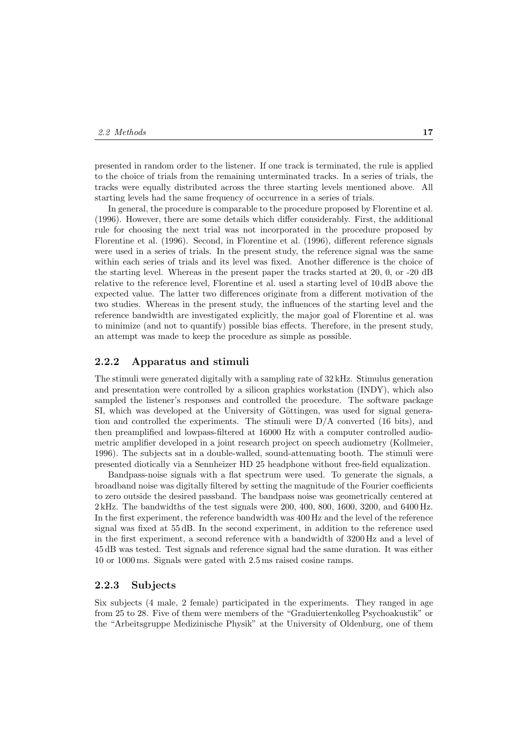presented in random order to the listener. If one track is terminated, the rule is applied to the choice of trials from the remaining unterminated tracks. In a series of trials, the tracks were equally distributed across the three starting levels mentioned above. All starting levels had the same frequency of occurrence in a series of trials.

In general, the procedure is comparable to the procedure proposed by Florentine et al. (1996). However, there are some details which differ considerably. First, the additional rule for choosing the next trial was not incorporated in the procedure proposed by Florentine et al. (1996). Second, in Florentine et al. (1996), different reference signals were used in a series of trials. In the present study, the reference signal was the same within each series of trials and its level was fixed. Another difference is the choice of the starting level. Whereas in the present paper the tracks started at 20, 0, or -20 dB relative to the reference level, Florentine et al. used a starting level of 10 dB above the expected value. The latter two differences originate from a different motivation of the two studies. Whereas in the present study, the influences of the starting level and the reference bandwidth are investigated explicitly, the major goal of Florentine et al. was to minimize (and not to quantify) possible bias effects. Therefore, in the present study, an attempt was made to keep the procedure as simple as possible.

#### **2.2.2 Apparatus and stimuli**

The stimuli were generated digitally with a sampling rate of 32 kHz. Stimulus generation and presentation were controlled by a silicon graphics workstation (INDY), which also sampled the listener's responses and controlled the procedure. The software package SI, which was developed at the University of Göttingen, was used for signal generation and controlled the experiments. The stimuli were  $D/A$  converted (16 bits), and then preamplified and lowpass-filtered at 16000 Hz with a computer controlled audiometric amplifier developed in a joint research project on speech audiometry (Kollmeier, 1996). The subjects sat in a double-walled, sound-attenuating booth. The stimuli were presented diotically via a Sennheizer HD 25 headphone without free-field equalization.

Bandpass-noise signals with a flat spectrum were used. To generate the signals, a broadband noise was digitally filtered by setting the magnitude of the Fourier coefficients to zero outside the desired passband. The bandpass noise was geometrically centered at 2 kHz. The bandwidths of the test signals were 200, 400, 800, 1600, 3200, and 6400 Hz. In the first experiment, the reference bandwidth was 400 Hz and the level of the reference signal was fixed at 55 dB. In the second experiment, in addition to the reference used in the first experiment, a second reference with a bandwidth of 3200 Hz and a level of 45 dB was tested. Test signals and reference signal had the same duration. It was either 10 or 1000 ms. Signals were gated with 2.5 ms raised cosine ramps.

### **2.2.3 Subjects**

Six subjects (4 male, 2 female) participated in the experiments. They ranged in age from 25 to 28. Five of them were members of the "Graduiertenkolleg Psychoakustik" or the "Arbeitsgruppe Medizinische Physik" at the University of Oldenburg, one of them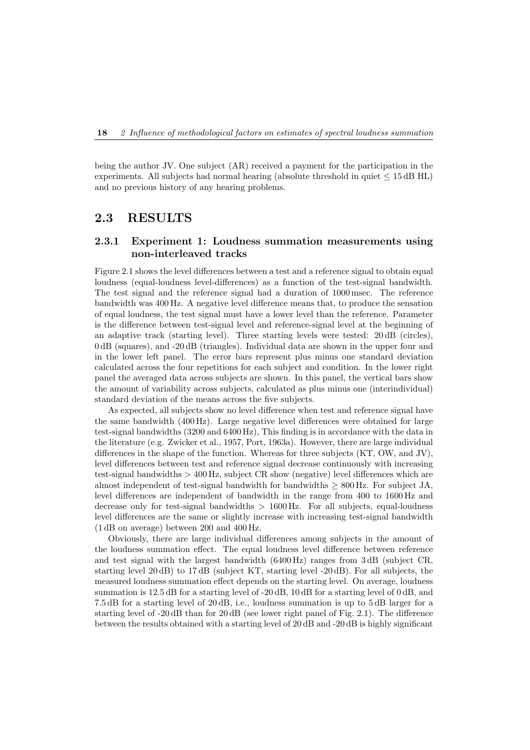being the author JV. One subject (AR) received a payment for the participation in the experiments. All subjects had normal hearing (absolute threshold in quiet  $\leq 15 \text{ dB HL}$ ) and no previous history of any hearing problems.

## **2.3 RESULTS**

## **2.3.1 Experiment 1: Loudness summation measurements using non-interleaved tracks**

Figure 2.1 shows the level differences between a test and a reference signal to obtain equal loudness (equal-loudness level-differences) as a function of the test-signal bandwidth. The test signal and the reference signal had a duration of 1000 msec. The reference bandwidth was 400 Hz. A negative level difference means that, to produce the sensation of equal loudness, the test signal must have a lower level than the reference. Parameter is the difference between test-signal level and reference-signal level at the beginning of an adaptive track (starting level). Three starting levels were tested: 20 dB (circles), 0 dB (squares), and -20 dB (triangles). Individual data are shown in the upper four and in the lower left panel. The error bars represent plus minus one standard deviation calculated across the four repetitions for each subject and condition. In the lower right panel the averaged data across subjects are shown. In this panel, the vertical bars show the amount of variability across subjects, calculated as plus minus one (interindividual) standard deviation of the means across the five subjects.

As expected, all subjects show no level difference when test and reference signal have the same bandwidth (400 Hz). Large negative level differences were obtained for large test-signal bandwidths (3200 and 6400 Hz), This finding is in accordance with the data in the literature (e.g. Zwicker et al., 1957, Port, 1963a). However, there are large individual differences in the shape of the function. Whereas for three subjects (KT, OW, and JV), level differences between test and reference signal decrease continuously with increasing test-signal bandwidths > 400 Hz, subject CR show (negative) level differences which are almost independent of test-signal bandwidth for bandwidths  $> 800$  Hz. For subject JA, level differences are independent of bandwidth in the range from 400 to 1600 Hz and decrease only for test-signal bandwidths  $> 1600$  Hz. For all subjects, equal-loudness level differences are the same or slightly increase with increasing test-signal bandwidth (1 dB on average) between 200 and 400 Hz.

Obviously, there are large individual differences among subjects in the amount of the loudness summation effect. The equal loudness level difference between reference and test signal with the largest bandwidth (6400 Hz) ranges from 3 dB (subject CR, starting level 20 dB) to 17 dB (subject KT, starting level -20 dB). For all subjects, the measured loudness summation effect depends on the starting level. On average, loudness summation is  $12.5 \text{ dB}$  for a starting level of -20 dB, 10 dB for a starting level of 0 dB, and 7.5 dB for a starting level of 20 dB, i.e., loudness summation is up to 5 dB larger for a starting level of -20 dB than for 20 dB (see lower right panel of Fig. 2.1). The difference between the results obtained with a starting level of 20 dB and -20 dB is highly significant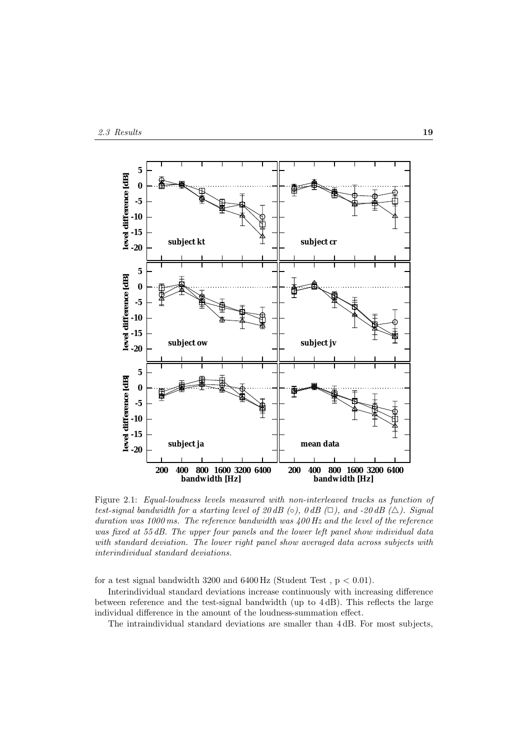

Figure 2.1: *Equal-loudness levels measured with non-interleaved tracks as function of test-signal bandwidth for a starting level of 20 dB (* $\circ$ *), 0 dB (* $\Box$ *), and -20 dB (* $\triangle$ *). Signal duration was 1000 ms. The reference bandwidth was 400 Hz and the level of the reference was fixed at 55 dB. The upper four panels and the lower left panel show individual data with standard deviation. The lower right panel show averaged data across subjects with interindividual standard deviations.*

for a test signal bandwidth  $3200$  and  $6400$  Hz (Student Test,  $p < 0.01$ ).

Interindividual standard deviations increase continuously with increasing difference between reference and the test-signal bandwidth (up to 4 dB). This reflects the large individual difference in the amount of the loudness-summation effect.

The intraindividual standard deviations are smaller than 4 dB. For most subjects,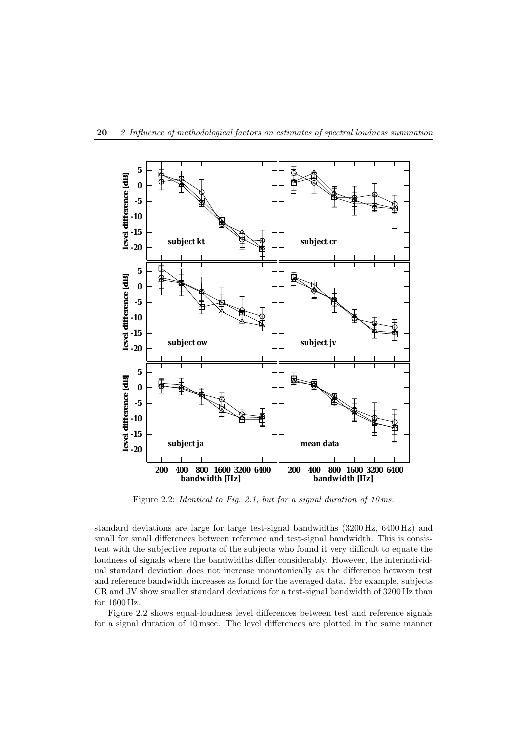

Figure 2.2: *Identical to Fig. 2.1, but for a signal duration of 10 ms.*

standard deviations are large for large test-signal bandwidths (3200 Hz, 6400 Hz) and small for small differences between reference and test-signal bandwidth. This is consistent with the subjective reports of the subjects who found it very difficult to equate the loudness of signals where the bandwidths differ considerably. However, the interindividual standard deviation does not increase monotonically as the difference between test and reference bandwidth increases as found for the averaged data. For example, subjects CR and JV show smaller standard deviations for a test-signal bandwidth of 3200 Hz than for 1600 Hz.

Figure 2.2 shows equal-loudness level differences between test and reference signals for a signal duration of 10 msec. The level differences are plotted in the same manner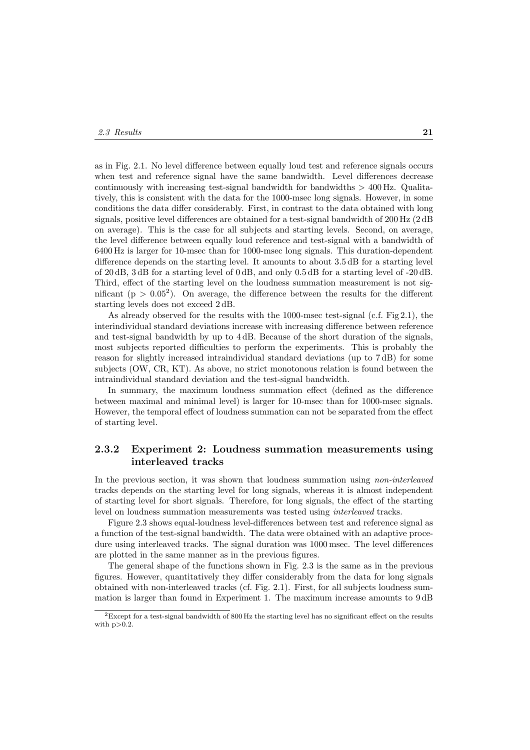as in Fig. 2.1. No level difference between equally loud test and reference signals occurs when test and reference signal have the same bandwidth. Level differences decrease continuously with increasing test-signal bandwidth for bandwidths  $>$  400 Hz. Qualitatively, this is consistent with the data for the 1000-msec long signals. However, in some conditions the data differ considerably. First, in contrast to the data obtained with long signals, positive level differences are obtained for a test-signal bandwidth of 200 Hz (2 dB on average). This is the case for all subjects and starting levels. Second, on average, the level difference between equally loud reference and test-signal with a bandwidth of 6400 Hz is larger for 10-msec than for 1000-msec long signals. This duration-dependent difference depends on the starting level. It amounts to about 3.5 dB for a starting level of 20 dB, 3 dB for a starting level of 0 dB, and only 0.5 dB for a starting level of -20 dB. Third, effect of the starting level on the loudness summation measurement is not significant  $(p > 0.05^2)$ . On average, the difference between the results for the different starting levels does not exceed 2 dB.

As already observed for the results with the 1000-msec test-signal (c.f. Fig 2.1), the interindividual standard deviations increase with increasing difference between reference and test-signal bandwidth by up to 4 dB. Because of the short duration of the signals, most subjects reported difficulties to perform the experiments. This is probably the reason for slightly increased intraindividual standard deviations (up to 7 dB) for some subjects (OW, CR, KT). As above, no strict monotonous relation is found between the intraindividual standard deviation and the test-signal bandwidth.

In summary, the maximum loudness summation effect (defined as the difference between maximal and minimal level) is larger for 10-msec than for 1000-msec signals. However, the temporal effect of loudness summation can not be separated from the effect of starting level.

## **2.3.2 Experiment 2: Loudness summation measurements using interleaved tracks**

In the previous section, it was shown that loudness summation using *non-interleaved* tracks depends on the starting level for long signals, whereas it is almost independent of starting level for short signals. Therefore, for long signals, the effect of the starting level on loudness summation measurements was tested using *interleaved* tracks.

Figure 2.3 shows equal-loudness level-differences between test and reference signal as a function of the test-signal bandwidth. The data were obtained with an adaptive procedure using interleaved tracks. The signal duration was 1000 msec. The level differences are plotted in the same manner as in the previous figures.

The general shape of the functions shown in Fig. 2.3 is the same as in the previous figures. However, quantitatively they differ considerably from the data for long signals obtained with non-interleaved tracks (cf. Fig. 2.1). First, for all subjects loudness summation is larger than found in Experiment 1. The maximum increase amounts to 9 dB

 ${}^{2}$ Except for a test-signal bandwidth of 800 Hz the starting level has no significant effect on the results with  $p>0.2$ .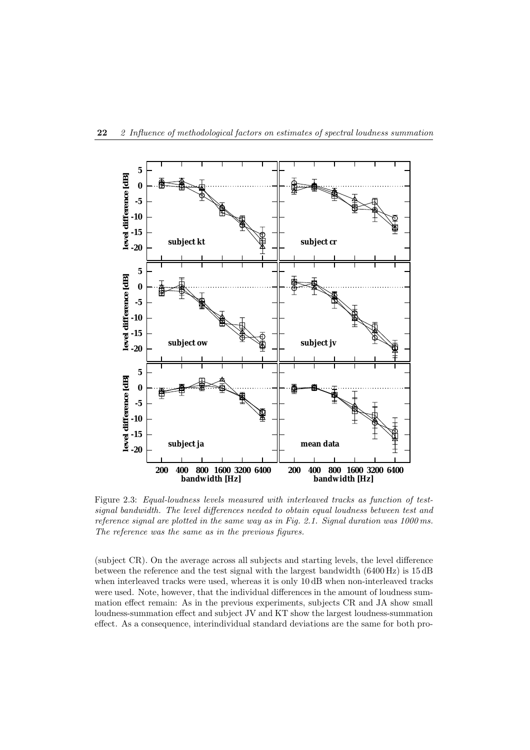

Figure 2.3: *Equal-loudness levels measured with interleaved tracks as function of testsignal bandwidth. The level differences needed to obtain equal loudness between test and reference signal are plotted in the same way as in Fig. 2.1. Signal duration was 1000 ms. The reference was the same as in the previous figures.*

(subject CR). On the average across all subjects and starting levels, the level difference between the reference and the test signal with the largest bandwidth (6400 Hz) is 15 dB when interleaved tracks were used, whereas it is only 10 dB when non-interleaved tracks were used. Note, however, that the individual differences in the amount of loudness summation effect remain: As in the previous experiments, subjects CR and JA show small loudness-summation effect and subject JV and KT show the largest loudness-summation effect. As a consequence, interindividual standard deviations are the same for both pro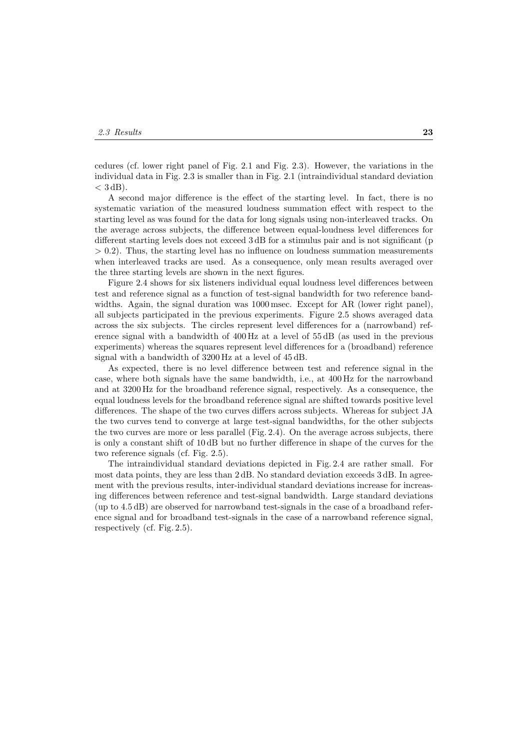cedures (cf. lower right panel of Fig. 2.1 and Fig. 2.3). However, the variations in the individual data in Fig. 2.3 is smaller than in Fig. 2.1 (intraindividual standard deviation  $<$  3 dB).

A second major difference is the effect of the starting level. In fact, there is no systematic variation of the measured loudness summation effect with respect to the starting level as was found for the data for long signals using non-interleaved tracks. On the average across subjects, the difference between equal-loudness level differences for different starting levels does not exceed 3 dB for a stimulus pair and is not significant (p  $> 0.2$ ). Thus, the starting level has no influence on loudness summation measurements when interleaved tracks are used. As a consequence, only mean results averaged over the three starting levels are shown in the next figures.

Figure 2.4 shows for six listeners individual equal loudness level differences between test and reference signal as a function of test-signal bandwidth for two reference bandwidths. Again, the signal duration was 1000 msec. Except for AR (lower right panel), all subjects participated in the previous experiments. Figure 2.5 shows averaged data across the six subjects. The circles represent level differences for a (narrowband) reference signal with a bandwidth of 400 Hz at a level of 55 dB (as used in the previous experiments) whereas the squares represent level differences for a (broadband) reference signal with a bandwidth of 3200 Hz at a level of 45 dB.

As expected, there is no level difference between test and reference signal in the case, where both signals have the same bandwidth, i.e., at 400 Hz for the narrowband and at 3200 Hz for the broadband reference signal, respectively. As a consequence, the equal loudness levels for the broadband reference signal are shifted towards positive level differences. The shape of the two curves differs across subjects. Whereas for subject JA the two curves tend to converge at large test-signal bandwidths, for the other subjects the two curves are more or less parallel (Fig. 2.4). On the average across subjects, there is only a constant shift of 10 dB but no further difference in shape of the curves for the two reference signals (cf. Fig. 2.5).

The intraindividual standard deviations depicted in Fig. 2.4 are rather small. For most data points, they are less than 2 dB. No standard deviation exceeds 3 dB. In agreement with the previous results, inter-individual standard deviations increase for increasing differences between reference and test-signal bandwidth. Large standard deviations (up to 4.5 dB) are observed for narrowband test-signals in the case of a broadband reference signal and for broadband test-signals in the case of a narrowband reference signal, respectively (cf. Fig. 2.5).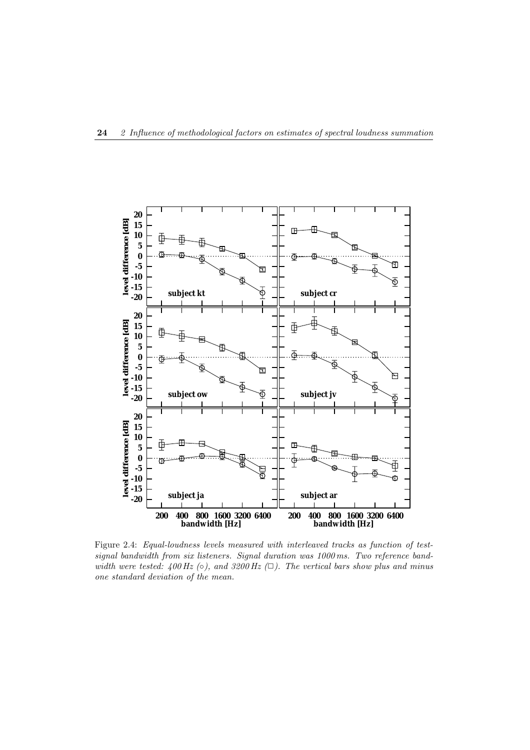

Figure 2.4: *Equal-loudness levels measured with interleaved tracks as function of testsignal bandwidth from six listeners. Signal duration was 1000 ms. Two reference bandwidth were tested: 400 Hz* (○*), and 3200 Hz* (□*). The vertical bars show plus and minus one standard deviation of the mean.*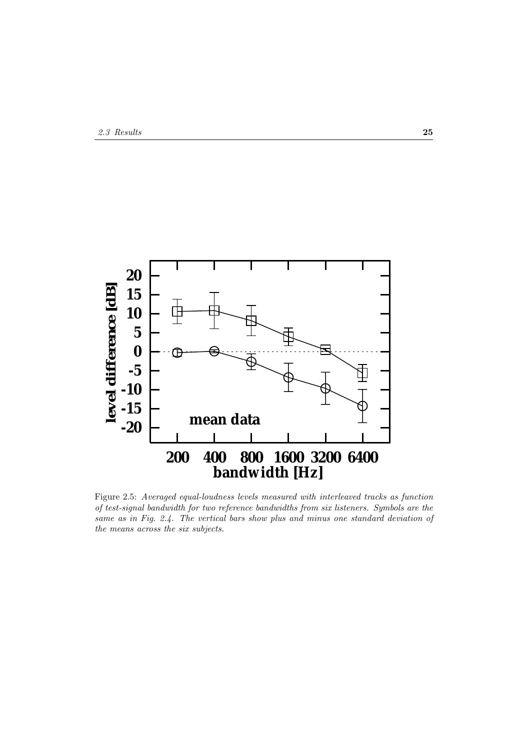

Figure 2.5: *Averaged equal-loudness levels measured with interleaved tracks as function of test-signal bandwidth for two reference bandwidths from six listeners. Symbols are the same as in Fig. 2.4. The vertical bars show plus and minus one standard deviation of the means across the six subjects.*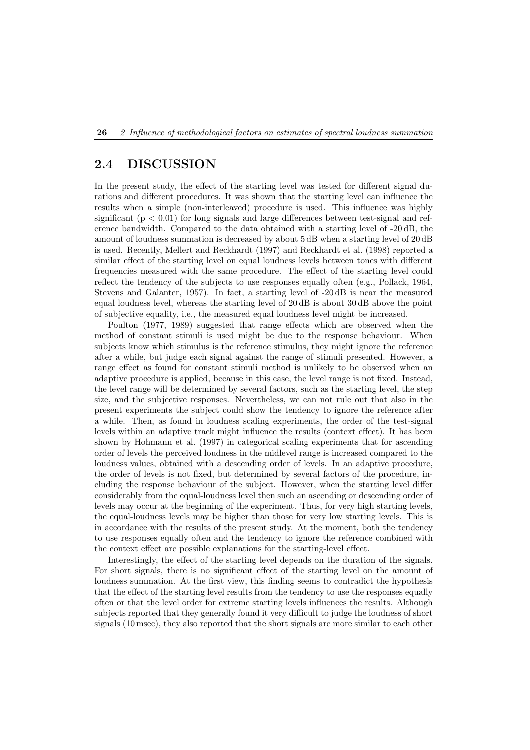## **2.4 DISCUSSION**

In the present study, the effect of the starting level was tested for different signal durations and different procedures. It was shown that the starting level can influence the results when a simple (non-interleaved) procedure is used. This influence was highly significant  $(p < 0.01)$  for long signals and large differences between test-signal and reference bandwidth. Compared to the data obtained with a starting level of -20 dB, the amount of loudness summation is decreased by about 5 dB when a starting level of 20 dB is used. Recently, Mellert and Reckhardt (1997) and Reckhardt et al. (1998) reported a similar effect of the starting level on equal loudness levels between tones with different frequencies measured with the same procedure. The effect of the starting level could reflect the tendency of the subjects to use responses equally often (e.g., Pollack, 1964, Stevens and Galanter, 1957). In fact, a starting level of -20 dB is near the measured equal loudness level, whereas the starting level of 20 dB is about 30 dB above the point of subjective equality, i.e., the measured equal loudness level might be increased.

Poulton (1977, 1989) suggested that range effects which are observed when the method of constant stimuli is used might be due to the response behaviour. When subjects know which stimulus is the reference stimulus, they might ignore the reference after a while, but judge each signal against the range of stimuli presented. However, a range effect as found for constant stimuli method is unlikely to be observed when an adaptive procedure is applied, because in this case, the level range is not fixed. Instead, the level range will be determined by several factors, such as the starting level, the step size, and the subjective responses. Nevertheless, we can not rule out that also in the present experiments the subject could show the tendency to ignore the reference after a while. Then, as found in loudness scaling experiments, the order of the test-signal levels within an adaptive track might influence the results (context effect). It has been shown by Hohmann et al. (1997) in categorical scaling experiments that for ascending order of levels the perceived loudness in the midlevel range is increased compared to the loudness values, obtained with a descending order of levels. In an adaptive procedure, the order of levels is not fixed, but determined by several factors of the procedure, including the response behaviour of the subject. However, when the starting level differ considerably from the equal-loudness level then such an ascending or descending order of levels may occur at the beginning of the experiment. Thus, for very high starting levels, the equal-loudness levels may be higher than those for very low starting levels. This is in accordance with the results of the present study. At the moment, both the tendency to use responses equally often and the tendency to ignore the reference combined with the context effect are possible explanations for the starting-level effect.

Interestingly, the effect of the starting level depends on the duration of the signals. For short signals, there is no significant effect of the starting level on the amount of loudness summation. At the first view, this finding seems to contradict the hypothesis that the effect of the starting level results from the tendency to use the responses equally often or that the level order for extreme starting levels influences the results. Although subjects reported that they generally found it very difficult to judge the loudness of short signals (10 msec), they also reported that the short signals are more similar to each other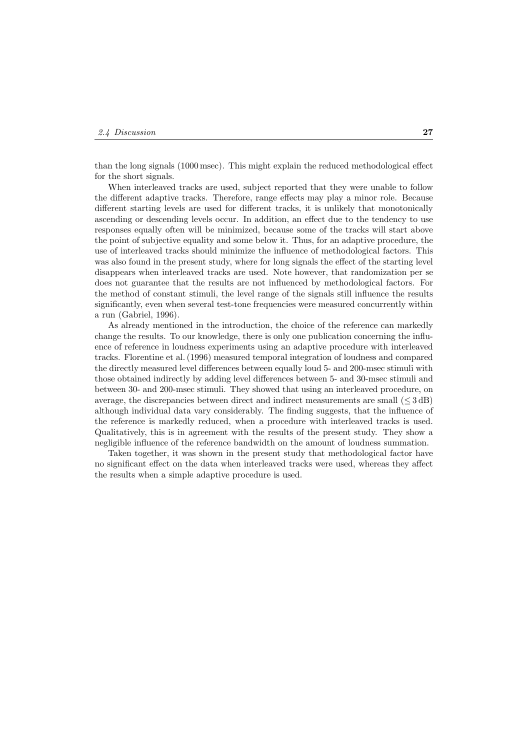than the long signals (1000 msec). This might explain the reduced methodological effect for the short signals.

When interleaved tracks are used, subject reported that they were unable to follow the different adaptive tracks. Therefore, range effects may play a minor role. Because different starting levels are used for different tracks, it is unlikely that monotonically ascending or descending levels occur. In addition, an effect due to the tendency to use responses equally often will be minimized, because some of the tracks will start above the point of subjective equality and some below it. Thus, for an adaptive procedure, the use of interleaved tracks should minimize the influence of methodological factors. This was also found in the present study, where for long signals the effect of the starting level disappears when interleaved tracks are used. Note however, that randomization per se does not guarantee that the results are not influenced by methodological factors. For the method of constant stimuli, the level range of the signals still influence the results significantly, even when several test-tone frequencies were measured concurrently within a run (Gabriel, 1996).

As already mentioned in the introduction, the choice of the reference can markedly change the results. To our knowledge, there is only one publication concerning the influence of reference in loudness experiments using an adaptive procedure with interleaved tracks. Florentine et al. (1996) measured temporal integration of loudness and compared the directly measured level differences between equally loud 5- and 200-msec stimuli with those obtained indirectly by adding level differences between 5- and 30-msec stimuli and between 30- and 200-msec stimuli. They showed that using an interleaved procedure, on average, the discrepancies between direct and indirect measurements are small  $(\leq 3 \text{ dB})$ although individual data vary considerably. The finding suggests, that the influence of the reference is markedly reduced, when a procedure with interleaved tracks is used. Qualitatively, this is in agreement with the results of the present study. They show a negligible influence of the reference bandwidth on the amount of loudness summation.

Taken together, it was shown in the present study that methodological factor have no significant effect on the data when interleaved tracks were used, whereas they affect the results when a simple adaptive procedure is used.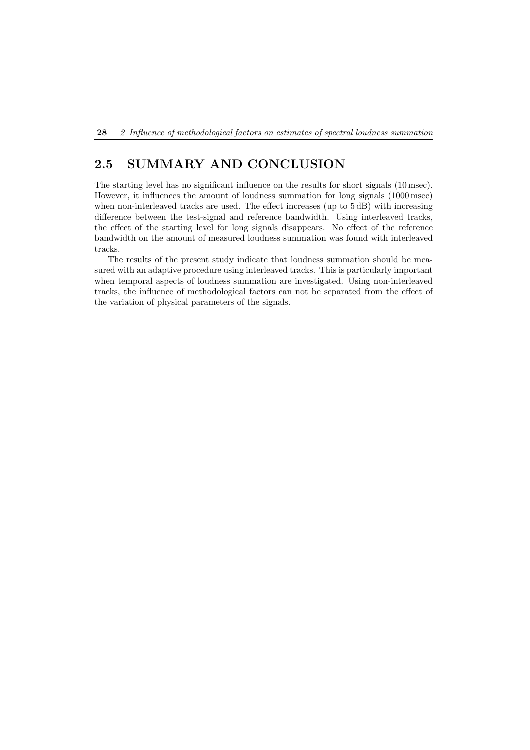## **2.5 SUMMARY AND CONCLUSION**

The starting level has no significant influence on the results for short signals (10 msec). However, it influences the amount of loudness summation for long signals (1000 msec) when non-interleaved tracks are used. The effect increases (up to  $5 \text{ dB}$ ) with increasing difference between the test-signal and reference bandwidth. Using interleaved tracks, the effect of the starting level for long signals disappears. No effect of the reference bandwidth on the amount of measured loudness summation was found with interleaved tracks.

The results of the present study indicate that loudness summation should be measured with an adaptive procedure using interleaved tracks. This is particularly important when temporal aspects of loudness summation are investigated. Using non-interleaved tracks, the influence of methodological factors can not be separated from the effect of the variation of physical parameters of the signals.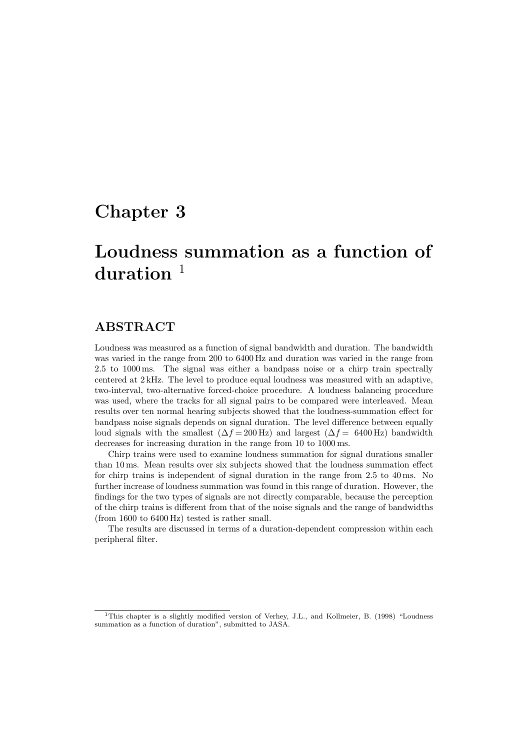## **Chapter 3**

# **Loudness summation as a function of** duration<sup>1</sup>

## **ABSTRACT**

Loudness was measured as a function of signal bandwidth and duration. The bandwidth was varied in the range from 200 to 6400 Hz and duration was varied in the range from 2.5 to 1000 ms. The signal was either a bandpass noise or a chirp train spectrally centered at 2 kHz. The level to produce equal loudness was measured with an adaptive, two-interval, two-alternative forced-choice procedure. A loudness balancing procedure was used, where the tracks for all signal pairs to be compared were interleaved. Mean results over ten normal hearing subjects showed that the loudness-summation effect for bandpass noise signals depends on signal duration. The level difference between equally loud signals with the smallest  $(\Delta f = 200 \text{ Hz})$  and largest  $(\Delta f = 6400 \text{ Hz})$  bandwidth decreases for increasing duration in the range from 10 to 1000 ms.

Chirp trains were used to examine loudness summation for signal durations smaller than 10 ms. Mean results over six subjects showed that the loudness summation effect for chirp trains is independent of signal duration in the range from 2.5 to 40 ms. No further increase of loudness summation was found in this range of duration. However, the findings for the two types of signals are not directly comparable, because the perception of the chirp trains is different from that of the noise signals and the range of bandwidths (from 1600 to 6400 Hz) tested is rather small.

The results are discussed in terms of a duration-dependent compression within each peripheral filter.

<sup>&</sup>lt;sup>1</sup>This chapter is a slightly modified version of Verhey, J.L., and Kollmeier, B. (1998) "Loudness summation as a function of duration", submitted to JASA.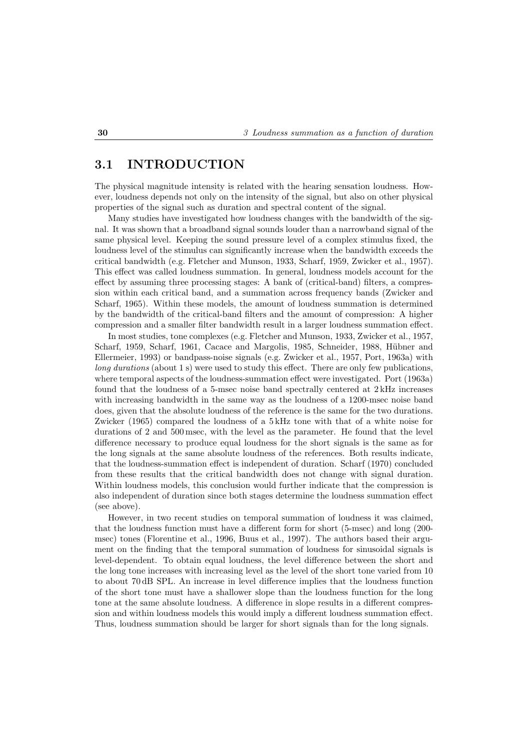## **3.1 INTRODUCTION**

The physical magnitude intensity is related with the hearing sensation loudness. However, loudness depends not only on the intensity of the signal, but also on other physical properties of the signal such as duration and spectral content of the signal.

Many studies have investigated how loudness changes with the bandwidth of the signal. It was shown that a broadband signal sounds louder than a narrowband signal of the same physical level. Keeping the sound pressure level of a complex stimulus fixed, the loudness level of the stimulus can significantly increase when the bandwidth exceeds the critical bandwidth (e.g. Fletcher and Munson, 1933, Scharf, 1959, Zwicker et al., 1957). This effect was called loudness summation. In general, loudness models account for the effect by assuming three processing stages: A bank of (critical-band) filters, a compression within each critical band, and a summation across frequency bands (Zwicker and Scharf, 1965). Within these models, the amount of loudness summation is determined by the bandwidth of the critical-band filters and the amount of compression: A higher compression and a smaller filter bandwidth result in a larger loudness summation effect.

In most studies, tone complexes (e.g. Fletcher and Munson, 1933, Zwicker et al., 1957, Scharf, 1959, Scharf, 1961, Cacace and Margolis, 1985, Schneider, 1988, Hübner and Ellermeier, 1993) or bandpass-noise signals (e.g. Zwicker et al., 1957, Port, 1963a) with *long durations* (about 1 s) were used to study this effect. There are only few publications, where temporal aspects of the loudness-summation effect were investigated. Port (1963a) found that the loudness of a 5-msec noise band spectrally centered at 2 kHz increases with increasing bandwidth in the same way as the loudness of a 1200-msec noise band does, given that the absolute loudness of the reference is the same for the two durations. Zwicker (1965) compared the loudness of a 5 kHz tone with that of a white noise for durations of 2 and 500 msec, with the level as the parameter. He found that the level difference necessary to produce equal loudness for the short signals is the same as for the long signals at the same absolute loudness of the references. Both results indicate, that the loudness-summation effect is independent of duration. Scharf (1970) concluded from these results that the critical bandwidth does not change with signal duration. Within loudness models, this conclusion would further indicate that the compression is also independent of duration since both stages determine the loudness summation effect (see above).

However, in two recent studies on temporal summation of loudness it was claimed, that the loudness function must have a different form for short (5-msec) and long (200 msec) tones (Florentine et al., 1996, Buus et al., 1997). The authors based their argument on the finding that the temporal summation of loudness for sinusoidal signals is level-dependent. To obtain equal loudness, the level difference between the short and the long tone increases with increasing level as the level of the short tone varied from 10 to about 70 dB SPL. An increase in level difference implies that the loudness function of the short tone must have a shallower slope than the loudness function for the long tone at the same absolute loudness. A difference in slope results in a different compression and within loudness models this would imply a different loudness summation effect. Thus, loudness summation should be larger for short signals than for the long signals.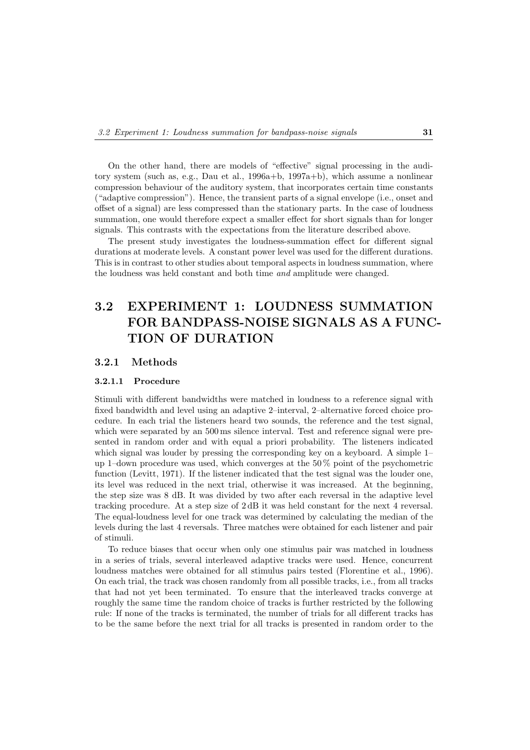On the other hand, there are models of "effective" signal processing in the auditory system (such as, e.g., Dau et al., 1996a+b, 1997a+b), which assume a nonlinear compression behaviour of the auditory system, that incorporates certain time constants ("adaptive compression"). Hence, the transient parts of a signal envelope (i.e., onset and offset of a signal) are less compressed than the stationary parts. In the case of loudness summation, one would therefore expect a smaller effect for short signals than for longer signals. This contrasts with the expectations from the literature described above.

The present study investigates the loudness-summation effect for different signal durations at moderate levels. A constant power level was used for the different durations. This is in contrast to other studies about temporal aspects in loudness summation, where the loudness was held constant and both time *and* amplitude were changed.

## **3.2 EXPERIMENT 1: LOUDNESS SUMMATION FOR BANDPASS-NOISE SIGNALS AS A FUNC-TION OF DURATION**

#### **3.2.1 Methods**

#### **3.2.1.1 Procedure**

Stimuli with different bandwidths were matched in loudness to a reference signal with fixed bandwidth and level using an adaptive 2–interval, 2–alternative forced choice procedure. In each trial the listeners heard two sounds, the reference and the test signal, which were separated by an  $500 \text{ ms}$  silence interval. Test and reference signal were presented in random order and with equal a priori probability. The listeners indicated which signal was louder by pressing the corresponding key on a keyboard. A simple 1– up 1–down procedure was used, which converges at the 50 % point of the psychometric function (Levitt, 1971). If the listener indicated that the test signal was the louder one, its level was reduced in the next trial, otherwise it was increased. At the beginning, the step size was 8 dB. It was divided by two after each reversal in the adaptive level tracking procedure. At a step size of 2 dB it was held constant for the next 4 reversal. The equal-loudness level for one track was determined by calculating the median of the levels during the last 4 reversals. Three matches were obtained for each listener and pair of stimuli.

To reduce biases that occur when only one stimulus pair was matched in loudness in a series of trials, several interleaved adaptive tracks were used. Hence, concurrent loudness matches were obtained for all stimulus pairs tested (Florentine et al., 1996). On each trial, the track was chosen randomly from all possible tracks, i.e., from all tracks that had not yet been terminated. To ensure that the interleaved tracks converge at roughly the same time the random choice of tracks is further restricted by the following rule: If none of the tracks is terminated, the number of trials for all different tracks has to be the same before the next trial for all tracks is presented in random order to the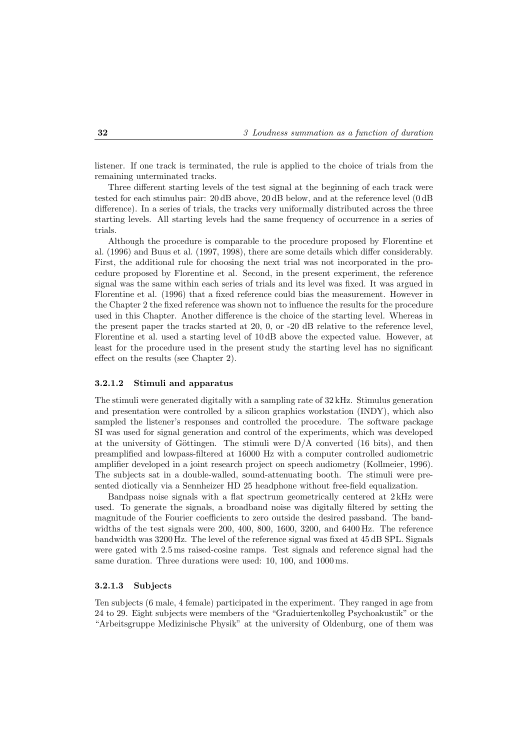listener. If one track is terminated, the rule is applied to the choice of trials from the remaining unterminated tracks.

Three different starting levels of the test signal at the beginning of each track were tested for each stimulus pair: 20 dB above, 20 dB below, and at the reference level (0 dB difference). In a series of trials, the tracks very uniformally distributed across the three starting levels. All starting levels had the same frequency of occurrence in a series of trials.

Although the procedure is comparable to the procedure proposed by Florentine et al. (1996) and Buus et al. (1997, 1998), there are some details which differ considerably. First, the additional rule for choosing the next trial was not incorporated in the procedure proposed by Florentine et al. Second, in the present experiment, the reference signal was the same within each series of trials and its level was fixed. It was argued in Florentine et al. (1996) that a fixed reference could bias the measurement. However in the Chapter 2 the fixed reference was shown not to influence the results for the procedure used in this Chapter. Another difference is the choice of the starting level. Whereas in the present paper the tracks started at 20, 0, or -20 dB relative to the reference level, Florentine et al. used a starting level of 10 dB above the expected value. However, at least for the procedure used in the present study the starting level has no significant effect on the results (see Chapter 2).

#### **3.2.1.2 Stimuli and apparatus**

The stimuli were generated digitally with a sampling rate of  $32 \text{ kHz}$ . Stimulus generation and presentation were controlled by a silicon graphics workstation (INDY), which also sampled the listener's responses and controlled the procedure. The software package SI was used for signal generation and control of the experiments, which was developed at the university of Göttingen. The stimuli were  $D/A$  converted (16 bits), and then preamplified and lowpass-filtered at 16000 Hz with a computer controlled audiometric amplifier developed in a joint research project on speech audiometry (Kollmeier, 1996). The subjects sat in a double-walled, sound-attenuating booth. The stimuli were presented diotically via a Sennheizer HD 25 headphone without free-field equalization.

Bandpass noise signals with a flat spectrum geometrically centered at 2 kHz were used. To generate the signals, a broadband noise was digitally filtered by setting the magnitude of the Fourier coefficients to zero outside the desired passband. The bandwidths of the test signals were 200, 400, 800, 1600, 3200, and 6400 Hz. The reference bandwidth was 3200 Hz. The level of the reference signal was fixed at 45 dB SPL. Signals were gated with 2.5 ms raised-cosine ramps. Test signals and reference signal had the same duration. Three durations were used: 10, 100, and 1000 ms.

#### **3.2.1.3 Subjects**

Ten subjects (6 male, 4 female) participated in the experiment. They ranged in age from 24 to 29. Eight subjects were members of the "Graduiertenkolleg Psychoakustik" or the "Arbeitsgruppe Medizinische Physik" at the university of Oldenburg, one of them was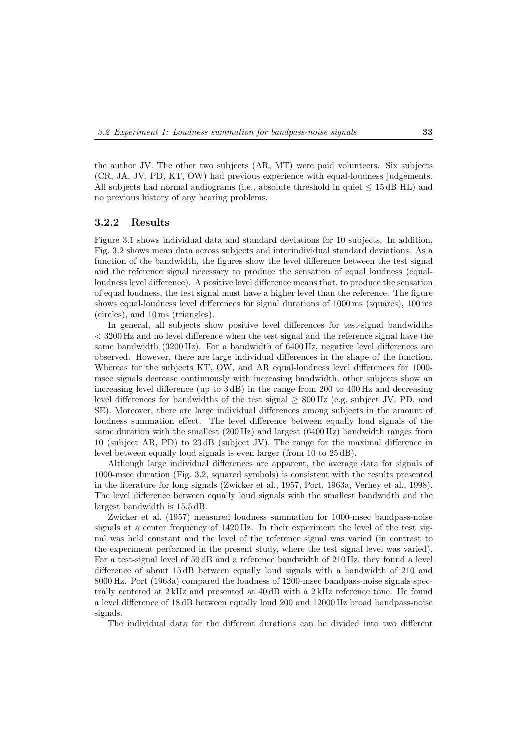the author JV. The other two subjects (AR, MT) were paid volunteers. Six subjects (CR, JA, JV, PD, KT, OW) had previous experience with equal-loudness judgements. All subjects had normal audiograms (i.e., absolute threshold in quiet  $\leq 15$  dB HL) and no previous history of any hearing problems.

#### **3.2.2 Results**

Figure 3.1 shows individual data and standard deviations for 10 subjects. In addition, Fig. 3.2 shows mean data across subjects and interindividual standard deviations. As a function of the bandwidth, the figures show the level difference between the test signal and the reference signal necessary to produce the sensation of equal loudness (equalloudness level difference). A positive level difference means that, to produce the sensation of equal loudness, the test signal must have a higher level than the reference. The figure shows equal-loudness level differences for signal durations of 1000 ms (squares), 100 ms (circles), and 10 ms (triangles).

In general, all subjects show positive level differences for test-signal bandwidths < 3200 Hz and no level difference when the test signal and the reference signal have the same bandwidth (3200 Hz). For a bandwidth of 6400 Hz, negative level differences are observed. However, there are large individual differences in the shape of the function. Whereas for the subjects KT, OW, and AR equal-loudness level differences for 1000 msec signals decrease continuously with increasing bandwidth, other subjects show an increasing level difference (up to 3 dB) in the range from 200 to 400 Hz and decreasing level differences for bandwidths of the test signal  $\geq 800$  Hz (e.g. subject JV, PD, and SE). Moreover, there are large individual differences among subjects in the amount of loudness summation effect. The level difference between equally loud signals of the same duration with the smallest (200 Hz) and largest (6400 Hz) bandwidth ranges from 10 (subject AR, PD) to 23 dB (subject JV). The range for the maximal difference in level between equally loud signals is even larger (from 10 to 25 dB).

Although large individual differences are apparent, the average data for signals of 1000-msec duration (Fig. 3.2, squared symbols) is consistent with the results presented in the literature for long signals (Zwicker et al., 1957, Port, 1963a, Verhey et al., 1998). The level difference between equally loud signals with the smallest bandwidth and the largest bandwidth is 15.5 dB.

Zwicker et al. (1957) measured loudness summation for 1000-msec bandpass-noise signals at a center frequency of 1420 Hz. In their experiment the level of the test signal was held constant and the level of the reference signal was varied (in contrast to the experiment performed in the present study, where the test signal level was varied). For a test-signal level of 50 dB and a reference bandwidth of 210 Hz, they found a level difference of about 15 dB between equally loud signals with a bandwidth of 210 and 8000 Hz. Port (1963a) compared the loudness of 1200-msec bandpass-noise signals spectrally centered at 2 kHz and presented at 40 dB with a 2 kHz reference tone. He found a level difference of 18 dB between equally loud 200 and 12000 Hz broad bandpass-noise signals.

The individual data for the different durations can be divided into two different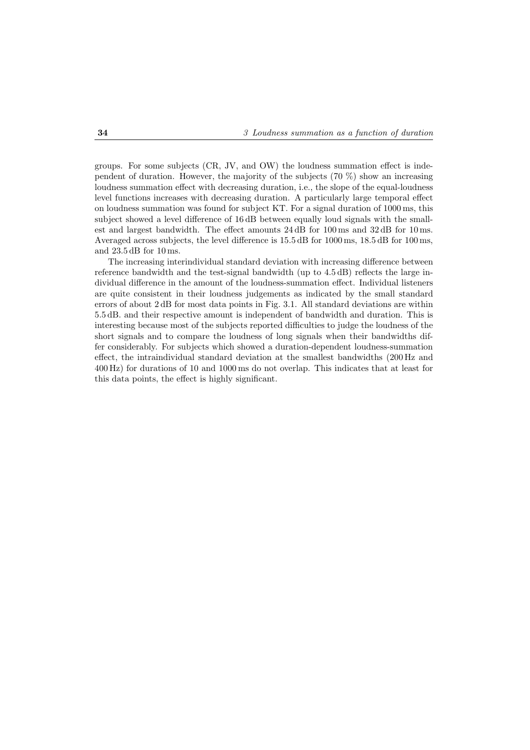groups. For some subjects (CR, JV, and OW) the loudness summation effect is independent of duration. However, the majority of the subjects  $(70\%)$  show an increasing loudness summation effect with decreasing duration, i.e., the slope of the equal-loudness level functions increases with decreasing duration. A particularly large temporal effect on loudness summation was found for subject KT. For a signal duration of 1000 ms, this subject showed a level difference of 16 dB between equally loud signals with the smallest and largest bandwidth. The effect amounts 24 dB for 100 ms and 32 dB for 10 ms. Averaged across subjects, the level difference is 15.5 dB for 1000 ms, 18.5 dB for 100 ms, and 23.5 dB for 10 ms.

The increasing interindividual standard deviation with increasing difference between reference bandwidth and the test-signal bandwidth (up to 4.5 dB) reflects the large individual difference in the amount of the loudness-summation effect. Individual listeners are quite consistent in their loudness judgements as indicated by the small standard errors of about 2 dB for most data points in Fig. 3.1. All standard deviations are within 5.5 dB. and their respective amount is independent of bandwidth and duration. This is interesting because most of the subjects reported difficulties to judge the loudness of the short signals and to compare the loudness of long signals when their bandwidths differ considerably. For subjects which showed a duration-dependent loudness-summation effect, the intraindividual standard deviation at the smallest bandwidths (200 Hz and 400 Hz) for durations of 10 and 1000 ms do not overlap. This indicates that at least for this data points, the effect is highly significant.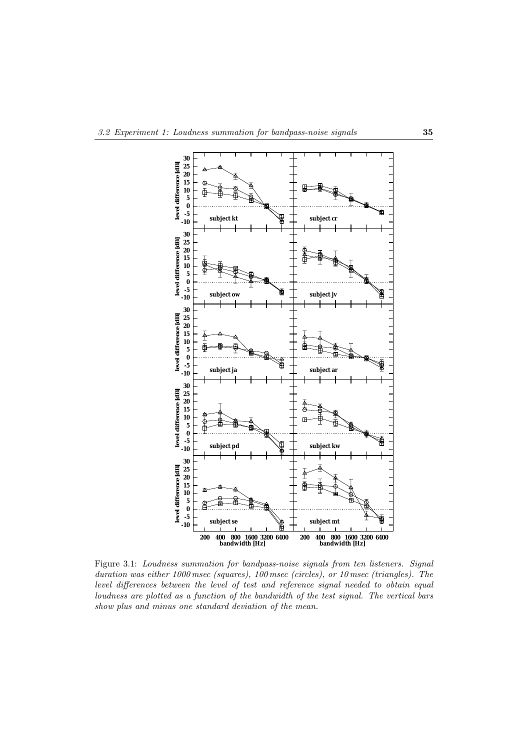

Figure 3.1: *Loudness summation for bandpass-noise signals from ten listeners. Signal duration was either 1000 msec (squares), 100 msec (circles), or 10 msec (triangles). The level differences between the level of test and reference signal needed to obtain equal loudness are plotted as a function of the bandwidth of the test signal. The vertical bars show plus and minus one standard deviation of the mean.*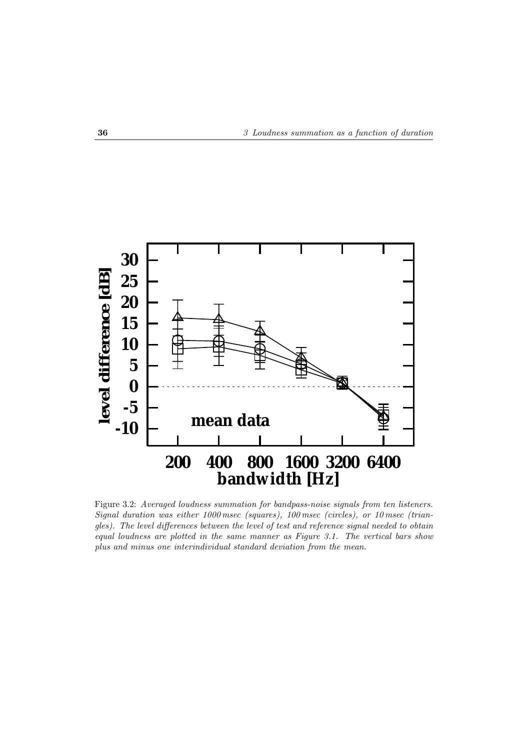

Figure 3.2: *Averaged loudness summation for bandpass-noise signals from ten listeners. Signal duration was either 1000 msec (squares), 100 msec (circles), or 10 msec (triangles). The level differences between the level of test and reference signal needed to obtain equal loudness are plotted in the same manner as Figure 3.1. The vertical bars show plus and minus one interindividual standard deviation from the mean.*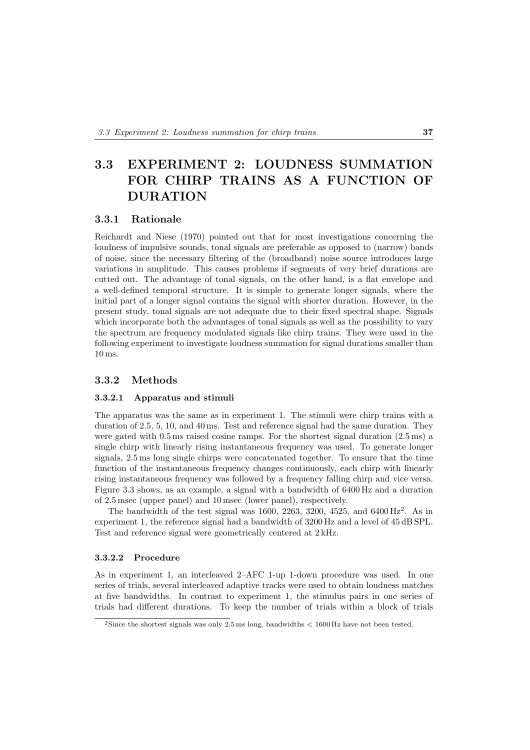## **3.3 EXPERIMENT 2: LOUDNESS SUMMATION FOR CHIRP TRAINS AS A FUNCTION OF DURATION**

## **3.3.1 Rationale**

Reichardt and Niese (1970) pointed out that for most investigations concerning the loudness of impulsive sounds, tonal signals are preferable as opposed to (narrow) bands of noise, since the necessary filtering of the (broadband) noise source introduces large variations in amplitude. This causes problems if segments of very brief durations are cutted out. The advantage of tonal signals, on the other hand, is a flat envelope and a well-defined temporal structure. It is simple to generate longer signals, where the initial part of a longer signal contains the signal with shorter duration. However, in the present study, tonal signals are not adequate due to their fixed spectral shape. Signals which incorporate both the advantages of tonal signals as well as the possibility to vary the spectrum are frequency modulated signals like chirp trains. They were used in the following experiment to investigate loudness summation for signal durations smaller than 10 ms.

### **3.3.2 Methods**

#### **3.3.2.1 Apparatus and stimuli**

The apparatus was the same as in experiment 1. The stimuli were chirp trains with a duration of 2.5, 5, 10, and 40 ms. Test and reference signal had the same duration. They were gated with 0.5 ms raised cosine ramps. For the shortest signal duration (2.5 ms) a single chirp with linearly rising instantaneous frequency was used. To generate longer signals, 2.5 ms long single chirps were concatenated together. To ensure that the time function of the instantaneous frequency changes continuously, each chirp with linearly rising instantaneous frequency was followed by a frequency falling chirp and vice versa. Figure 3.3 shows, as an example, a signal with a bandwidth of 6400 Hz and a duration of 2.5 msec (upper panel) and 10 msec (lower panel), respectively.

The bandwidth of the test signal was 1600, 2263, 3200, 4525, and  $6400 \text{ Hz}^2$ . As in experiment 1, the reference signal had a bandwidth of  $3200 \text{ Hz}$  and a level of  $45 \text{ dB}$  SPL. Test and reference signal were geometrically centered at 2 kHz.

#### **3.3.2.2 Procedure**

As in experiment 1, an interleaved 2–AFC 1-up 1-down procedure was used. In one series of trials, several interleaved adaptive tracks were used to obtain loudness matches at five bandwidths. In contrast to experiment 1, the stimulus pairs in one series of trials had different durations. To keep the number of trials within a block of trials

<sup>&</sup>lt;sup>2</sup>Since the shortest signals was only 2.5 ms long, bandwidths  $<$  1600 Hz have not been tested.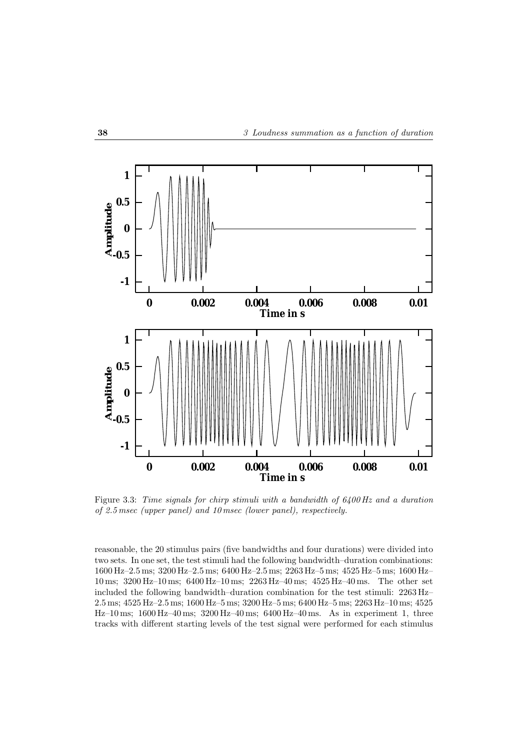

Figure 3.3: *Time signals for chirp stimuli with a bandwidth of 6400 Hz and a duration of 2.5 msec (upper panel) and 10 msec (lower panel), respectively.*

reasonable, the 20 stimulus pairs (five bandwidths and four durations) were divided into two sets. In one set, the test stimuli had the following bandwidth–duration combinations: 1600 Hz–2.5 ms; 3200 Hz–2.5 ms; 6400 Hz–2.5 ms; 2263 Hz–5 ms; 4525 Hz–5 ms; 1600 Hz– 10 ms; 3200 Hz–10 ms; 6400 Hz–10 ms; 2263 Hz–40 ms; 4525 Hz–40 ms. The other set included the following bandwidth–duration combination for the test stimuli: 2263 Hz– 2.5 ms; 4525 Hz–2.5 ms; 1600 Hz–5 ms; 3200 Hz–5 ms; 6400 Hz–5 ms; 2263 Hz–10 ms; 4525 Hz–10 ms; 1600 Hz–40 ms; 3200 Hz–40 ms; 6400 Hz–40 ms. As in experiment 1, three tracks with different starting levels of the test signal were performed for each stimulus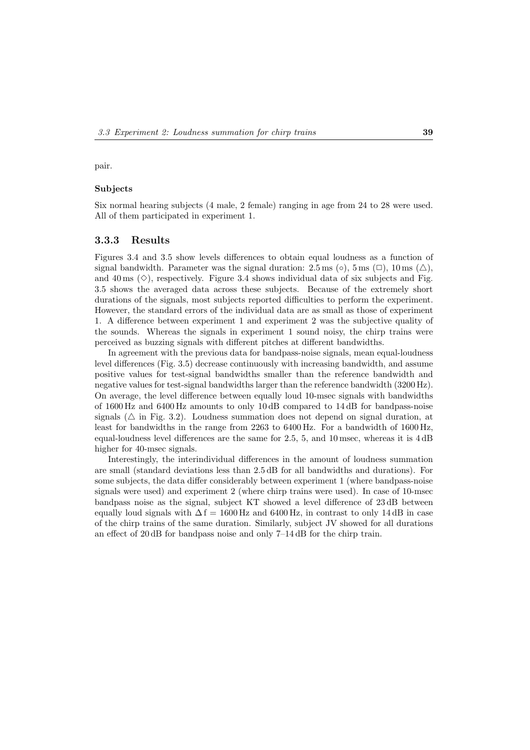pair.

#### **Subjects**

Six normal hearing subjects (4 male, 2 female) ranging in age from 24 to 28 were used. All of them participated in experiment 1.

### **3.3.3 Results**

Figures 3.4 and 3.5 show levels differences to obtain equal loudness as a function of signal bandwidth. Parameter was the signal duration: 2.5 ms (○), 5 ms (□), 10 ms (△), and 40 ms  $(\diamond)$ , respectively. Figure 3.4 shows individual data of six subjects and Fig. 3.5 shows the averaged data across these subjects. Because of the extremely short durations of the signals, most subjects reported difficulties to perform the experiment. However, the standard errors of the individual data are as small as those of experiment 1. A difference between experiment 1 and experiment 2 was the subjective quality of the sounds. Whereas the signals in experiment 1 sound noisy, the chirp trains were perceived as buzzing signals with different pitches at different bandwidths.

In agreement with the previous data for bandpass-noise signals, mean equal-loudness level differences (Fig. 3.5) decrease continuously with increasing bandwidth, and assume positive values for test-signal bandwidths smaller than the reference bandwidth and negative values for test-signal bandwidths larger than the reference bandwidth (3200 Hz). On average, the level difference between equally loud 10-msec signals with bandwidths of 1600 Hz and 6400 Hz amounts to only 10 dB compared to 14 dB for bandpass-noise signals  $(\triangle$  in Fig. 3.2). Loudness summation does not depend on signal duration, at least for bandwidths in the range from 2263 to 6400 Hz. For a bandwidth of 1600 Hz, equal-loudness level differences are the same for 2.5, 5, and 10 msec, whereas it is 4 dB higher for 40-msec signals.

Interestingly, the interindividual differences in the amount of loudness summation are small (standard deviations less than 2.5 dB for all bandwidths and durations). For some subjects, the data differ considerably between experiment 1 (where bandpass-noise signals were used) and experiment 2 (where chirp trains were used). In case of 10-msec bandpass noise as the signal, subject KT showed a level difference of 23 dB between equally loud signals with  $\Delta f = 1600$  Hz and 6400 Hz, in contrast to only 14 dB in case of the chirp trains of the same duration. Similarly, subject JV showed for all durations an effect of 20 dB for bandpass noise and only 7–14 dB for the chirp train.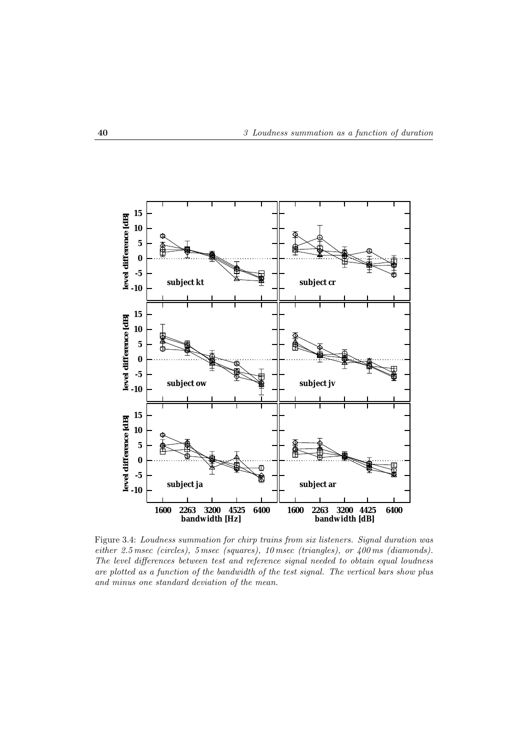

Figure 3.4: *Loudness summation for chirp trains from six listeners. Signal duration was either 2.5 msec (circles), 5 msec (squares), 10 msec (triangles), or 400 ms (diamonds). The level differences between test and reference signal needed to obtain equal loudness are plotted as a function of the bandwidth of the test signal. The vertical bars show plus and minus one standard deviation of the mean.*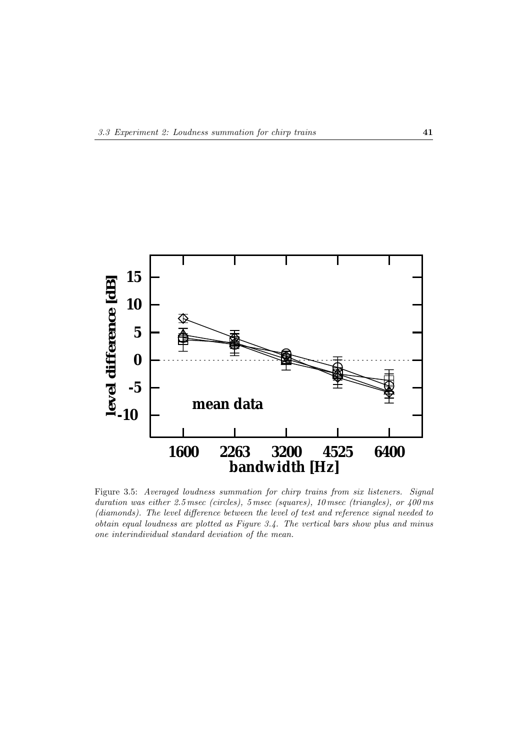

Figure 3.5: *Averaged loudness summation for chirp trains from six listeners. Signal duration was either 2.5 msec (circles), 5 msec (squares), 10 msec (triangles), or 400 ms (diamonds). The level difference between the level of test and reference signal needed to obtain equal loudness are plotted as Figure 3.4. The vertical bars show plus and minus one interindividual standard deviation of the mean.*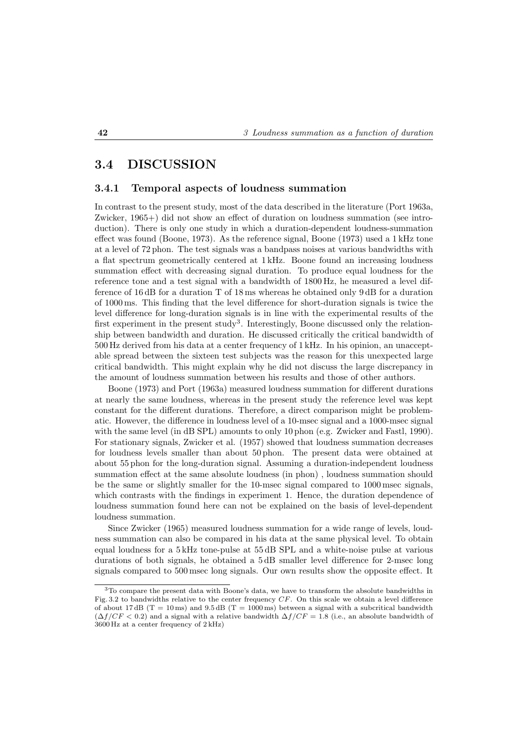## **3.4 DISCUSSION**

#### **3.4.1 Temporal aspects of loudness summation**

In contrast to the present study, most of the data described in the literature (Port 1963a, Zwicker, 1965+) did not show an effect of duration on loudness summation (see introduction). There is only one study in which a duration-dependent loudness-summation effect was found (Boone, 1973). As the reference signal, Boone (1973) used a 1 kHz tone at a level of 72 phon. The test signals was a bandpass noises at various bandwidths with a flat spectrum geometrically centered at 1 kHz. Boone found an increasing loudness summation effect with decreasing signal duration. To produce equal loudness for the reference tone and a test signal with a bandwidth of 1800 Hz, he measured a level difference of 16 dB for a duration T of 18 ms whereas he obtained only 9 dB for a duration of 1000 ms. This finding that the level difference for short-duration signals is twice the level difference for long-duration signals is in line with the experimental results of the first experiment in the present study<sup>3</sup>. Interestingly, Boone discussed only the relationship between bandwidth and duration. He discussed critically the critical bandwidth of 500 Hz derived from his data at a center frequency of 1 kHz. In his opinion, an unacceptable spread between the sixteen test subjects was the reason for this unexpected large critical bandwidth. This might explain why he did not discuss the large discrepancy in the amount of loudness summation between his results and those of other authors.

Boone (1973) and Port (1963a) measured loudness summation for different durations at nearly the same loudness, whereas in the present study the reference level was kept constant for the different durations. Therefore, a direct comparison might be problematic. However, the difference in loudness level of a 10-msec signal and a 1000-msec signal with the same level (in dB SPL) amounts to only 10 phon (e.g. Zwicker and Fastl, 1990). For stationary signals, Zwicker et al. (1957) showed that loudness summation decreases for loudness levels smaller than about 50 phon. The present data were obtained at about 55 phon for the long-duration signal. Assuming a duration-independent loudness summation effect at the same absolute loudness (in phon) , loudness summation should be the same or slightly smaller for the 10-msec signal compared to 1000 msec signals, which contrasts with the findings in experiment 1. Hence, the duration dependence of loudness summation found here can not be explained on the basis of level-dependent loudness summation.

Since Zwicker (1965) measured loudness summation for a wide range of levels, loudness summation can also be compared in his data at the same physical level. To obtain equal loudness for a 5 kHz tone-pulse at 55 dB SPL and a white-noise pulse at various durations of both signals, he obtained a 5 dB smaller level difference for 2-msec long signals compared to 500 msec long signals. Our own results show the opposite effect. It

<sup>&</sup>lt;sup>3</sup>To compare the present data with Boone's data, we have to transform the absolute bandwidths in Fig. 3.2 to bandwidths relative to the center frequency  $CF$ . On this scale we obtain a level difference of about 17 dB (T = 10 ms) and 9.5 dB (T = 1000 ms) between a signal with a subcritical bandwidth  $(\Delta f/CF < 0.2)$  and a signal with a relative bandwidth  $\Delta f/CF = 1.8$  (i.e., an absolute bandwidth of 3600 Hz at a center frequency of 2 kHz)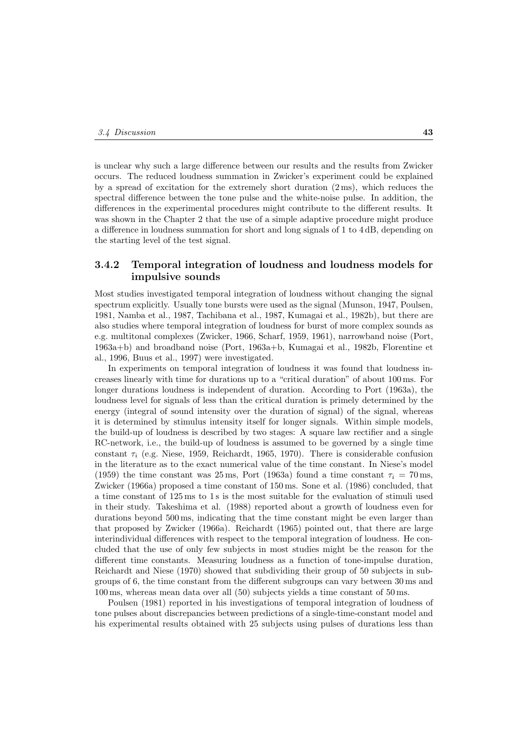is unclear why such a large difference between our results and the results from Zwicker occurs. The reduced loudness summation in Zwicker's experiment could be explained by a spread of excitation for the extremely short duration  $(2 \text{ ms})$ , which reduces the spectral difference between the tone pulse and the white-noise pulse. In addition, the differences in the experimental procedures might contribute to the different results. It was shown in the Chapter 2 that the use of a simple adaptive procedure might produce a difference in loudness summation for short and long signals of 1 to 4 dB, depending on the starting level of the test signal.

#### **3.4.2 Temporal integration of loudness and loudness models for impulsive sounds**

Most studies investigated temporal integration of loudness without changing the signal spectrum explicitly. Usually tone bursts were used as the signal (Munson, 1947, Poulsen, 1981, Namba et al., 1987, Tachibana et al., 1987, Kumagai et al., 1982b), but there are also studies where temporal integration of loudness for burst of more complex sounds as e.g. multitonal complexes (Zwicker, 1966, Scharf, 1959, 1961), narrowband noise (Port, 1963a+b) and broadband noise (Port, 1963a+b, Kumagai et al., 1982b, Florentine et al., 1996, Buus et al., 1997) were investigated.

In experiments on temporal integration of loudness it was found that loudness increases linearly with time for durations up to a "critical duration" of about 100 ms. For longer durations loudness is independent of duration. According to Port (1963a), the loudness level for signals of less than the critical duration is primely determined by the energy (integral of sound intensity over the duration of signal) of the signal, whereas it is determined by stimulus intensity itself for longer signals. Within simple models, the build-up of loudness is described by two stages: A square law rectifier and a single RC-network, i.e., the build-up of loudness is assumed to be governed by a single time constant  $\tau_i$  (e.g. Niese, 1959, Reichardt, 1965, 1970). There is considerable confusion in the literature as to the exact numerical value of the time constant. In Niese's model (1959) the time constant was 25 ms, Port (1963a) found a time constant  $\tau_i = 70$  ms, Zwicker (1966a) proposed a time constant of 150 ms. Sone et al. (1986) concluded, that a time constant of 125 ms to 1 s is the most suitable for the evaluation of stimuli used in their study. Takeshima et al. (1988) reported about a growth of loudness even for durations beyond 500 ms, indicating that the time constant might be even larger than that proposed by Zwicker (1966a). Reichardt (1965) pointed out, that there are large interindividual differences with respect to the temporal integration of loudness. He concluded that the use of only few subjects in most studies might be the reason for the different time constants. Measuring loudness as a function of tone-impulse duration, Reichardt and Niese (1970) showed that subdividing their group of 50 subjects in subgroups of 6, the time constant from the different subgroups can vary between 30 ms and 100 ms, whereas mean data over all (50) subjects yields a time constant of 50 ms.

Poulsen (1981) reported in his investigations of temporal integration of loudness of tone pulses about discrepancies between predictions of a single-time-constant model and his experimental results obtained with 25 subjects using pulses of durations less than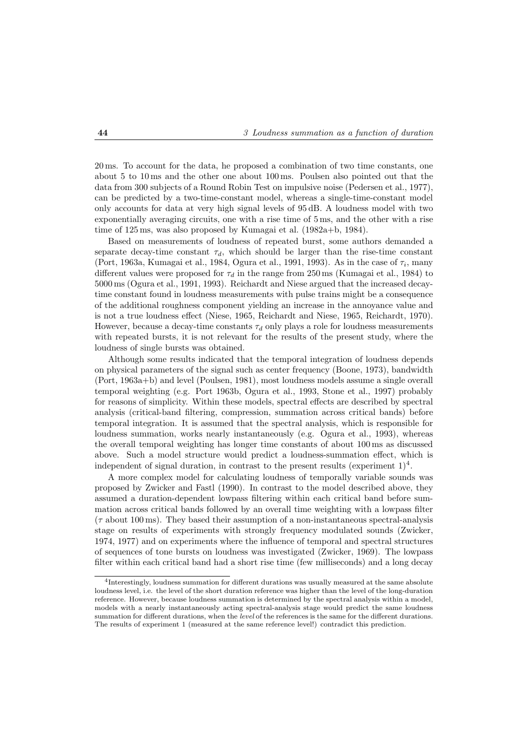20 ms. To account for the data, he proposed a combination of two time constants, one about 5 to 10 ms and the other one about 100 ms. Poulsen also pointed out that the data from 300 subjects of a Round Robin Test on impulsive noise (Pedersen et al., 1977), can be predicted by a two-time-constant model, whereas a single-time-constant model only accounts for data at very high signal levels of 95 dB. A loudness model with two exponentially averaging circuits, one with a rise time of 5 ms, and the other with a rise time of 125 ms, was also proposed by Kumagai et al. (1982a+b, 1984).

Based on measurements of loudness of repeated burst, some authors demanded a separate decay-time constant  $\tau_d$ , which should be larger than the rise-time constant (Port, 1963a, Kumagai et al., 1984, Ogura et al., 1991, 1993). As in the case of  $\tau_i$ , many different values were proposed for  $\tau_d$  in the range from 250 ms (Kumagai et al., 1984) to 5000 ms (Ogura et al., 1991, 1993). Reichardt and Niese argued that the increased decaytime constant found in loudness measurements with pulse trains might be a consequence of the additional roughness component yielding an increase in the annoyance value and is not a true loudness effect (Niese, 1965, Reichardt and Niese, 1965, Reichardt, 1970). However, because a decay-time constants  $\tau_d$  only plays a role for loudness measurements with repeated bursts, it is not relevant for the results of the present study, where the loudness of single bursts was obtained.

Although some results indicated that the temporal integration of loudness depends on physical parameters of the signal such as center frequency (Boone, 1973), bandwidth (Port, 1963a+b) and level (Poulsen, 1981), most loudness models assume a single overall temporal weighting (e.g. Port 1963b, Ogura et al., 1993, Stone et al., 1997) probably for reasons of simplicity. Within these models, spectral effects are described by spectral analysis (critical-band filtering, compression, summation across critical bands) before temporal integration. It is assumed that the spectral analysis, which is responsible for loudness summation, works nearly instantaneously (e.g. Ogura et al., 1993), whereas the overall temporal weighting has longer time constants of about 100 ms as discussed above. Such a model structure would predict a loudness-summation effect, which is independent of signal duration, in contrast to the present results (experiment  $1)^4$ .

A more complex model for calculating loudness of temporally variable sounds was proposed by Zwicker and Fastl (1990). In contrast to the model described above, they assumed a duration-dependent lowpass filtering within each critical band before summation across critical bands followed by an overall time weighting with a lowpass filter  $(\tau \text{ about } 100 \text{ ms})$ . They based their assumption of a non-instantaneous spectral-analysis stage on results of experiments with strongly frequency modulated sounds (Zwicker, 1974, 1977) and on experiments where the influence of temporal and spectral structures of sequences of tone bursts on loudness was investigated (Zwicker, 1969). The lowpass filter within each critical band had a short rise time (few milliseconds) and a long decay

<sup>4</sup>Interestingly, loudness summation for different durations was usually measured at the same absolute loudness level, i.e. the level of the short duration reference was higher than the level of the long-duration reference. However, because loudness summation is determined by the spectral analysis within a model, models with a nearly instantaneously acting spectral-analysis stage would predict the same loudness summation for different durations, when the level of the references is the same for the different durations. The results of experiment 1 (measured at the same reference level!) contradict this prediction.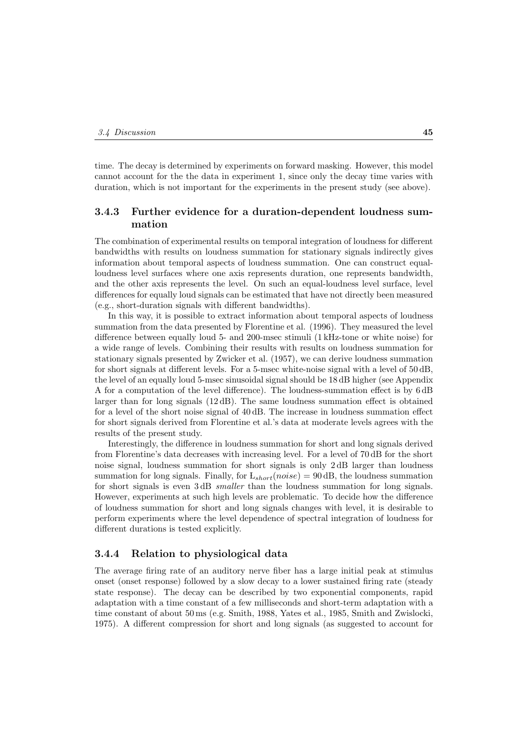time. The decay is determined by experiments on forward masking. However, this model cannot account for the the data in experiment 1, since only the decay time varies with duration, which is not important for the experiments in the present study (see above).

#### **3.4.3 Further evidence for a duration-dependent loudness summation**

The combination of experimental results on temporal integration of loudness for different bandwidths with results on loudness summation for stationary signals indirectly gives information about temporal aspects of loudness summation. One can construct equalloudness level surfaces where one axis represents duration, one represents bandwidth, and the other axis represents the level. On such an equal-loudness level surface, level differences for equally loud signals can be estimated that have not directly been measured (e.g., short-duration signals with different bandwidths).

In this way, it is possible to extract information about temporal aspects of loudness summation from the data presented by Florentine et al. (1996). They measured the level difference between equally loud 5- and 200-msec stimuli (1 kHz-tone or white noise) for a wide range of levels. Combining their results with results on loudness summation for stationary signals presented by Zwicker et al. (1957), we can derive loudness summation for short signals at different levels. For a 5-msec white-noise signal with a level of 50 dB, the level of an equally loud 5-msec sinusoidal signal should be 18 dB higher (see Appendix A for a computation of the level difference). The loudness-summation effect is by 6 dB larger than for long signals (12 dB). The same loudness summation effect is obtained for a level of the short noise signal of 40 dB. The increase in loudness summation effect for short signals derived from Florentine et al.'s data at moderate levels agrees with the results of the present study.

Interestingly, the difference in loudness summation for short and long signals derived from Florentine's data decreases with increasing level. For a level of 70 dB for the short noise signal, loudness summation for short signals is only 2 dB larger than loudness summation for long signals. Finally, for  $L_{short}(noise) = 90$  dB, the loudness summation for short signals is even 3 dB *smaller* than the loudness summation for long signals. However, experiments at such high levels are problematic. To decide how the difference of loudness summation for short and long signals changes with level, it is desirable to perform experiments where the level dependence of spectral integration of loudness for different durations is tested explicitly.

#### **3.4.4 Relation to physiological data**

The average firing rate of an auditory nerve fiber has a large initial peak at stimulus onset (onset response) followed by a slow decay to a lower sustained firing rate (steady state response). The decay can be described by two exponential components, rapid adaptation with a time constant of a few milliseconds and short-term adaptation with a time constant of about 50 ms (e.g. Smith, 1988, Yates et al., 1985, Smith and Zwislocki, 1975). A different compression for short and long signals (as suggested to account for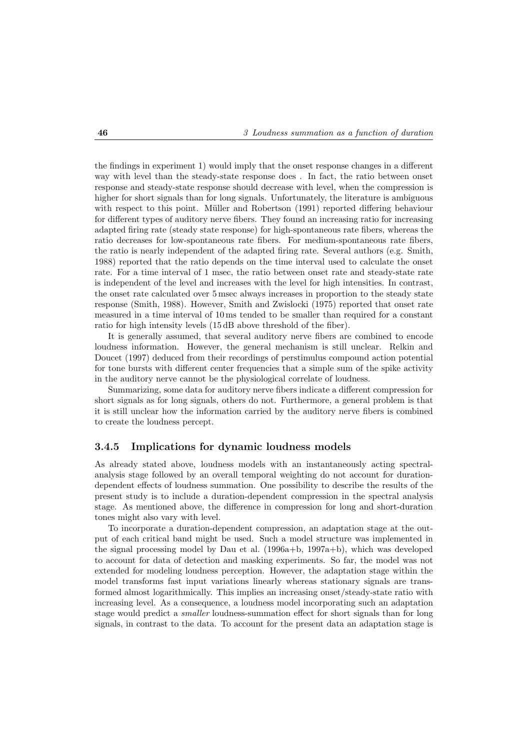the findings in experiment 1) would imply that the onset response changes in a different way with level than the steady-state response does . In fact, the ratio between onset response and steady-state response should decrease with level, when the compression is higher for short signals than for long signals. Unfortunately, the literature is ambiguous with respect to this point. Müller and Robertson (1991) reported differing behaviour for different types of auditory nerve fibers. They found an increasing ratio for increasing adapted firing rate (steady state response) for high-spontaneous rate fibers, whereas the ratio decreases for low-spontaneous rate fibers. For medium-spontaneous rate fibers, the ratio is nearly independent of the adapted firing rate. Several authors (e.g. Smith, 1988) reported that the ratio depends on the time interval used to calculate the onset rate. For a time interval of 1 msec, the ratio between onset rate and steady-state rate is independent of the level and increases with the level for high intensities. In contrast, the onset rate calculated over 5 msec always increases in proportion to the steady state response (Smith, 1988). However, Smith and Zwislocki (1975) reported that onset rate measured in a time interval of 10 ms tended to be smaller than required for a constant ratio for high intensity levels (15 dB above threshold of the fiber).

It is generally assumed, that several auditory nerve fibers are combined to encode loudness information. However, the general mechanism is still unclear. Relkin and Doucet (1997) deduced from their recordings of perstimulus compound action potential for tone bursts with different center frequencies that a simple sum of the spike activity in the auditory nerve cannot be the physiological correlate of loudness.

Summarizing, some data for auditory nerve fibers indicate a different compression for short signals as for long signals, others do not. Furthermore, a general problem is that it is still unclear how the information carried by the auditory nerve fibers is combined to create the loudness percept.

#### **3.4.5 Implications for dynamic loudness models**

As already stated above, loudness models with an instantaneously acting spectralanalysis stage followed by an overall temporal weighting do not account for durationdependent effects of loudness summation. One possibility to describe the results of the present study is to include a duration-dependent compression in the spectral analysis stage. As mentioned above, the difference in compression for long and short-duration tones might also vary with level.

To incorporate a duration-dependent compression, an adaptation stage at the output of each critical band might be used. Such a model structure was implemented in the signal processing model by Dau et al. (1996a+b, 1997a+b), which was developed to account for data of detection and masking experiments. So far, the model was not extended for modeling loudness perception. However, the adaptation stage within the model transforms fast input variations linearly whereas stationary signals are transformed almost logarithmically. This implies an increasing onset/steady-state ratio with increasing level. As a consequence, a loudness model incorporating such an adaptation stage would predict a *smaller* loudness-summation effect for short signals than for long signals, in contrast to the data. To account for the present data an adaptation stage is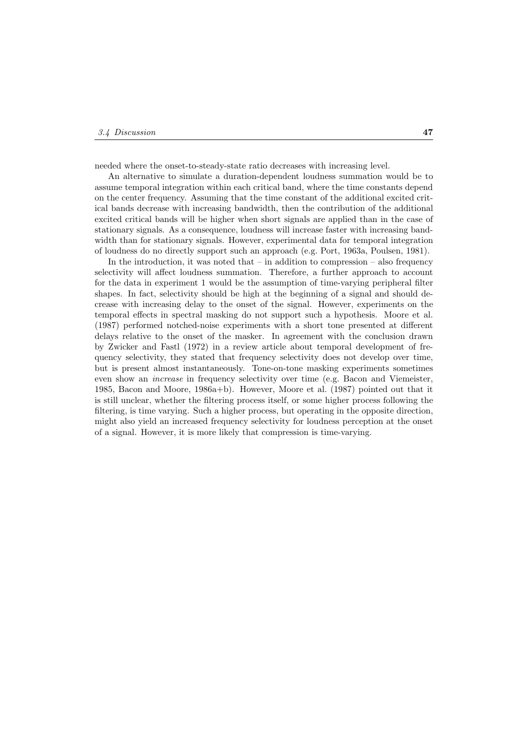needed where the onset-to-steady-state ratio decreases with increasing level.

An alternative to simulate a duration-dependent loudness summation would be to assume temporal integration within each critical band, where the time constants depend on the center frequency. Assuming that the time constant of the additional excited critical bands decrease with increasing bandwidth, then the contribution of the additional excited critical bands will be higher when short signals are applied than in the case of stationary signals. As a consequence, loudness will increase faster with increasing bandwidth than for stationary signals. However, experimental data for temporal integration of loudness do no directly support such an approach (e.g. Port, 1963a, Poulsen, 1981).

In the introduction, it was noted that  $-$  in addition to compression  $-$  also frequency selectivity will affect loudness summation. Therefore, a further approach to account for the data in experiment 1 would be the assumption of time-varying peripheral filter shapes. In fact, selectivity should be high at the beginning of a signal and should decrease with increasing delay to the onset of the signal. However, experiments on the temporal effects in spectral masking do not support such a hypothesis. Moore et al. (1987) performed notched-noise experiments with a short tone presented at different delays relative to the onset of the masker. In agreement with the conclusion drawn by Zwicker and Fastl (1972) in a review article about temporal development of frequency selectivity, they stated that frequency selectivity does not develop over time, but is present almost instantaneously. Tone-on-tone masking experiments sometimes even show an *increase* in frequency selectivity over time (e.g. Bacon and Viemeister, 1985, Bacon and Moore, 1986a+b). However, Moore et al. (1987) pointed out that it is still unclear, whether the filtering process itself, or some higher process following the filtering, is time varying. Such a higher process, but operating in the opposite direction, might also yield an increased frequency selectivity for loudness perception at the onset of a signal. However, it is more likely that compression is time-varying.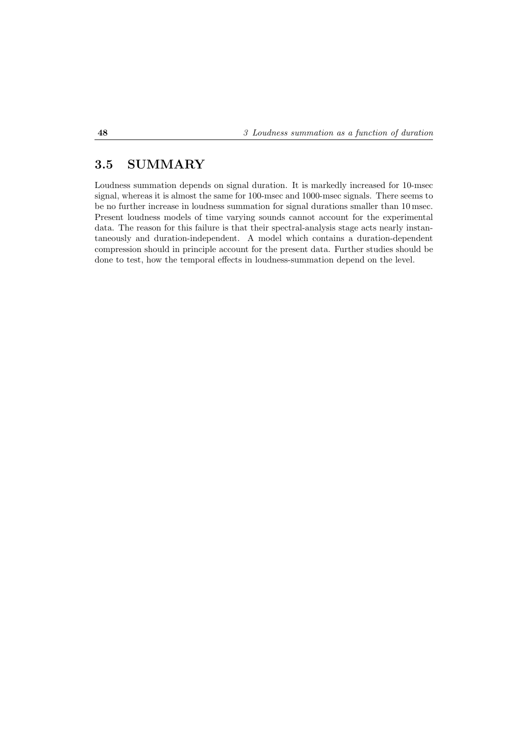## **3.5 SUMMARY**

Loudness summation depends on signal duration. It is markedly increased for 10-msec signal, whereas it is almost the same for 100-msec and 1000-msec signals. There seems to be no further increase in loudness summation for signal durations smaller than 10 msec. Present loudness models of time varying sounds cannot account for the experimental data. The reason for this failure is that their spectral-analysis stage acts nearly instantaneously and duration-independent. A model which contains a duration-dependent compression should in principle account for the present data. Further studies should be done to test, how the temporal effects in loudness-summation depend on the level.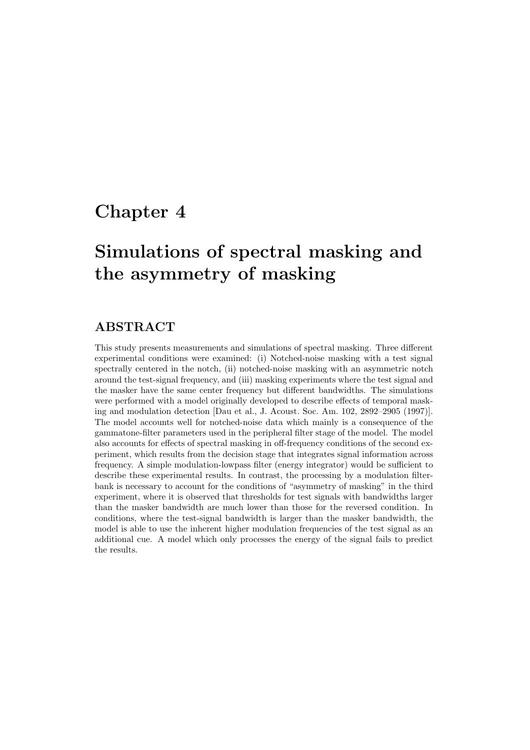## **Chapter 4**

# **Simulations of spectral masking and the asymmetry of masking**

## **ABSTRACT**

This study presents measurements and simulations of spectral masking. Three different experimental conditions were examined: (i) Notched-noise masking with a test signal spectrally centered in the notch, (ii) notched-noise masking with an asymmetric notch around the test-signal frequency, and (iii) masking experiments where the test signal and the masker have the same center frequency but different bandwidths. The simulations were performed with a model originally developed to describe effects of temporal masking and modulation detection [Dau et al., J. Acoust. Soc. Am. 102, 2892–2905 (1997)]. The model accounts well for notched-noise data which mainly is a consequence of the gammatone-filter parameters used in the peripheral filter stage of the model. The model also accounts for effects of spectral masking in off-frequency conditions of the second experiment, which results from the decision stage that integrates signal information across frequency. A simple modulation-lowpass filter (energy integrator) would be sufficient to describe these experimental results. In contrast, the processing by a modulation filterbank is necessary to account for the conditions of "asymmetry of masking" in the third experiment, where it is observed that thresholds for test signals with bandwidths larger than the masker bandwidth are much lower than those for the reversed condition. In conditions, where the test-signal bandwidth is larger than the masker bandwidth, the model is able to use the inherent higher modulation frequencies of the test signal as an additional cue. A model which only processes the energy of the signal fails to predict the results.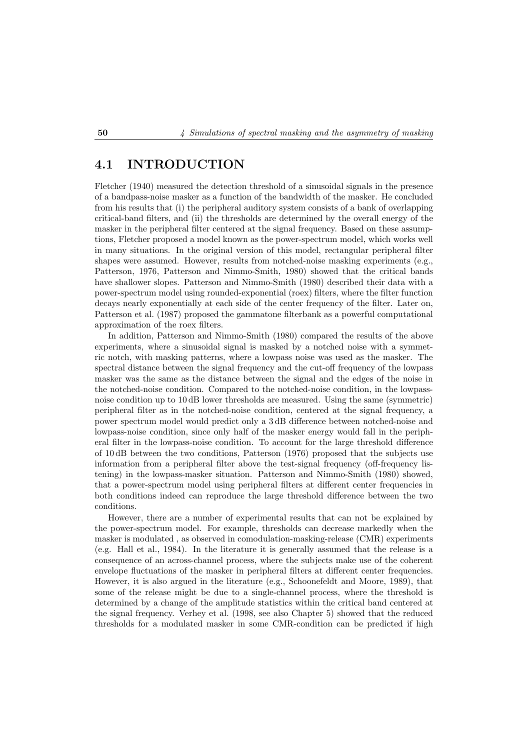## **4.1 INTRODUCTION**

Fletcher (1940) measured the detection threshold of a sinusoidal signals in the presence of a bandpass-noise masker as a function of the bandwidth of the masker. He concluded from his results that (i) the peripheral auditory system consists of a bank of overlapping critical-band filters, and (ii) the thresholds are determined by the overall energy of the masker in the peripheral filter centered at the signal frequency. Based on these assumptions, Fletcher proposed a model known as the power-spectrum model, which works well in many situations. In the original version of this model, rectangular peripheral filter shapes were assumed. However, results from notched-noise masking experiments (e.g., Patterson, 1976, Patterson and Nimmo-Smith, 1980) showed that the critical bands have shallower slopes. Patterson and Nimmo-Smith (1980) described their data with a power-spectrum model using rounded-exponential (roex) filters, where the filter function decays nearly exponentially at each side of the center frequency of the filter. Later on, Patterson et al. (1987) proposed the gammatone filterbank as a powerful computational approximation of the roex filters.

In addition, Patterson and Nimmo-Smith (1980) compared the results of the above experiments, where a sinusoidal signal is masked by a notched noise with a symmetric notch, with masking patterns, where a lowpass noise was used as the masker. The spectral distance between the signal frequency and the cut-off frequency of the lowpass masker was the same as the distance between the signal and the edges of the noise in the notched-noise condition. Compared to the notched-noise condition, in the lowpassnoise condition up to 10 dB lower thresholds are measured. Using the same (symmetric) peripheral filter as in the notched-noise condition, centered at the signal frequency, a power spectrum model would predict only a 3 dB difference between notched-noise and lowpass-noise condition, since only half of the masker energy would fall in the peripheral filter in the lowpass-noise condition. To account for the large threshold difference of 10 dB between the two conditions, Patterson (1976) proposed that the subjects use information from a peripheral filter above the test-signal frequency (off-frequency listening) in the lowpass-masker situation. Patterson and Nimmo-Smith (1980) showed, that a power-spectrum model using peripheral filters at different center frequencies in both conditions indeed can reproduce the large threshold difference between the two conditions.

However, there are a number of experimental results that can not be explained by the power-spectrum model. For example, thresholds can decrease markedly when the masker is modulated , as observed in comodulation-masking-release (CMR) experiments (e.g. Hall et al., 1984). In the literature it is generally assumed that the release is a consequence of an across-channel process, where the subjects make use of the coherent envelope fluctuations of the masker in peripheral filters at different center frequencies. However, it is also argued in the literature (e.g., Schoonefeldt and Moore, 1989), that some of the release might be due to a single-channel process, where the threshold is determined by a change of the amplitude statistics within the critical band centered at the signal frequency. Verhey et al. (1998, see also Chapter 5) showed that the reduced thresholds for a modulated masker in some CMR-condition can be predicted if high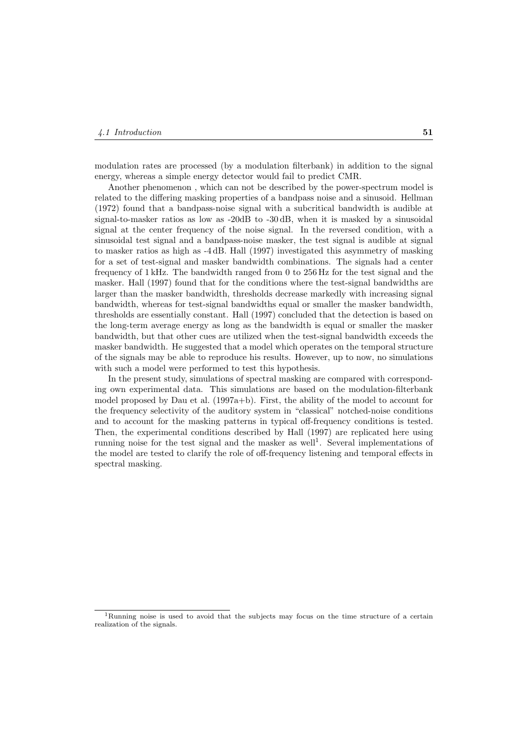modulation rates are processed (by a modulation filterbank) in addition to the signal energy, whereas a simple energy detector would fail to predict CMR.

Another phenomenon , which can not be described by the power-spectrum model is related to the differing masking properties of a bandpass noise and a sinusoid. Hellman (1972) found that a bandpass-noise signal with a subcritical bandwidth is audible at signal-to-masker ratios as low as -20dB to -30 dB, when it is masked by a sinusoidal signal at the center frequency of the noise signal. In the reversed condition, with a sinusoidal test signal and a bandpass-noise masker, the test signal is audible at signal to masker ratios as high as -4 dB. Hall (1997) investigated this asymmetry of masking for a set of test-signal and masker bandwidth combinations. The signals had a center frequency of 1 kHz. The bandwidth ranged from 0 to 256 Hz for the test signal and the masker. Hall (1997) found that for the conditions where the test-signal bandwidths are larger than the masker bandwidth, thresholds decrease markedly with increasing signal bandwidth, whereas for test-signal bandwidths equal or smaller the masker bandwidth, thresholds are essentially constant. Hall (1997) concluded that the detection is based on the long-term average energy as long as the bandwidth is equal or smaller the masker bandwidth, but that other cues are utilized when the test-signal bandwidth exceeds the masker bandwidth. He suggested that a model which operates on the temporal structure of the signals may be able to reproduce his results. However, up to now, no simulations with such a model were performed to test this hypothesis.

In the present study, simulations of spectral masking are compared with corresponding own experimental data. This simulations are based on the modulation-filterbank model proposed by Dau et al. (1997a+b). First, the ability of the model to account for the frequency selectivity of the auditory system in "classical" notched-noise conditions and to account for the masking patterns in typical off-frequency conditions is tested. Then, the experimental conditions described by Hall (1997) are replicated here using running noise for the test signal and the masker as well<sup>1</sup>. Several implementations of the model are tested to clarify the role of off-frequency listening and temporal effects in spectral masking.

<sup>&</sup>lt;sup>1</sup>Running noise is used to avoid that the subjects may focus on the time structure of a certain realization of the signals.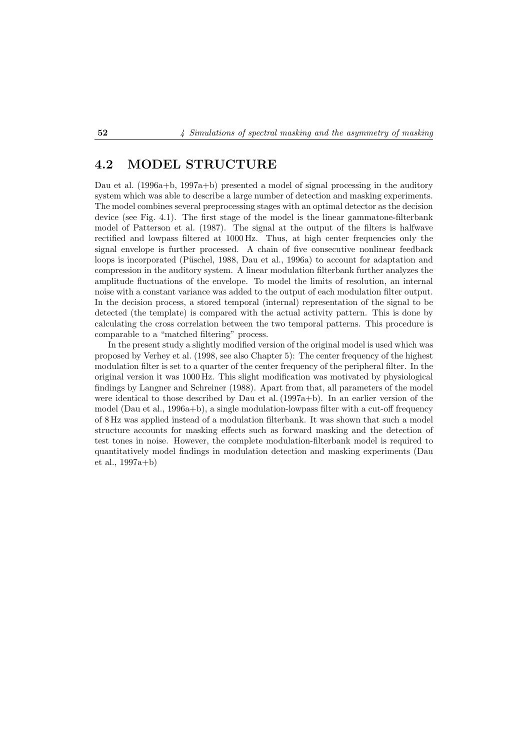## **4.2 MODEL STRUCTURE**

Dau et al. (1996a+b, 1997a+b) presented a model of signal processing in the auditory system which was able to describe a large number of detection and masking experiments. The model combines several preprocessing stages with an optimal detector as the decision device (see Fig. 4.1). The first stage of the model is the linear gammatone-filterbank model of Patterson et al. (1987). The signal at the output of the filters is halfwave rectified and lowpass filtered at 1000 Hz. Thus, at high center frequencies only the signal envelope is further processed. A chain of five consecutive nonlinear feedback loops is incorporated (Püschel, 1988, Dau et al., 1996a) to account for adaptation and compression in the auditory system. A linear modulation filterbank further analyzes the amplitude fluctuations of the envelope. To model the limits of resolution, an internal noise with a constant variance was added to the output of each modulation filter output. In the decision process, a stored temporal (internal) representation of the signal to be detected (the template) is compared with the actual activity pattern. This is done by calculating the cross correlation between the two temporal patterns. This procedure is comparable to a "matched filtering" process.

In the present study a slightly modified version of the original model is used which was proposed by Verhey et al. (1998, see also Chapter 5): The center frequency of the highest modulation filter is set to a quarter of the center frequency of the peripheral filter. In the original version it was 1000 Hz. This slight modification was motivated by physiological findings by Langner and Schreiner (1988). Apart from that, all parameters of the model were identical to those described by Dau et al. (1997a+b). In an earlier version of the model (Dau et al., 1996a+b), a single modulation-lowpass filter with a cut-off frequency of 8 Hz was applied instead of a modulation filterbank. It was shown that such a model structure accounts for masking effects such as forward masking and the detection of test tones in noise. However, the complete modulation-filterbank model is required to quantitatively model findings in modulation detection and masking experiments (Dau et al., 1997a+b)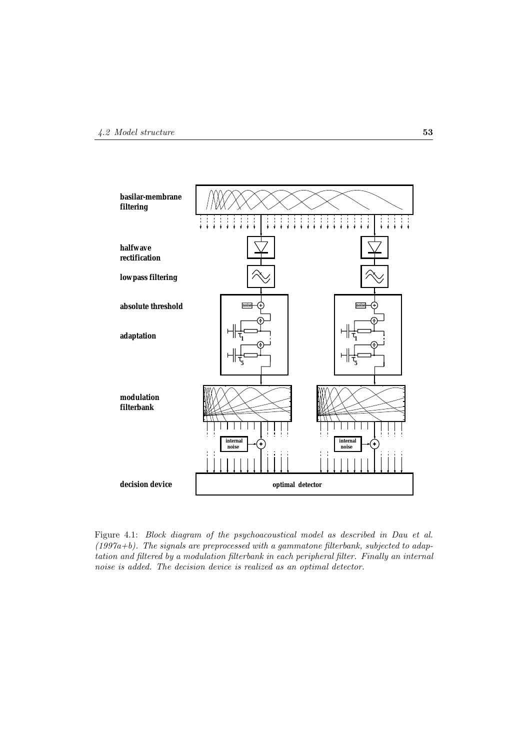

Figure 4.1: *Block diagram of the psychoacoustical model as described in Dau et al. (1997a+b). The signals are preprocessed with a gammatone filterbank, subjected to adaptation and filtered by a modulation filterbank in each peripheral filter. Finally an internal noise is added. The decision device is realized as an optimal detector.*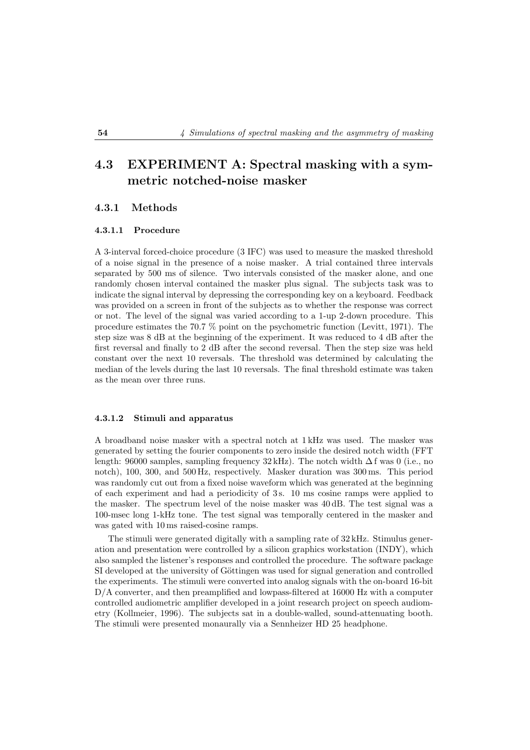## **4.3 EXPERIMENT A: Spectral masking with a symmetric notched-noise masker**

#### **4.3.1 Methods**

#### **4.3.1.1 Procedure**

A 3-interval forced-choice procedure (3 IFC) was used to measure the masked threshold of a noise signal in the presence of a noise masker. A trial contained three intervals separated by 500 ms of silence. Two intervals consisted of the masker alone, and one randomly chosen interval contained the masker plus signal. The subjects task was to indicate the signal interval by depressing the corresponding key on a keyboard. Feedback was provided on a screen in front of the subjects as to whether the response was correct or not. The level of the signal was varied according to a 1-up 2-down procedure. This procedure estimates the 70.7 % point on the psychometric function (Levitt, 1971). The step size was 8 dB at the beginning of the experiment. It was reduced to 4 dB after the first reversal and finally to 2 dB after the second reversal. Then the step size was held constant over the next 10 reversals. The threshold was determined by calculating the median of the levels during the last 10 reversals. The final threshold estimate was taken as the mean over three runs.

#### **4.3.1.2 Stimuli and apparatus**

A broadband noise masker with a spectral notch at 1 kHz was used. The masker was generated by setting the fourier components to zero inside the desired notch width (FFT length: 96000 samples, sampling frequency  $32 \text{ kHz}$ ). The notch width  $\Delta f$  was 0 (i.e., no notch), 100, 300, and 500 Hz, respectively. Masker duration was 300 ms. This period was randomly cut out from a fixed noise waveform which was generated at the beginning of each experiment and had a periodicity of 3 s. 10 ms cosine ramps were applied to the masker. The spectrum level of the noise masker was 40 dB. The test signal was a 100-msec long 1-kHz tone. The test signal was temporally centered in the masker and was gated with 10 ms raised-cosine ramps.

The stimuli were generated digitally with a sampling rate of 32 kHz. Stimulus generation and presentation were controlled by a silicon graphics workstation (INDY), which also sampled the listener's responses and controlled the procedure. The software package SI developed at the university of Göttingen was used for signal generation and controlled the experiments. The stimuli were converted into analog signals with the on-board 16-bit D/A converter, and then preamplified and lowpass-filtered at 16000 Hz with a computer controlled audiometric amplifier developed in a joint research project on speech audiometry (Kollmeier, 1996). The subjects sat in a double-walled, sound-attenuating booth. The stimuli were presented monaurally via a Sennheizer HD 25 headphone.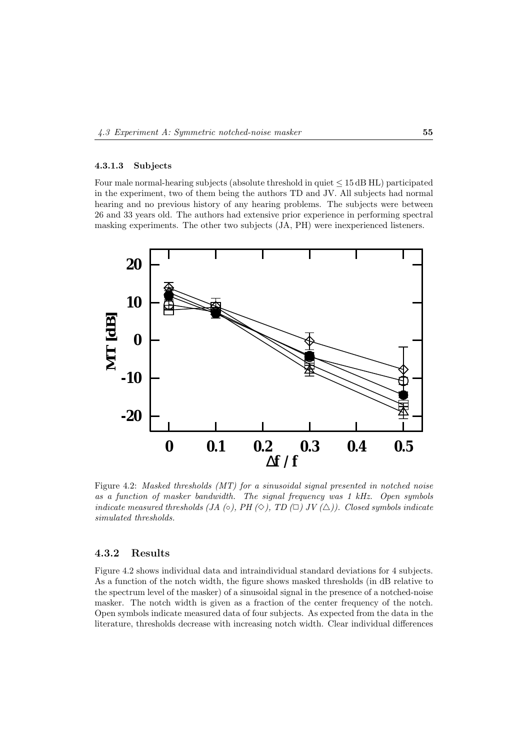#### **4.3.1.3 Subjects**

Four male normal-hearing subjects (absolute threshold in quiet  $\leq 15$  dB HL) participated in the experiment, two of them being the authors TD and JV. All subjects had normal hearing and no previous history of any hearing problems. The subjects were between 26 and 33 years old. The authors had extensive prior experience in performing spectral masking experiments. The other two subjects (JA, PH) were inexperienced listeners.



Figure 4.2: *Masked thresholds (MT) for a sinusoidal signal presented in notched noise as a function of masker bandwidth. The signal frequency was 1 kHz. Open symbols indicate measured thresholds (JA* ( $\circ$ ), *PH* ( $\diamond$ ), *TD* ( $\Box$ ) *JV* ( $\triangle$ )). Closed symbols indicate *simulated thresholds.*

#### **4.3.2 Results**

Figure 4.2 shows individual data and intraindividual standard deviations for 4 subjects. As a function of the notch width, the figure shows masked thresholds (in dB relative to the spectrum level of the masker) of a sinusoidal signal in the presence of a notched-noise masker. The notch width is given as a fraction of the center frequency of the notch. Open symbols indicate measured data of four subjects. As expected from the data in the literature, thresholds decrease with increasing notch width. Clear individual differences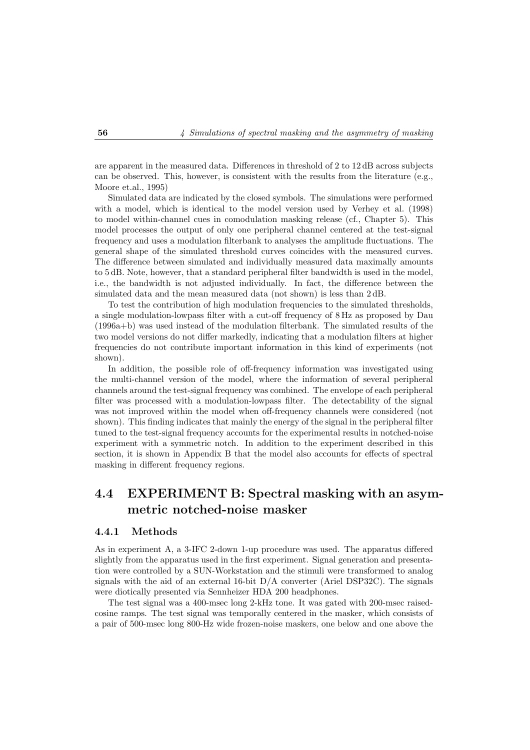are apparent in the measured data. Differences in threshold of 2 to 12 dB across subjects can be observed. This, however, is consistent with the results from the literature (e.g., Moore et.al., 1995)

Simulated data are indicated by the closed symbols. The simulations were performed with a model, which is identical to the model version used by Verhey et al. (1998) to model within-channel cues in comodulation masking release (cf., Chapter 5). This model processes the output of only one peripheral channel centered at the test-signal frequency and uses a modulation filterbank to analyses the amplitude fluctuations. The general shape of the simulated threshold curves coincides with the measured curves. The difference between simulated and individually measured data maximally amounts to 5 dB. Note, however, that a standard peripheral filter bandwidth is used in the model, i.e., the bandwidth is not adjusted individually. In fact, the difference between the simulated data and the mean measured data (not shown) is less than 2 dB.

To test the contribution of high modulation frequencies to the simulated thresholds, a single modulation-lowpass filter with a cut-off frequency of 8 Hz as proposed by Dau (1996a+b) was used instead of the modulation filterbank. The simulated results of the two model versions do not differ markedly, indicating that a modulation filters at higher frequencies do not contribute important information in this kind of experiments (not shown).

In addition, the possible role of off-frequency information was investigated using the multi-channel version of the model, where the information of several peripheral channels around the test-signal frequency was combined. The envelope of each peripheral filter was processed with a modulation-lowpass filter. The detectability of the signal was not improved within the model when off-frequency channels were considered (not shown). This finding indicates that mainly the energy of the signal in the peripheral filter tuned to the test-signal frequency accounts for the experimental results in notched-noise experiment with a symmetric notch. In addition to the experiment described in this section, it is shown in Appendix B that the model also accounts for effects of spectral masking in different frequency regions.

## **4.4 EXPERIMENT B: Spectral masking with an asymmetric notched-noise masker**

#### **4.4.1 Methods**

As in experiment A, a 3-IFC 2-down 1-up procedure was used. The apparatus differed slightly from the apparatus used in the first experiment. Signal generation and presentation were controlled by a SUN-Workstation and the stimuli were transformed to analog signals with the aid of an external 16-bit  $D/A$  converter (Ariel DSP32C). The signals were diotically presented via Sennheizer HDA 200 headphones.

The test signal was a 400-msec long 2-kHz tone. It was gated with 200-msec raisedcosine ramps. The test signal was temporally centered in the masker, which consists of a pair of 500-msec long 800-Hz wide frozen-noise maskers, one below and one above the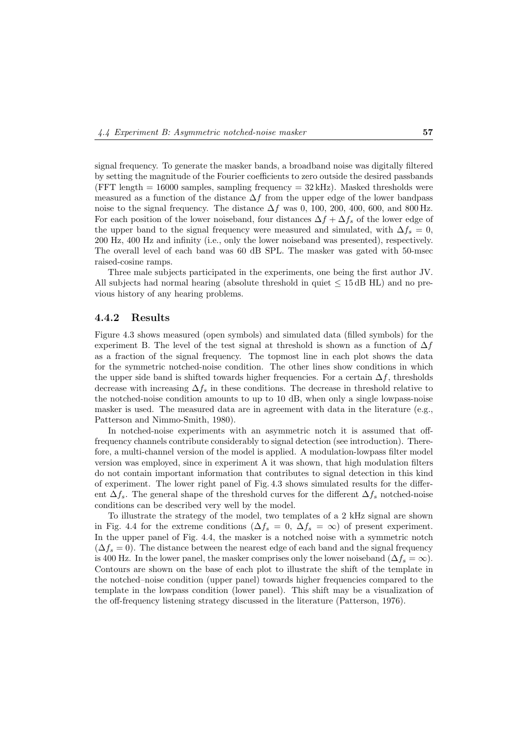signal frequency. To generate the masker bands, a broadband noise was digitally filtered by setting the magnitude of the Fourier coefficients to zero outside the desired passbands (FFT length  $= 16000$  samples, sampling frequency  $= 32 \text{ kHz}$ ). Masked thresholds were measured as a function of the distance  $\Delta f$  from the upper edge of the lower bandpass noise to the signal frequency. The distance  $\Delta f$  was 0, 100, 200, 400, 600, and 800 Hz. For each position of the lower noiseband, four distances  $\Delta f + \Delta f_s$  of the lower edge of the upper band to the signal frequency were measured and simulated, with  $\Delta f_s = 0$ , 200 Hz, 400 Hz and infinity (i.e., only the lower noiseband was presented), respectively. The overall level of each band was 60 dB SPL. The masker was gated with 50-msec raised-cosine ramps.

Three male subjects participated in the experiments, one being the first author JV. All subjects had normal hearing (absolute threshold in quiet  $\leq 15$  dB HL) and no previous history of any hearing problems.

#### **4.4.2 Results**

Figure 4.3 shows measured (open symbols) and simulated data (filled symbols) for the experiment B. The level of the test signal at threshold is shown as a function of  $\Delta f$ as a fraction of the signal frequency. The topmost line in each plot shows the data for the symmetric notched-noise condition. The other lines show conditions in which the upper side band is shifted towards higher frequencies. For a certain  $\Delta f$ , thresholds decrease with increasing  $\Delta f_s$  in these conditions. The decrease in threshold relative to the notched-noise condition amounts to up to 10 dB, when only a single lowpass-noise masker is used. The measured data are in agreement with data in the literature (e.g., Patterson and Nimmo-Smith, 1980).

In notched-noise experiments with an asymmetric notch it is assumed that offfrequency channels contribute considerably to signal detection (see introduction). Therefore, a multi-channel version of the model is applied. A modulation-lowpass filter model version was employed, since in experiment A it was shown, that high modulation filters do not contain important information that contributes to signal detection in this kind of experiment. The lower right panel of Fig. 4.3 shows simulated results for the different  $\Delta f_s$ . The general shape of the threshold curves for the different  $\Delta f_s$  notched-noise conditions can be described very well by the model.

To illustrate the strategy of the model, two templates of a 2 kHz signal are shown in Fig. 4.4 for the extreme conditions ( $\Delta f_s = 0$ ,  $\Delta f_s = \infty$ ) of present experiment. In the upper panel of Fig. 4.4, the masker is a notched noise with a symmetric notch  $(\Delta f_s = 0)$ . The distance between the nearest edge of each band and the signal frequency is 400 Hz. In the lower panel, the masker comprises only the lower noiseband ( $\Delta f_s = \infty$ ). Contours are shown on the base of each plot to illustrate the shift of the template in the notched–noise condition (upper panel) towards higher frequencies compared to the template in the lowpass condition (lower panel). This shift may be a visualization of the off-frequency listening strategy discussed in the literature (Patterson, 1976).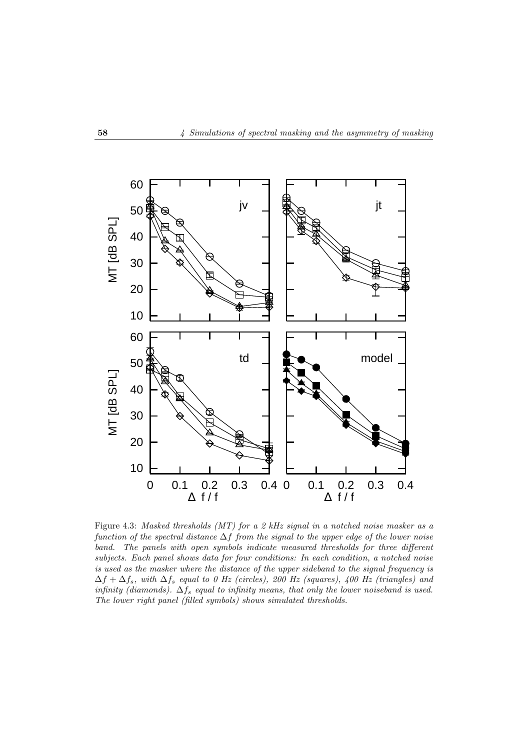

Figure 4.3: *Masked thresholds (MT) for a 2 kHz signal in a notched noise masker as a function of the spectral distance* ∆f *from the signal to the upper edge of the lower noise band. The panels with open symbols indicate measured thresholds for three different subjects. Each panel shows data for four conditions: In each condition, a notched noise is used as the masker where the distance of the upper sideband to the signal frequency is* ∆f + ∆fs*, with* ∆f<sup>s</sup> *equal to 0 Hz (circles), 200 Hz (squares), 400 Hz (triangles) and infinity (diamonds).* ∆f<sup>s</sup> *equal to infinity means, that only the lower noiseband is used. The lower right panel (filled symbols) shows simulated thresholds.*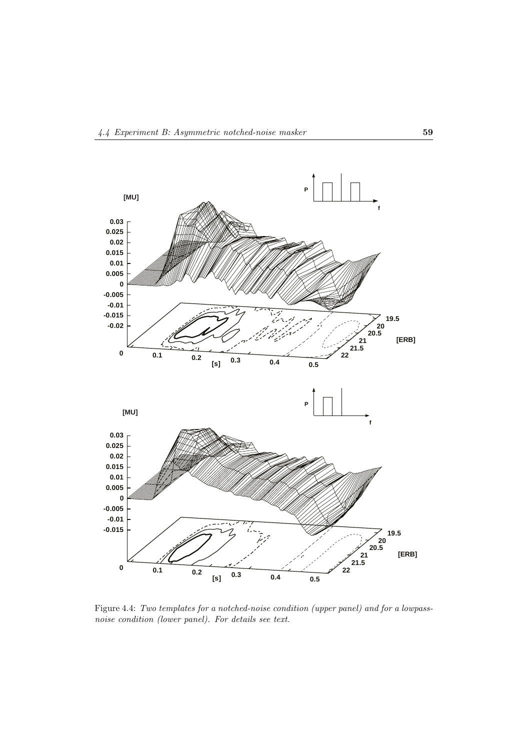

Figure 4.4: *Two templates for a notched-noise condition (upper panel) and for a lowpassnoise condition (lower panel). For details see text.*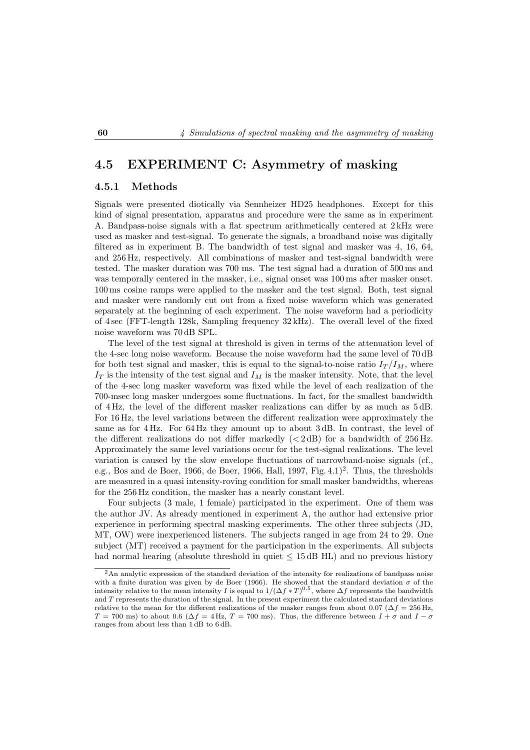## **4.5 EXPERIMENT C: Asymmetry of masking**

#### **4.5.1 Methods**

Signals were presented diotically via Sennheizer HD25 headphones. Except for this kind of signal presentation, apparatus and procedure were the same as in experiment A. Bandpass-noise signals with a flat spectrum arithmetically centered at 2 kHz were used as masker and test-signal. To generate the signals, a broadband noise was digitally filtered as in experiment B. The bandwidth of test signal and masker was 4, 16, 64, and 256 Hz, respectively. All combinations of masker and test-signal bandwidth were tested. The masker duration was 700 ms. The test signal had a duration of 500 ms and was temporally centered in the masker, i.e., signal onset was 100 ms after masker onset. 100 ms cosine ramps were applied to the masker and the test signal. Both, test signal and masker were randomly cut out from a fixed noise waveform which was generated separately at the beginning of each experiment. The noise waveform had a periodicity of 4 sec (FFT-length 128k, Sampling frequency 32 kHz). The overall level of the fixed noise waveform was 70 dB SPL.

The level of the test signal at threshold is given in terms of the attenuation level of the 4-sec long noise waveform. Because the noise waveform had the same level of 70 dB for both test signal and masker, this is equal to the signal-to-noise ratio  $I_T/I_M$ , where  $I_T$  is the intensity of the test signal and  $I_M$  is the masker intensity. Note, that the level of the 4-sec long masker waveform was fixed while the level of each realization of the 700-msec long masker undergoes some fluctuations. In fact, for the smallest bandwidth of 4 Hz, the level of the different masker realizations can differ by as much as 5 dB. For 16 Hz, the level variations between the different realization were approximately the same as for 4 Hz. For 64 Hz they amount up to about 3 dB. In contrast, the level of the different realizations do not differ markedly  $( $2 dB$ )$  for a bandwidth of  $256 Hz$ . Approximately the same level variations occur for the test-signal realizations. The level variation is caused by the slow envelope fluctuations of narrowband-noise signals (cf., e.g., Bos and de Boer, 1966, de Boer, 1966, Hall, 1997, Fig.  $4.1$ <sup>2</sup>. Thus, the thresholds are measured in a quasi intensity-roving condition for small masker bandwidths, whereas for the 256 Hz condition, the masker has a nearly constant level.

Four subjects (3 male, 1 female) participated in the experiment. One of them was the author JV. As already mentioned in experiment A, the author had extensive prior experience in performing spectral masking experiments. The other three subjects (JD, MT, OW) were inexperienced listeners. The subjects ranged in age from 24 to 29. One subject (MT) received a payment for the participation in the experiments. All subjects had normal hearing (absolute threshold in quiet  $\leq 15 \text{ dB HL}$ ) and no previous history

<sup>2</sup>An analytic expression of the standard deviation of the intensity for realizations of bandpass noise with a finite duration was given by de Boer (1966). He showed that the standard deviation  $\sigma$  of the intensity relative to the mean intensity I is equal to  $1/(\Delta f * T)^{0.5}$ , where  $\Delta f$  represents the bandwidth and T represents the duration of the signal. In the present experiment the calculated standard deviations relative to the mean for the different realizations of the masker ranges from about 0.07 ( $\Delta f = 256$  Hz,  $T = 700$  ms) to about 0.6 ( $\Delta f = 4$  Hz,  $T = 700$  ms). Thus, the difference between  $I + \sigma$  and  $I - \sigma$ ranges from about less than 1 dB to 6 dB.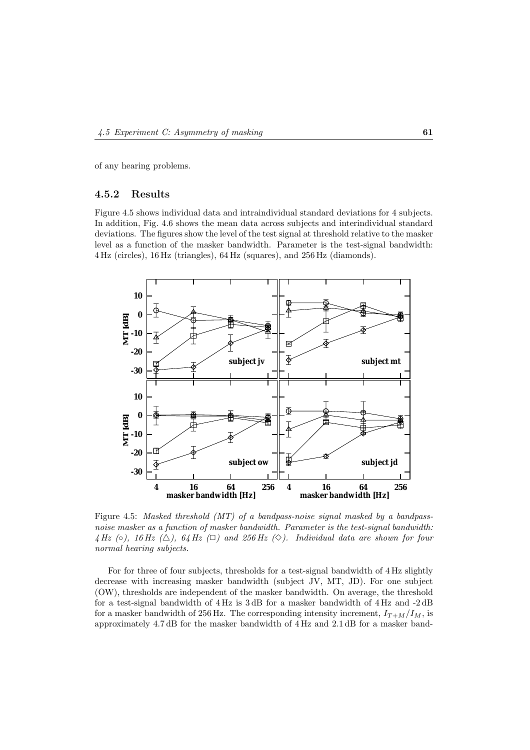of any hearing problems.

#### **4.5.2 Results**

Figure 4.5 shows individual data and intraindividual standard deviations for 4 subjects. In addition, Fig. 4.6 shows the mean data across subjects and interindividual standard deviations. The figures show the level of the test signal at threshold relative to the masker level as a function of the masker bandwidth. Parameter is the test-signal bandwidth: 4 Hz (circles), 16 Hz (triangles), 64 Hz (squares), and 256 Hz (diamonds).



Figure 4.5: *Masked threshold (MT) of a bandpass-noise signal masked by a bandpassnoise masker as a function of masker bandwidth. Parameter is the test-signal bandwidth:* 4 Hz ( $\circ$ ), 16 Hz ( $\triangle$ ), 64 Hz ( $\Box$ ) and 256 Hz ( $\diamond$ ). Individual data are shown for four *normal hearing subjects.*

For for three of four subjects, thresholds for a test-signal bandwidth of 4 Hz slightly decrease with increasing masker bandwidth (subject JV, MT, JD). For one subject (OW), thresholds are independent of the masker bandwidth. On average, the threshold for a test-signal bandwidth of 4 Hz is 3 dB for a masker bandwidth of 4 Hz and -2 dB for a masker bandwidth of 256 Hz. The corresponding intensity increment,  $I_{T+M}/I_M$ , is approximately 4.7 dB for the masker bandwidth of 4 Hz and 2.1 dB for a masker band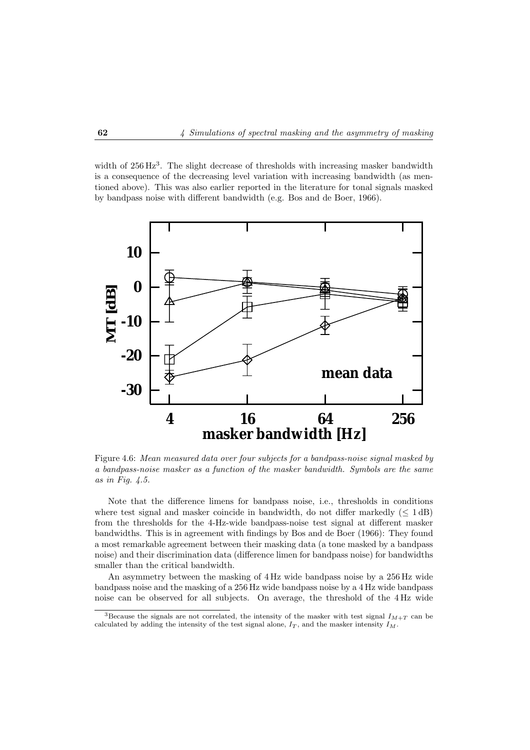width of 256 Hz<sup>3</sup>. The slight decrease of thresholds with increasing masker bandwidth is a consequence of the decreasing level variation with increasing bandwidth (as mentioned above). This was also earlier reported in the literature for tonal signals masked by bandpass noise with different bandwidth (e.g. Bos and de Boer, 1966).



Figure 4.6: *Mean measured data over four subjects for a bandpass-noise signal masked by a bandpass-noise masker as a function of the masker bandwidth. Symbols are the same as in Fig. 4.5.*

Note that the difference limens for bandpass noise, i.e., thresholds in conditions where test signal and masker coincide in bandwidth, do not differ markedly  $(< 1 \text{ dB})$ from the thresholds for the 4-Hz-wide bandpass-noise test signal at different masker bandwidths. This is in agreement with findings by Bos and de Boer (1966): They found a most remarkable agreement between their masking data (a tone masked by a bandpass noise) and their discrimination data (difference limen for bandpass noise) for bandwidths smaller than the critical bandwidth.

An asymmetry between the masking of 4 Hz wide bandpass noise by a 256 Hz wide bandpass noise and the masking of a 256 Hz wide bandpass noise by a 4 Hz wide bandpass noise can be observed for all subjects. On average, the threshold of the 4 Hz wide

<sup>&</sup>lt;sup>3</sup>Because the signals are not correlated, the intensity of the masker with test signal  $I_{M+T}$  can be calculated by adding the intensity of the test signal alone,  $I_T$ , and the masker intensity  $I_M$ .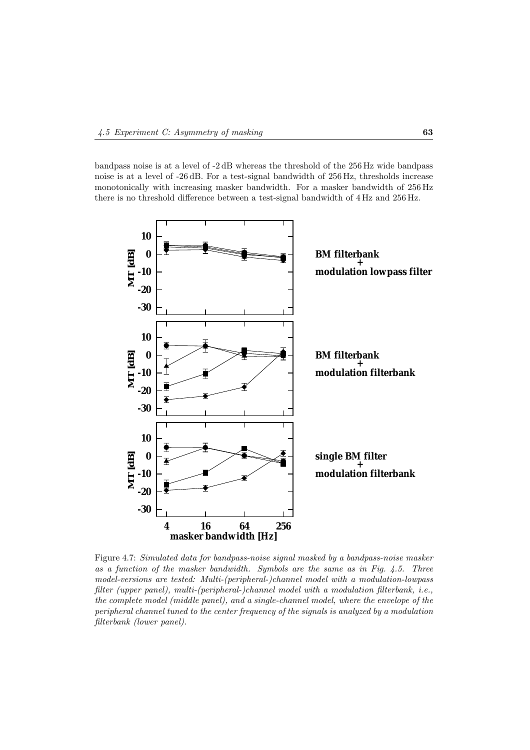bandpass noise is at a level of -2 dB whereas the threshold of the 256 Hz wide bandpass noise is at a level of -26 dB. For a test-signal bandwidth of 256 Hz, thresholds increase monotonically with increasing masker bandwidth. For a masker bandwidth of 256 Hz there is no threshold difference between a test-signal bandwidth of 4 Hz and 256 Hz.



Figure 4.7: *Simulated data for bandpass-noise signal masked by a bandpass-noise masker as a function of the masker bandwidth. Symbols are the same as in Fig. 4.5. Three model-versions are tested: Multi-(peripheral-)channel model with a modulation-lowpass filter (upper panel), multi-(peripheral-)channel model with a modulation filterbank, i.e., the complete model (middle panel), and a single-channel model, where the envelope of the peripheral channel tuned to the center frequency of the signals is analyzed by a modulation filterbank (lower panel).*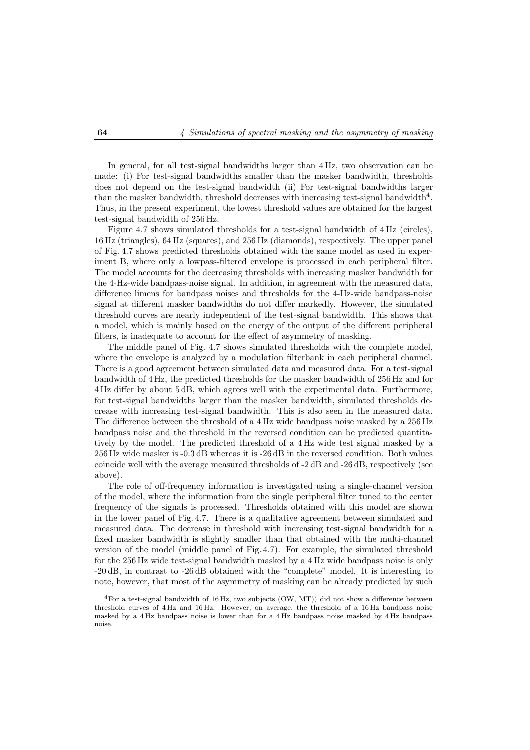In general, for all test-signal bandwidths larger than 4 Hz, two observation can be made: (i) For test-signal bandwidths smaller than the masker bandwidth, thresholds does not depend on the test-signal bandwidth (ii) For test-signal bandwidths larger than the masker bandwidth, threshold decreases with increasing test-signal bandwidth $4^4$ . Thus, in the present experiment, the lowest threshold values are obtained for the largest test-signal bandwidth of 256 Hz.

Figure 4.7 shows simulated thresholds for a test-signal bandwidth of 4 Hz (circles), 16 Hz (triangles), 64 Hz (squares), and 256 Hz (diamonds), respectively. The upper panel of Fig. 4.7 shows predicted thresholds obtained with the same model as used in experiment B, where only a lowpass-filtered envelope is processed in each peripheral filter. The model accounts for the decreasing thresholds with increasing masker bandwidth for the 4-Hz-wide bandpass-noise signal. In addition, in agreement with the measured data, difference limens for bandpass noises and thresholds for the 4-Hz-wide bandpass-noise signal at different masker bandwidths do not differ markedly. However, the simulated threshold curves are nearly independent of the test-signal bandwidth. This shows that a model, which is mainly based on the energy of the output of the different peripheral filters, is inadequate to account for the effect of asymmetry of masking.

The middle panel of Fig. 4.7 shows simulated thresholds with the complete model, where the envelope is analyzed by a modulation filterbank in each peripheral channel. There is a good agreement between simulated data and measured data. For a test-signal bandwidth of 4 Hz, the predicted thresholds for the masker bandwidth of 256 Hz and for 4 Hz differ by about 5 dB, which agrees well with the experimental data. Furthermore, for test-signal bandwidths larger than the masker bandwidth, simulated thresholds decrease with increasing test-signal bandwidth. This is also seen in the measured data. The difference between the threshold of a 4 Hz wide bandpass noise masked by a 256 Hz bandpass noise and the threshold in the reversed condition can be predicted quantitatively by the model. The predicted threshold of a 4 Hz wide test signal masked by a 256 Hz wide masker is -0.3 dB whereas it is -26 dB in the reversed condition. Both values coincide well with the average measured thresholds of -2 dB and -26 dB, respectively (see above).

The role of off-frequency information is investigated using a single-channel version of the model, where the information from the single peripheral filter tuned to the center frequency of the signals is processed. Thresholds obtained with this model are shown in the lower panel of Fig. 4.7. There is a qualitative agreement between simulated and measured data. The decrease in threshold with increasing test-signal bandwidth for a fixed masker bandwidth is slightly smaller than that obtained with the multi-channel version of the model (middle panel of Fig. 4.7). For example, the simulated threshold for the 256 Hz wide test-signal bandwidth masked by a 4 Hz wide bandpass noise is only -20 dB, in contrast to -26 dB obtained with the "complete" model. It is interesting to note, however, that most of the asymmetry of masking can be already predicted by such

 ${}^{4}$  For a test-signal bandwidth of 16 Hz, two subjects (OW, MT)) did not show a difference between threshold curves of 4 Hz and 16 Hz. However, on average, the threshold of a 16 Hz bandpass noise masked by a 4 Hz bandpass noise is lower than for a 4 Hz bandpass noise masked by 4 Hz bandpass noise.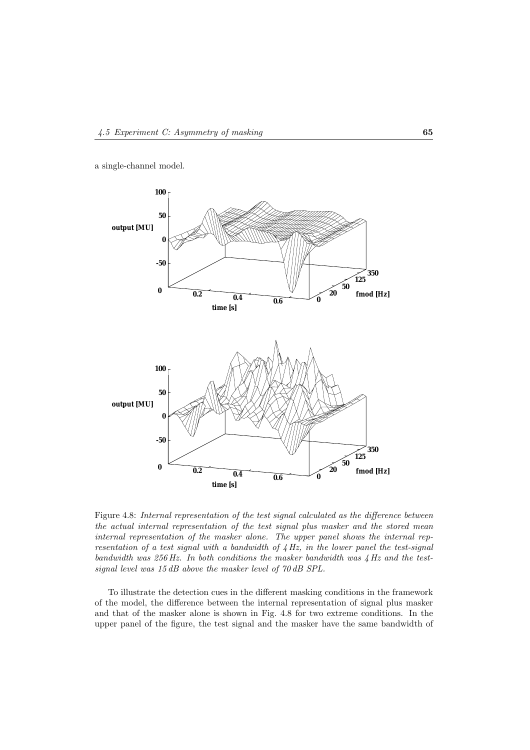a single-channel model.



Figure 4.8: *Internal representation of the test signal calculated as the difference between the actual internal representation of the test signal plus masker and the stored mean internal representation of the masker alone. The upper panel shows the internal representation of a test signal with a bandwidth of 4 Hz, in the lower panel the test-signal bandwidth was 256 Hz. In both conditions the masker bandwidth was 4 Hz and the testsignal level was 15 dB above the masker level of 70 dB SPL.*

To illustrate the detection cues in the different masking conditions in the framework of the model, the difference between the internal representation of signal plus masker and that of the masker alone is shown in Fig. 4.8 for two extreme conditions. In the upper panel of the figure, the test signal and the masker have the same bandwidth of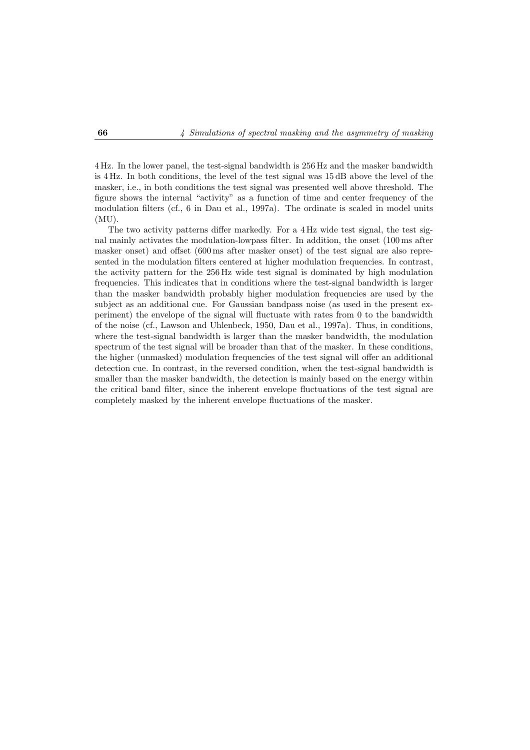4 Hz. In the lower panel, the test-signal bandwidth is 256 Hz and the masker bandwidth is 4 Hz. In both conditions, the level of the test signal was 15 dB above the level of the masker, i.e., in both conditions the test signal was presented well above threshold. The figure shows the internal "activity" as a function of time and center frequency of the modulation filters (cf., 6 in Dau et al., 1997a). The ordinate is scaled in model units  $(MU)$ .

The two activity patterns differ markedly. For a  $4 \text{ Hz}$  wide test signal, the test signal mainly activates the modulation-lowpass filter. In addition, the onset (100 ms after masker onset) and offset (600 ms after masker onset) of the test signal are also represented in the modulation filters centered at higher modulation frequencies. In contrast, the activity pattern for the 256 Hz wide test signal is dominated by high modulation frequencies. This indicates that in conditions where the test-signal bandwidth is larger than the masker bandwidth probably higher modulation frequencies are used by the subject as an additional cue. For Gaussian bandpass noise (as used in the present experiment) the envelope of the signal will fluctuate with rates from 0 to the bandwidth of the noise (cf., Lawson and Uhlenbeck, 1950, Dau et al., 1997a). Thus, in conditions, where the test-signal bandwidth is larger than the masker bandwidth, the modulation spectrum of the test signal will be broader than that of the masker. In these conditions, the higher (unmasked) modulation frequencies of the test signal will offer an additional detection cue. In contrast, in the reversed condition, when the test-signal bandwidth is smaller than the masker bandwidth, the detection is mainly based on the energy within the critical band filter, since the inherent envelope fluctuations of the test signal are completely masked by the inherent envelope fluctuations of the masker.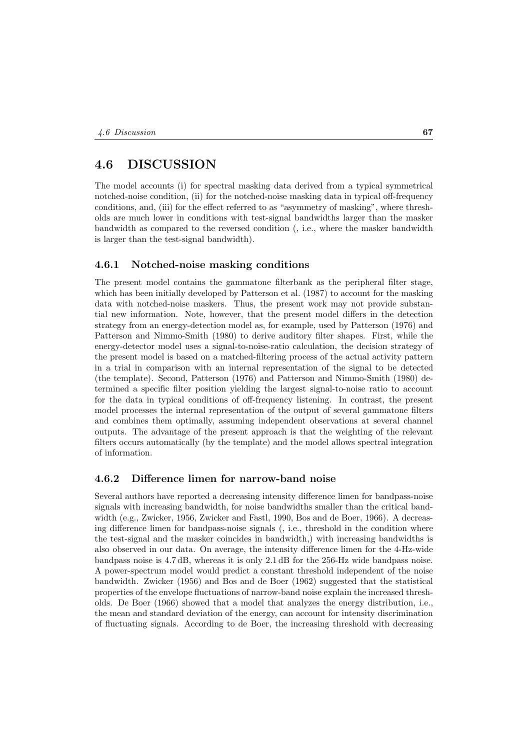## **4.6 DISCUSSION**

The model accounts (i) for spectral masking data derived from a typical symmetrical notched-noise condition, (ii) for the notched-noise masking data in typical off-frequency conditions, and, (iii) for the effect referred to as "asymmetry of masking", where thresholds are much lower in conditions with test-signal bandwidths larger than the masker bandwidth as compared to the reversed condition (, i.e., where the masker bandwidth is larger than the test-signal bandwidth).

#### **4.6.1 Notched-noise masking conditions**

The present model contains the gammatone filterbank as the peripheral filter stage, which has been initially developed by Patterson et al. (1987) to account for the masking data with notched-noise maskers. Thus, the present work may not provide substantial new information. Note, however, that the present model differs in the detection strategy from an energy-detection model as, for example, used by Patterson (1976) and Patterson and Nimmo-Smith (1980) to derive auditory filter shapes. First, while the energy-detector model uses a signal-to-noise-ratio calculation, the decision strategy of the present model is based on a matched-filtering process of the actual activity pattern in a trial in comparison with an internal representation of the signal to be detected (the template). Second, Patterson (1976) and Patterson and Nimmo-Smith (1980) determined a specific filter position yielding the largest signal-to-noise ratio to account for the data in typical conditions of off-frequency listening. In contrast, the present model processes the internal representation of the output of several gammatone filters and combines them optimally, assuming independent observations at several channel outputs. The advantage of the present approach is that the weighting of the relevant filters occurs automatically (by the template) and the model allows spectral integration of information.

#### **4.6.2 Difference limen for narrow-band noise**

Several authors have reported a decreasing intensity difference limen for bandpass-noise signals with increasing bandwidth, for noise bandwidths smaller than the critical bandwidth (e.g., Zwicker, 1956, Zwicker and Fastl, 1990, Bos and de Boer, 1966). A decreasing difference limen for bandpass-noise signals (, i.e., threshold in the condition where the test-signal and the masker coincides in bandwidth,) with increasing bandwidths is also observed in our data. On average, the intensity difference limen for the 4-Hz-wide bandpass noise is 4.7 dB, whereas it is only 2.1 dB for the 256-Hz wide bandpass noise. A power-spectrum model would predict a constant threshold independent of the noise bandwidth. Zwicker (1956) and Bos and de Boer (1962) suggested that the statistical properties of the envelope fluctuations of narrow-band noise explain the increased thresholds. De Boer (1966) showed that a model that analyzes the energy distribution, i.e., the mean and standard deviation of the energy, can account for intensity discrimination of fluctuating signals. According to de Boer, the increasing threshold with decreasing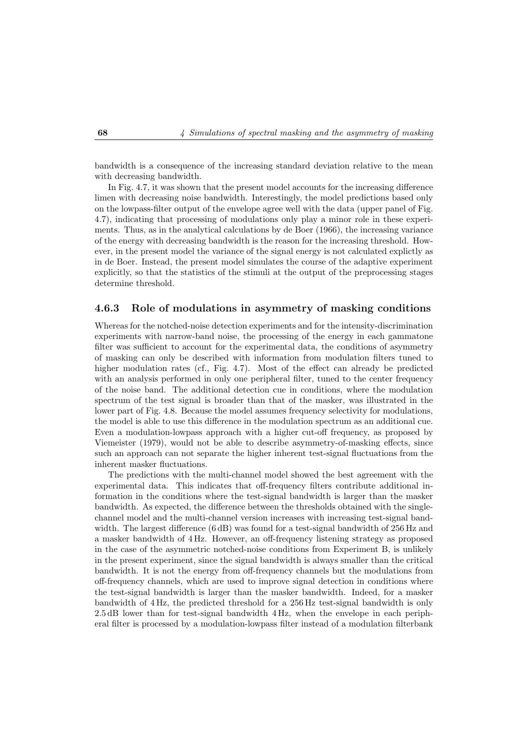bandwidth is a consequence of the increasing standard deviation relative to the mean with decreasing bandwidth.

In Fig. 4.7, it was shown that the present model accounts for the increasing difference limen with decreasing noise bandwidth. Interestingly, the model predictions based only on the lowpass-filter output of the envelope agree well with the data (upper panel of Fig. 4.7), indicating that processing of modulations only play a minor role in these experiments. Thus, as in the analytical calculations by de Boer (1966), the increasing variance of the energy with decreasing bandwidth is the reason for the increasing threshold. However, in the present model the variance of the signal energy is not calculated explictly as in de Boer. Instead, the present model simulates the course of the adaptive experiment explicitly, so that the statistics of the stimuli at the output of the preprocessing stages determine threshold.

#### **4.6.3 Role of modulations in asymmetry of masking conditions**

Whereas for the notched-noise detection experiments and for the intensity-discrimination experiments with narrow-band noise, the processing of the energy in each gammatone filter was sufficient to account for the experimental data, the conditions of asymmetry of masking can only be described with information from modulation filters tuned to higher modulation rates (cf., Fig. 4.7). Most of the effect can already be predicted with an analysis performed in only one peripheral filter, tuned to the center frequency of the noise band. The additional detection cue in conditions, where the modulation spectrum of the test signal is broader than that of the masker, was illustrated in the lower part of Fig. 4.8. Because the model assumes frequency selectivity for modulations, the model is able to use this difference in the modulation spectrum as an additional cue. Even a modulation-lowpass approach with a higher cut-off frequency, as proposed by Viemeister (1979), would not be able to describe asymmetry-of-masking effects, since such an approach can not separate the higher inherent test-signal fluctuations from the inherent masker fluctuations.

The predictions with the multi-channel model showed the best agreement with the experimental data. This indicates that off-frequency filters contribute additional information in the conditions where the test-signal bandwidth is larger than the masker bandwidth. As expected, the difference between the thresholds obtained with the singlechannel model and the multi-channel version increases with increasing test-signal bandwidth. The largest difference (6 dB) was found for a test-signal bandwidth of 256 Hz and a masker bandwidth of 4 Hz. However, an off-frequency listening strategy as proposed in the case of the asymmetric notched-noise conditions from Experiment B, is unlikely in the present experiment, since the signal bandwidth is always smaller than the critical bandwidth. It is not the energy from off-frequency channels but the modulations from off-frequency channels, which are used to improve signal detection in conditions where the test-signal bandwidth is larger than the masker bandwidth. Indeed, for a masker bandwidth of 4 Hz, the predicted threshold for a 256 Hz test-signal bandwidth is only 2.5 dB lower than for test-signal bandwidth 4 Hz, when the envelope in each peripheral filter is processed by a modulation-lowpass filter instead of a modulation filterbank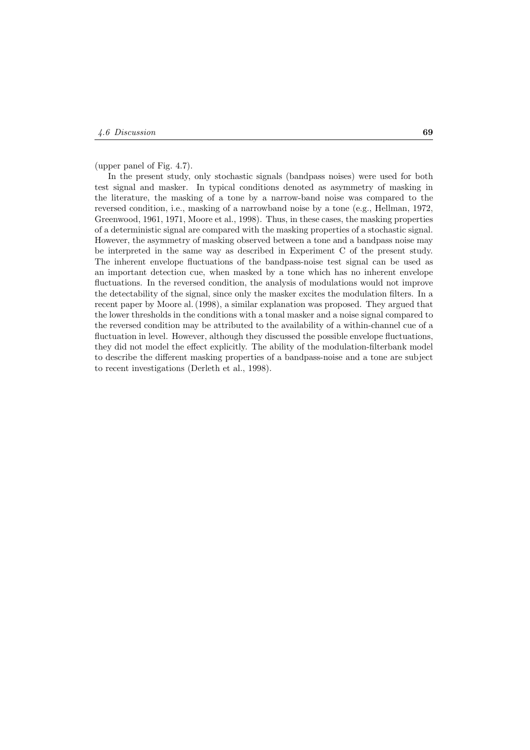(upper panel of Fig. 4.7).

In the present study, only stochastic signals (bandpass noises) were used for both test signal and masker. In typical conditions denoted as asymmetry of masking in the literature, the masking of a tone by a narrow-band noise was compared to the reversed condition, i.e., masking of a narrowband noise by a tone (e.g., Hellman, 1972, Greenwood, 1961, 1971, Moore et al., 1998). Thus, in these cases, the masking properties of a deterministic signal are compared with the masking properties of a stochastic signal. However, the asymmetry of masking observed between a tone and a bandpass noise may be interpreted in the same way as described in Experiment C of the present study. The inherent envelope fluctuations of the bandpass-noise test signal can be used as an important detection cue, when masked by a tone which has no inherent envelope fluctuations. In the reversed condition, the analysis of modulations would not improve the detectability of the signal, since only the masker excites the modulation filters. In a recent paper by Moore al. (1998), a similar explanation was proposed. They argued that the lower thresholds in the conditions with a tonal masker and a noise signal compared to the reversed condition may be attributed to the availability of a within-channel cue of a fluctuation in level. However, although they discussed the possible envelope fluctuations, they did not model the effect explicitly. The ability of the modulation-filterbank model to describe the different masking properties of a bandpass-noise and a tone are subject to recent investigations (Derleth et al., 1998).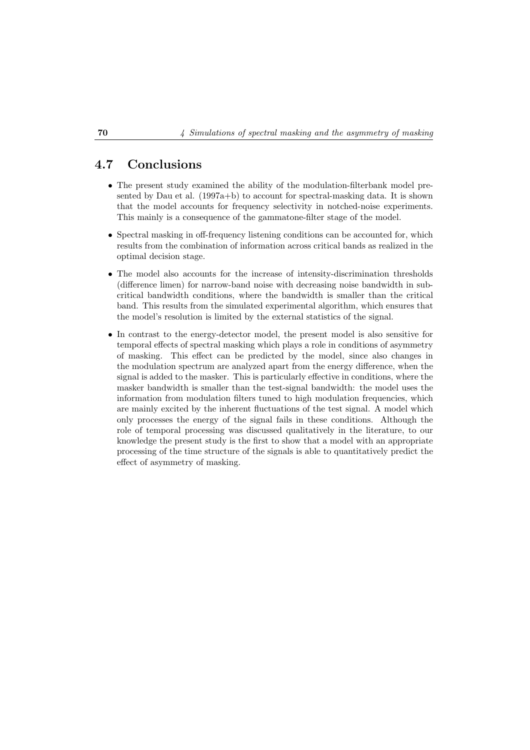## **4.7 Conclusions**

- The present study examined the ability of the modulation-filterbank model presented by Dau et al. (1997a+b) to account for spectral-masking data. It is shown that the model accounts for frequency selectivity in notched-noise experiments. This mainly is a consequence of the gammatone-filter stage of the model.
- Spectral masking in off-frequency listening conditions can be accounted for, which results from the combination of information across critical bands as realized in the optimal decision stage.
- The model also accounts for the increase of intensity-discrimination thresholds (difference limen) for narrow-band noise with decreasing noise bandwidth in subcritical bandwidth conditions, where the bandwidth is smaller than the critical band. This results from the simulated experimental algorithm, which ensures that the model's resolution is limited by the external statistics of the signal.
- In contrast to the energy-detector model, the present model is also sensitive for temporal effects of spectral masking which plays a role in conditions of asymmetry of masking. This effect can be predicted by the model, since also changes in the modulation spectrum are analyzed apart from the energy difference, when the signal is added to the masker. This is particularly effective in conditions, where the masker bandwidth is smaller than the test-signal bandwidth: the model uses the information from modulation filters tuned to high modulation frequencies, which are mainly excited by the inherent fluctuations of the test signal. A model which only processes the energy of the signal fails in these conditions. Although the role of temporal processing was discussed qualitatively in the literature, to our knowledge the present study is the first to show that a model with an appropriate processing of the time structure of the signals is able to quantitatively predict the effect of asymmetry of masking.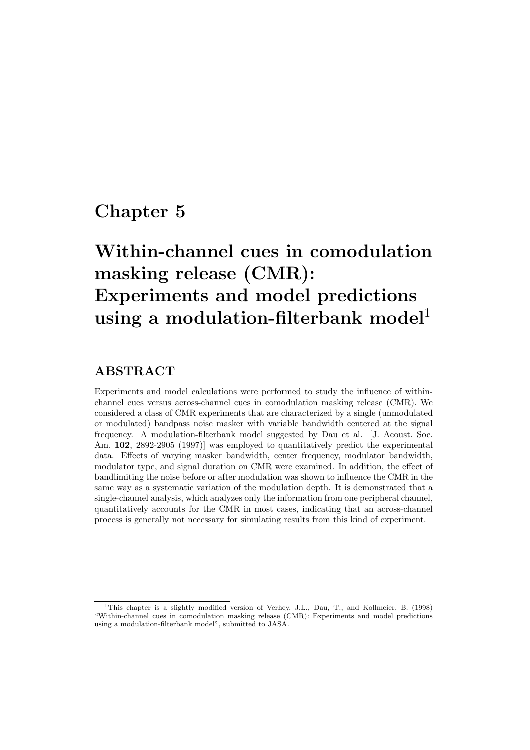## **Chapter 5**

# **Within-channel cues in comodulation masking release (CMR): Experiments and model predictions** using a modulation-filterbank model<sup>1</sup>

## **ABSTRACT**

Experiments and model calculations were performed to study the influence of withinchannel cues versus across-channel cues in comodulation masking release (CMR). We considered a class of CMR experiments that are characterized by a single (unmodulated or modulated) bandpass noise masker with variable bandwidth centered at the signal frequency. A modulation-filterbank model suggested by Dau et al. [J. Acoust. Soc. Am. **102**, 2892-2905 (1997)] was employed to quantitatively predict the experimental data. Effects of varying masker bandwidth, center frequency, modulator bandwidth, modulator type, and signal duration on CMR were examined. In addition, the effect of bandlimiting the noise before or after modulation was shown to influence the CMR in the same way as a systematic variation of the modulation depth. It is demonstrated that a single-channel analysis, which analyzes only the information from one peripheral channel, quantitatively accounts for the CMR in most cases, indicating that an across-channel process is generally not necessary for simulating results from this kind of experiment.

<sup>1</sup>This chapter is a slightly modified version of Verhey, J.L., Dau, T., and Kollmeier, B. (1998) "Within-channel cues in comodulation masking release (CMR): Experiments and model predictions using a modulation-filterbank model", submitted to JASA.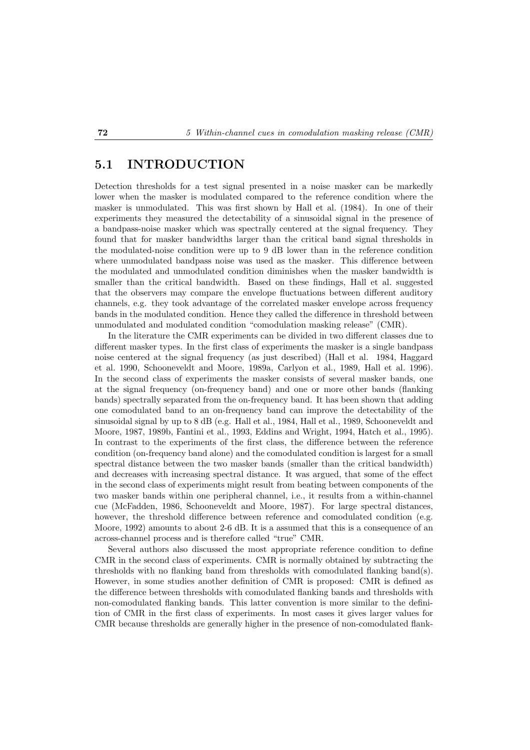## **5.1 INTRODUCTION**

Detection thresholds for a test signal presented in a noise masker can be markedly lower when the masker is modulated compared to the reference condition where the masker is unmodulated. This was first shown by Hall et al. (1984). In one of their experiments they measured the detectability of a sinusoidal signal in the presence of a bandpass-noise masker which was spectrally centered at the signal frequency. They found that for masker bandwidths larger than the critical band signal thresholds in the modulated-noise condition were up to 9 dB lower than in the reference condition where unmodulated bandpass noise was used as the masker. This difference between the modulated and unmodulated condition diminishes when the masker bandwidth is smaller than the critical bandwidth. Based on these findings, Hall et al. suggested that the observers may compare the envelope fluctuations between different auditory channels, e.g. they took advantage of the correlated masker envelope across frequency bands in the modulated condition. Hence they called the difference in threshold between unmodulated and modulated condition "comodulation masking release" (CMR).

In the literature the CMR experiments can be divided in two different classes due to different masker types. In the first class of experiments the masker is a single bandpass noise centered at the signal frequency (as just described) (Hall et al. 1984, Haggard et al. 1990, Schooneveldt and Moore, 1989a, Carlyon et al., 1989, Hall et al. 1996). In the second class of experiments the masker consists of several masker bands, one at the signal frequency (on-frequency band) and one or more other bands (flanking bands) spectrally separated from the on-frequency band. It has been shown that adding one comodulated band to an on-frequency band can improve the detectability of the sinusoidal signal by up to 8 dB (e.g. Hall et al., 1984, Hall et al., 1989, Schooneveldt and Moore, 1987, 1989b, Fantini et al., 1993, Eddins and Wright, 1994, Hatch et al., 1995). In contrast to the experiments of the first class, the difference between the reference condition (on-frequency band alone) and the comodulated condition is largest for a small spectral distance between the two masker bands (smaller than the critical bandwidth) and decreases with increasing spectral distance. It was argued, that some of the effect in the second class of experiments might result from beating between components of the two masker bands within one peripheral channel, i.e., it results from a within-channel cue (McFadden, 1986, Schooneveldt and Moore, 1987). For large spectral distances, however, the threshold difference between reference and comodulated condition (e.g. Moore, 1992) amounts to about 2-6 dB. It is a assumed that this is a consequence of an across-channel process and is therefore called "true" CMR.

Several authors also discussed the most appropriate reference condition to define CMR in the second class of experiments. CMR is normally obtained by subtracting the thresholds with no flanking band from thresholds with comodulated flanking band(s). However, in some studies another definition of CMR is proposed: CMR is defined as the difference between thresholds with comodulated flanking bands and thresholds with non-comodulated flanking bands. This latter convention is more similar to the definition of CMR in the first class of experiments. In most cases it gives larger values for CMR because thresholds are generally higher in the presence of non-comodulated flank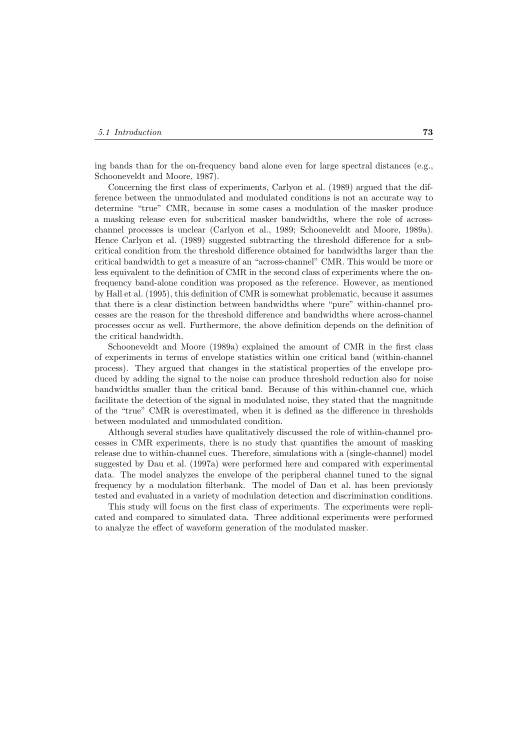ing bands than for the on-frequency band alone even for large spectral distances (e.g., Schooneveldt and Moore, 1987).

Concerning the first class of experiments, Carlyon et al. (1989) argued that the difference between the unmodulated and modulated conditions is not an accurate way to determine "true" CMR, because in some cases a modulation of the masker produce a masking release even for subcritical masker bandwidths, where the role of acrosschannel processes is unclear (Carlyon et al., 1989; Schooneveldt and Moore, 1989a). Hence Carlyon et al. (1989) suggested subtracting the threshold difference for a subcritical condition from the threshold difference obtained for bandwidths larger than the critical bandwidth to get a measure of an "across-channel" CMR. This would be more or less equivalent to the definition of CMR in the second class of experiments where the onfrequency band-alone condition was proposed as the reference. However, as mentioned by Hall et al. (1995), this definition of CMR is somewhat problematic, because it assumes that there is a clear distinction between bandwidths where "pure" within-channel processes are the reason for the threshold difference and bandwidths where across-channel processes occur as well. Furthermore, the above definition depends on the definition of the critical bandwidth.

Schooneveldt and Moore (1989a) explained the amount of CMR in the first class of experiments in terms of envelope statistics within one critical band (within-channel process). They argued that changes in the statistical properties of the envelope produced by adding the signal to the noise can produce threshold reduction also for noise bandwidths smaller than the critical band. Because of this within-channel cue, which facilitate the detection of the signal in modulated noise, they stated that the magnitude of the "true" CMR is overestimated, when it is defined as the difference in thresholds between modulated and unmodulated condition.

Although several studies have qualitatively discussed the role of within-channel processes in CMR experiments, there is no study that quantifies the amount of masking release due to within-channel cues. Therefore, simulations with a (single-channel) model suggested by Dau et al. (1997a) were performed here and compared with experimental data. The model analyzes the envelope of the peripheral channel tuned to the signal frequency by a modulation filterbank. The model of Dau et al. has been previously tested and evaluated in a variety of modulation detection and discrimination conditions.

This study will focus on the first class of experiments. The experiments were replicated and compared to simulated data. Three additional experiments were performed to analyze the effect of waveform generation of the modulated masker.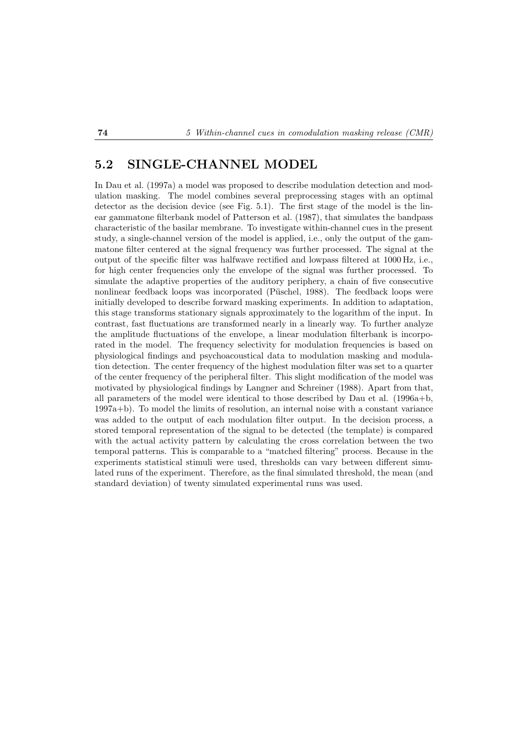## **5.2 SINGLE-CHANNEL MODEL**

In Dau et al. (1997a) a model was proposed to describe modulation detection and modulation masking. The model combines several preprocessing stages with an optimal detector as the decision device (see Fig. 5.1). The first stage of the model is the linear gammatone filterbank model of Patterson et al. (1987), that simulates the bandpass characteristic of the basilar membrane. To investigate within-channel cues in the present study, a single-channel version of the model is applied, i.e., only the output of the gammatone filter centered at the signal frequency was further processed. The signal at the output of the specific filter was halfwave rectified and lowpass filtered at 1000 Hz, i.e., for high center frequencies only the envelope of the signal was further processed. To simulate the adaptive properties of the auditory periphery, a chain of five consecutive nonlinear feedback loops was incorporated (Püschel, 1988). The feedback loops were initially developed to describe forward masking experiments. In addition to adaptation, this stage transforms stationary signals approximately to the logarithm of the input. In contrast, fast fluctuations are transformed nearly in a linearly way. To further analyze the amplitude fluctuations of the envelope, a linear modulation filterbank is incorporated in the model. The frequency selectivity for modulation frequencies is based on physiological findings and psychoacoustical data to modulation masking and modulation detection. The center frequency of the highest modulation filter was set to a quarter of the center frequency of the peripheral filter. This slight modification of the model was motivated by physiological findings by Langner and Schreiner (1988). Apart from that, all parameters of the model were identical to those described by Dau et al. (1996a+b, 1997a+b). To model the limits of resolution, an internal noise with a constant variance was added to the output of each modulation filter output. In the decision process, a stored temporal representation of the signal to be detected (the template) is compared with the actual activity pattern by calculating the cross correlation between the two temporal patterns. This is comparable to a "matched filtering" process. Because in the experiments statistical stimuli were used, thresholds can vary between different simulated runs of the experiment. Therefore, as the final simulated threshold, the mean (and standard deviation) of twenty simulated experimental runs was used.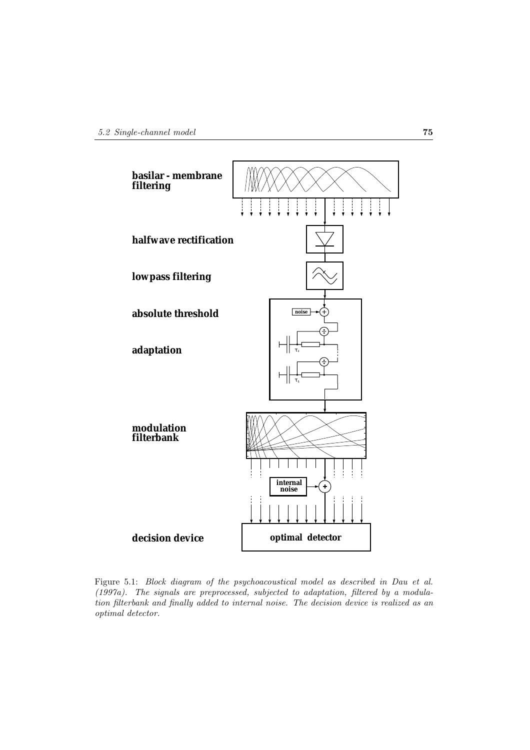

Figure 5.1: *Block diagram of the psychoacoustical model as described in Dau et al. (1997a). The signals are preprocessed, subjected to adaptation, filtered by a modulation filterbank and finally added to internal noise. The decision device is realized as an optimal detector.*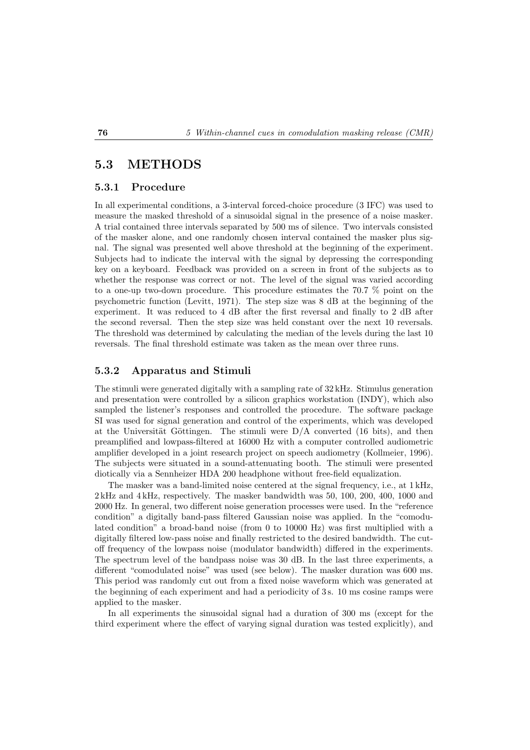## **5.3 METHODS**

#### **5.3.1 Procedure**

In all experimental conditions, a 3-interval forced-choice procedure (3 IFC) was used to measure the masked threshold of a sinusoidal signal in the presence of a noise masker. A trial contained three intervals separated by 500 ms of silence. Two intervals consisted of the masker alone, and one randomly chosen interval contained the masker plus signal. The signal was presented well above threshold at the beginning of the experiment. Subjects had to indicate the interval with the signal by depressing the corresponding key on a keyboard. Feedback was provided on a screen in front of the subjects as to whether the response was correct or not. The level of the signal was varied according to a one-up two-down procedure. This procedure estimates the 70.7 % point on the psychometric function (Levitt, 1971). The step size was 8 dB at the beginning of the experiment. It was reduced to 4 dB after the first reversal and finally to 2 dB after the second reversal. Then the step size was held constant over the next 10 reversals. The threshold was determined by calculating the median of the levels during the last 10 reversals. The final threshold estimate was taken as the mean over three runs.

#### **5.3.2 Apparatus and Stimuli**

The stimuli were generated digitally with a sampling rate of 32 kHz. Stimulus generation and presentation were controlled by a silicon graphics workstation (INDY), which also sampled the listener's responses and controlled the procedure. The software package SI was used for signal generation and control of the experiments, which was developed at the Universität Göttingen. The stimuli were  $D/A$  converted (16 bits), and then preamplified and lowpass-filtered at 16000 Hz with a computer controlled audiometric amplifier developed in a joint research project on speech audiometry (Kollmeier, 1996). The subjects were situated in a sound-attenuating booth. The stimuli were presented diotically via a Sennheizer HDA 200 headphone without free-field equalization.

The masker was a band-limited noise centered at the signal frequency, i.e., at 1 kHz, 2 kHz and 4 kHz, respectively. The masker bandwidth was 50, 100, 200, 400, 1000 and 2000 Hz. In general, two different noise generation processes were used. In the "reference condition" a digitally band-pass filtered Gaussian noise was applied. In the "comodulated condition" a broad-band noise (from 0 to 10000 Hz) was first multiplied with a digitally filtered low-pass noise and finally restricted to the desired bandwidth. The cutoff frequency of the lowpass noise (modulator bandwidth) differed in the experiments. The spectrum level of the bandpass noise was 30 dB. In the last three experiments, a different "comodulated noise" was used (see below). The masker duration was 600 ms. This period was randomly cut out from a fixed noise waveform which was generated at the beginning of each experiment and had a periodicity of 3 s. 10 ms cosine ramps were applied to the masker.

In all experiments the sinusoidal signal had a duration of 300 ms (except for the third experiment where the effect of varying signal duration was tested explicitly), and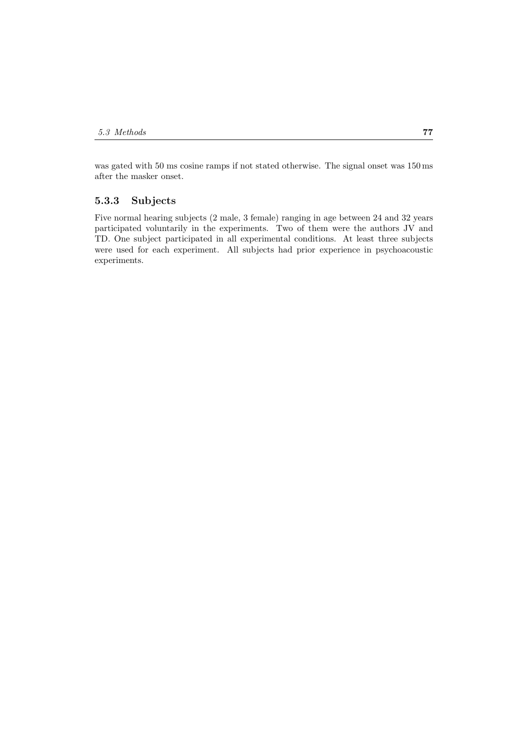was gated with 50 ms cosine ramps if not stated otherwise. The signal onset was 150 ms after the masker onset.

#### **5.3.3 Subjects**

Five normal hearing subjects (2 male, 3 female) ranging in age between 24 and 32 years participated voluntarily in the experiments. Two of them were the authors JV and TD. One subject participated in all experimental conditions. At least three subjects were used for each experiment. All subjects had prior experience in psychoacoustic experiments.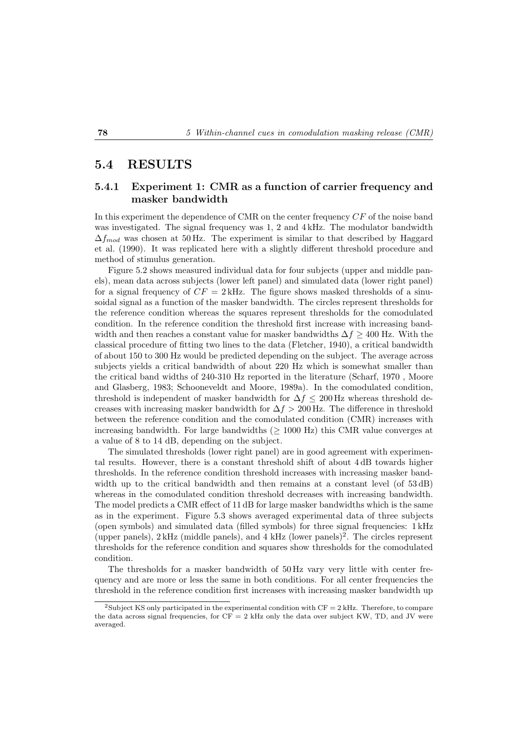### **5.4 RESULTS**

#### **5.4.1 Experiment 1: CMR as a function of carrier frequency and masker bandwidth**

In this experiment the dependence of CMR on the center frequency CF of the noise band was investigated. The signal frequency was 1, 2 and 4 kHz. The modulator bandwidth  $\Delta f_{mod}$  was chosen at 50 Hz. The experiment is similar to that described by Haggard et al. (1990). It was replicated here with a slightly different threshold procedure and method of stimulus generation.

Figure 5.2 shows measured individual data for four subjects (upper and middle panels), mean data across subjects (lower left panel) and simulated data (lower right panel) for a signal frequency of  $CF = 2$  kHz. The figure shows masked thresholds of a sinusoidal signal as a function of the masker bandwidth. The circles represent thresholds for the reference condition whereas the squares represent thresholds for the comodulated condition. In the reference condition the threshold first increase with increasing bandwidth and then reaches a constant value for masker bandwidths  $\Delta f \geq 400$  Hz. With the classical procedure of fitting two lines to the data (Fletcher, 1940), a critical bandwidth of about 150 to 300 Hz would be predicted depending on the subject. The average across subjects yields a critical bandwidth of about 220 Hz which is somewhat smaller than the critical band widths of 240-310 Hz reported in the literature (Scharf, 1970 , Moore and Glasberg, 1983; Schooneveldt and Moore, 1989a). In the comodulated condition, threshold is independent of masker bandwidth for  $\Delta f \leq 200$  Hz whereas threshold decreases with increasing masker bandwidth for  $\Delta f > 200$  Hz. The difference in threshold between the reference condition and the comodulated condition (CMR) increases with increasing bandwidth. For large bandwidths  $(≥ 1000 Hz)$  this CMR value converges at a value of 8 to 14 dB, depending on the subject.

The simulated thresholds (lower right panel) are in good agreement with experimental results. However, there is a constant threshold shift of about 4 dB towards higher thresholds. In the reference condition threshold increases with increasing masker bandwidth up to the critical bandwidth and then remains at a constant level (of  $53 \text{ dB}$ ) whereas in the comodulated condition threshold decreases with increasing bandwidth. The model predicts a CMR effect of 11 dB for large masker bandwidths which is the same as in the experiment. Figure 5.3 shows averaged experimental data of three subjects (open symbols) and simulated data (filled symbols) for three signal frequencies: 1 kHz (upper panels),  $2 \text{ kHz}$  (middle panels), and  $4 \text{ kHz}$  (lower panels)<sup>2</sup>. The circles represent thresholds for the reference condition and squares show thresholds for the comodulated condition.

The thresholds for a masker bandwidth of 50 Hz vary very little with center frequency and are more or less the same in both conditions. For all center frequencies the threshold in the reference condition first increases with increasing masker bandwidth up

<sup>&</sup>lt;sup>2</sup>Subject KS only participated in the experimental condition with  $CF = 2$  kHz. Therefore, to compare the data across signal frequencies, for  $CF = 2$  kHz only the data over subject KW, TD, and JV were averaged.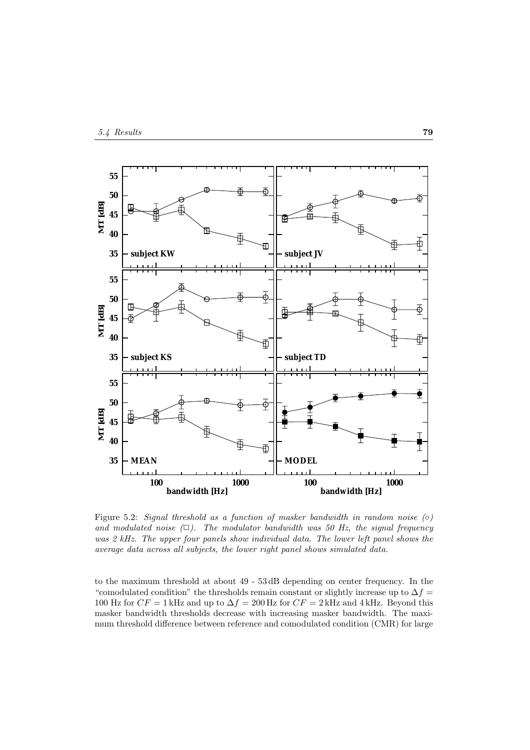

Figure 5.2: *Signal threshold as a function of masker bandwidth in random noise (*◦*)* and modulated noise  $(\Box)$ . The modulator bandwidth was 50 Hz, the signal frequency *was 2 kHz. The upper four panels show individual data. The lower left panel shows the average data across all subjects, the lower right panel shows simulated data.*

to the maximum threshold at about 49 - 53 dB depending on center frequency. In the "comodulated condition" the thresholds remain constant or slightly increase up to  $\Delta f =$ 100 Hz for  $CF = 1$  kHz and up to  $\Delta f = 200$  Hz for  $CF = 2$  kHz and 4 kHz. Beyond this masker bandwidth thresholds decrease with increasing masker bandwidth. The maximum threshold difference between reference and comodulated condition (CMR) for large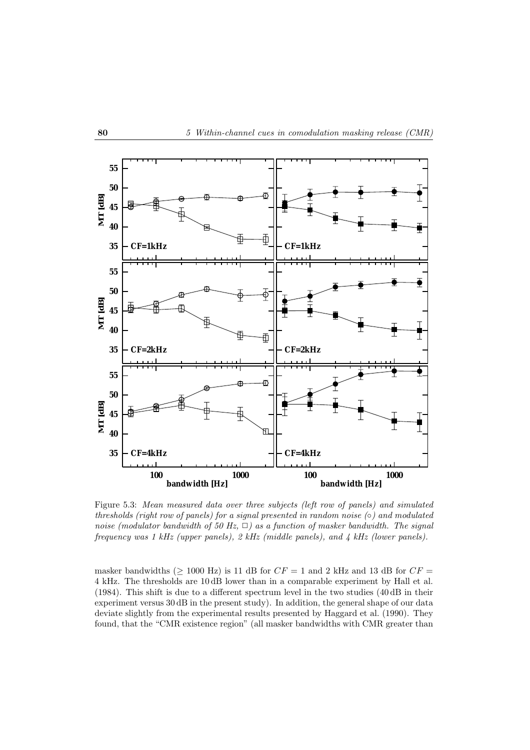

Figure 5.3: *Mean measured data over three subjects (left row of panels) and simulated thresholds (right row of panels) for a signal presented in random noise (*◦*) and modulated noise (modulator bandwidth of 50 Hz,*  $\Box$ ) as a function of masker bandwidth. The signal *frequency was 1 kHz (upper panels), 2 kHz (middle panels), and 4 kHz (lower panels).*

masker bandwidths ( $\geq$  1000 Hz) is 11 dB for  $CF = 1$  and 2 kHz and 13 dB for  $CF =$ 4 kHz. The thresholds are 10 dB lower than in a comparable experiment by Hall et al. (1984). This shift is due to a different spectrum level in the two studies (40 dB in their experiment versus 30 dB in the present study). In addition, the general shape of our data deviate slightly from the experimental results presented by Haggard et al. (1990). They found, that the "CMR existence region" (all masker bandwidths with CMR greater than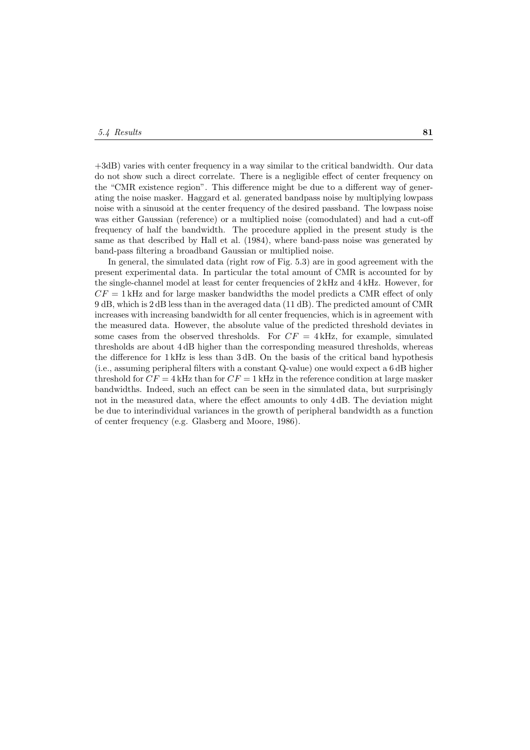+3dB) varies with center frequency in a way similar to the critical bandwidth. Our data do not show such a direct correlate. There is a negligible effect of center frequency on the "CMR existence region". This difference might be due to a different way of generating the noise masker. Haggard et al. generated bandpass noise by multiplying lowpass noise with a sinusoid at the center frequency of the desired passband. The lowpass noise was either Gaussian (reference) or a multiplied noise (comodulated) and had a cut-off frequency of half the bandwidth. The procedure applied in the present study is the same as that described by Hall et al. (1984), where band-pass noise was generated by band-pass filtering a broadband Gaussian or multiplied noise.

In general, the simulated data (right row of Fig. 5.3) are in good agreement with the present experimental data. In particular the total amount of CMR is accounted for by the single-channel model at least for center frequencies of 2 kHz and 4 kHz. However, for  $CF = 1$  kHz and for large masker bandwidths the model predicts a CMR effect of only 9 dB, which is 2 dB less than in the averaged data (11 dB). The predicted amount of CMR increases with increasing bandwidth for all center frequencies, which is in agreement with the measured data. However, the absolute value of the predicted threshold deviates in some cases from the observed thresholds. For  $CF = 4$  kHz, for example, simulated thresholds are about 4 dB higher than the corresponding measured thresholds, whereas the difference for 1 kHz is less than 3 dB. On the basis of the critical band hypothesis (i.e., assuming peripheral filters with a constant Q-value) one would expect a 6 dB higher threshold for  $CF = 4$  kHz than for  $CF = 1$  kHz in the reference condition at large masker bandwidths. Indeed, such an effect can be seen in the simulated data, but surprisingly not in the measured data, where the effect amounts to only 4 dB. The deviation might be due to interindividual variances in the growth of peripheral bandwidth as a function of center frequency (e.g. Glasberg and Moore, 1986).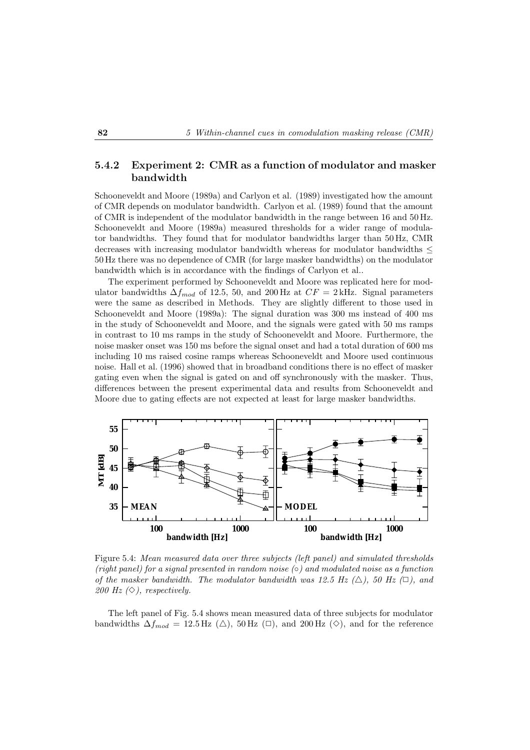### **5.4.2 Experiment 2: CMR as a function of modulator and masker bandwidth**

Schooneveldt and Moore (1989a) and Carlyon et al. (1989) investigated how the amount of CMR depends on modulator bandwidth. Carlyon et al. (1989) found that the amount of CMR is independent of the modulator bandwidth in the range between 16 and 50 Hz. Schooneveldt and Moore (1989a) measured thresholds for a wider range of modulator bandwidths. They found that for modulator bandwidths larger than 50 Hz, CMR decreases with increasing modulator bandwidth whereas for modulator bandwidths ≤ 50 Hz there was no dependence of CMR (for large masker bandwidths) on the modulator bandwidth which is in accordance with the findings of Carlyon et al..

The experiment performed by Schooneveldt and Moore was replicated here for modulator bandwidths  $\Delta f_{mod}$  of 12.5, 50, and 200 Hz at  $CF = 2$  kHz. Signal parameters were the same as described in Methods. They are slightly different to those used in Schooneveldt and Moore (1989a): The signal duration was 300 ms instead of 400 ms in the study of Schooneveldt and Moore, and the signals were gated with 50 ms ramps in contrast to 10 ms ramps in the study of Schooneveldt and Moore. Furthermore, the noise masker onset was 150 ms before the signal onset and had a total duration of 600 ms including 10 ms raised cosine ramps whereas Schooneveldt and Moore used continuous noise. Hall et al. (1996) showed that in broadband conditions there is no effect of masker gating even when the signal is gated on and off synchronously with the masker. Thus, differences between the present experimental data and results from Schooneveldt and Moore due to gating effects are not expected at least for large masker bandwidths.



Figure 5.4: *Mean measured data over three subjects (left panel) and simulated thresholds (right panel) for a signal presented in random noise (*◦*) and modulated noise as a function of the masker bandwidth. The modulator bandwidth was 12.5 Hz*  $(\triangle)$ *, 50 Hz*  $(\square)$ , and *200 Hz*  $(\diamond)$ *, respectively.* 

The left panel of Fig. 5.4 shows mean measured data of three subjects for modulator bandwidths  $\Delta f_{mod} = 12.5 \,\text{Hz}$  (△), 50 Hz (□), and 200 Hz (◇), and for the reference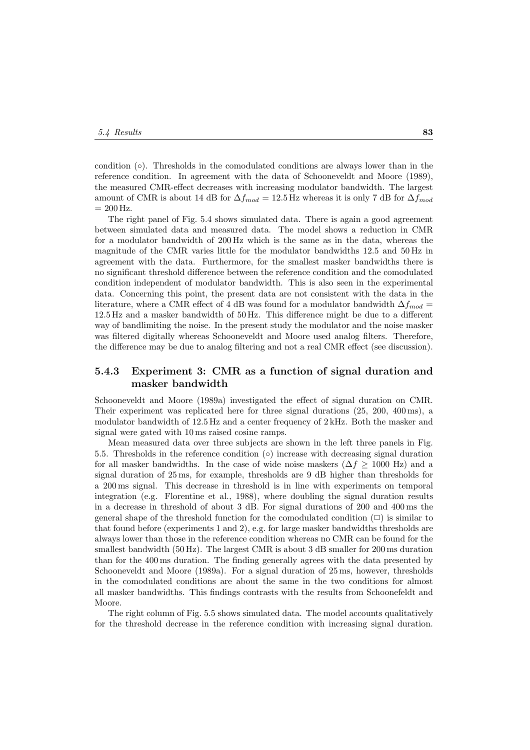condition (◦). Thresholds in the comodulated conditions are always lower than in the reference condition. In agreement with the data of Schooneveldt and Moore (1989), the measured CMR-effect decreases with increasing modulator bandwidth. The largest amount of CMR is about 14 dB for  $\Delta f_{mod} = 12.5$  Hz whereas it is only 7 dB for  $\Delta f_{mod}$  $= 200$  Hz.

The right panel of Fig. 5.4 shows simulated data. There is again a good agreement between simulated data and measured data. The model shows a reduction in CMR for a modulator bandwidth of 200 Hz which is the same as in the data, whereas the magnitude of the CMR varies little for the modulator bandwidths 12.5 and 50 Hz in agreement with the data. Furthermore, for the smallest masker bandwidths there is no significant threshold difference between the reference condition and the comodulated condition independent of modulator bandwidth. This is also seen in the experimental data. Concerning this point, the present data are not consistent with the data in the literature, where a CMR effect of 4 dB was found for a modulator bandwidth  $\Delta f_{mod}$ 12.5 Hz and a masker bandwidth of 50 Hz. This difference might be due to a different way of bandlimiting the noise. In the present study the modulator and the noise masker was filtered digitally whereas Schooneveldt and Moore used analog filters. Therefore, the difference may be due to analog filtering and not a real CMR effect (see discussion).

### **5.4.3 Experiment 3: CMR as a function of signal duration and masker bandwidth**

Schooneveldt and Moore (1989a) investigated the effect of signal duration on CMR. Their experiment was replicated here for three signal durations (25, 200, 400 ms), a modulator bandwidth of 12.5 Hz and a center frequency of 2 kHz. Both the masker and signal were gated with 10 ms raised cosine ramps.

Mean measured data over three subjects are shown in the left three panels in Fig. 5.5. Thresholds in the reference condition  $\circ$ ) increase with decreasing signal duration for all masker bandwidths. In the case of wide noise maskers ( $\Delta f \geq 1000$  Hz) and a signal duration of 25 ms, for example, thresholds are 9 dB higher than thresholds for a 200 ms signal. This decrease in threshold is in line with experiments on temporal integration (e.g. Florentine et al., 1988), where doubling the signal duration results in a decrease in threshold of about 3 dB. For signal durations of 200 and 400 ms the general shape of the threshold function for the comodulated condition  $(\Box)$  is similar to that found before (experiments 1 and 2), e.g. for large masker bandwidths thresholds are always lower than those in the reference condition whereas no CMR can be found for the smallest bandwidth (50 Hz). The largest CMR is about 3 dB smaller for 200 ms duration than for the 400 ms duration. The finding generally agrees with the data presented by Schooneveldt and Moore (1989a). For a signal duration of 25 ms, however, thresholds in the comodulated conditions are about the same in the two conditions for almost all masker bandwidths. This findings contrasts with the results from Schoonefeldt and Moore.

The right column of Fig. 5.5 shows simulated data. The model accounts qualitatively for the threshold decrease in the reference condition with increasing signal duration.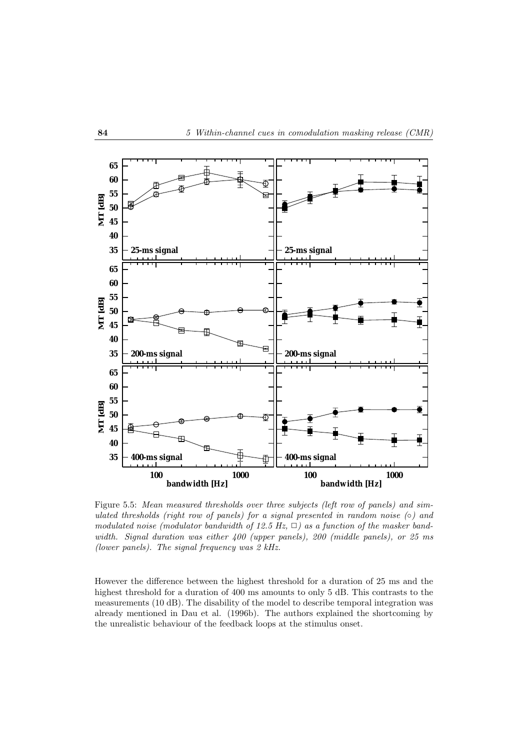

Figure 5.5: *Mean measured thresholds over three subjects (left row of panels) and simulated thresholds (right row of panels) for a signal presented in random noise (*◦*) and modulated noise (modulator bandwidth of 12.5 Hz,*  $\Box$ ) as a function of the masker band*width. Signal duration was either 400 (upper panels), 200 (middle panels), or 25 ms (lower panels). The signal frequency was 2 kHz.*

However the difference between the highest threshold for a duration of 25 ms and the highest threshold for a duration of 400 ms amounts to only 5 dB. This contrasts to the measurements (10 dB). The disability of the model to describe temporal integration was already mentioned in Dau et al. (1996b). The authors explained the shortcoming by the unrealistic behaviour of the feedback loops at the stimulus onset.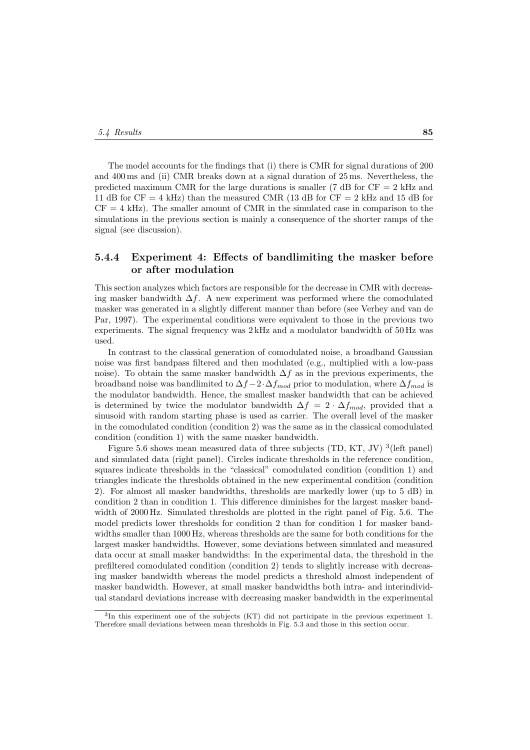The model accounts for the findings that (i) there is CMR for signal durations of 200 and 400 ms and (ii) CMR breaks down at a signal duration of 25 ms. Nevertheless, the predicted maximum CMR for the large durations is smaller (7 dB for  $CF = 2$  kHz and 11 dB for  $CF = 4$  kHz) than the measured CMR (13 dB for  $CF = 2$  kHz and 15 dB for  $CF = 4$  kHz). The smaller amount of CMR in the simulated case in comparison to the simulations in the previous section is mainly a consequence of the shorter ramps of the signal (see discussion).

### **5.4.4 Experiment 4: Effects of bandlimiting the masker before or after modulation**

This section analyzes which factors are responsible for the decrease in CMR with decreasing masker bandwidth  $\Delta f$ . A new experiment was performed where the comodulated masker was generated in a slightly different manner than before (see Verhey and van de Par, 1997). The experimental conditions were equivalent to those in the previous two experiments. The signal frequency was 2 kHz and a modulator bandwidth of 50 Hz was used.

In contrast to the classical generation of comodulated noise, a broadband Gaussian noise was first bandpass filtered and then modulated (e.g., multiplied with a low-pass noise). To obtain the same masker bandwidth  $\Delta f$  as in the previous experiments, the broadband noise was bandlimited to  $\Delta f - 2 \cdot \Delta f_{mod}$  prior to modulation, where  $\Delta f_{mod}$  is the modulator bandwidth. Hence, the smallest masker bandwidth that can be achieved is determined by twice the modulator bandwidth  $\Delta f = 2 \cdot \Delta f_{mod}$ , provided that a sinusoid with random starting phase is used as carrier. The overall level of the masker in the comodulated condition (condition 2) was the same as in the classical comodulated condition (condition 1) with the same masker bandwidth.

Figure 5.6 shows mean measured data of three subjects (TD, KT, JV)  $^3$  (left panel) and simulated data (right panel). Circles indicate thresholds in the reference condition, squares indicate thresholds in the "classical" comodulated condition (condition 1) and triangles indicate the thresholds obtained in the new experimental condition (condition 2). For almost all masker bandwidths, thresholds are markedly lower (up to 5 dB) in condition 2 than in condition 1. This difference diminishes for the largest masker bandwidth of 2000 Hz. Simulated thresholds are plotted in the right panel of Fig. 5.6. The model predicts lower thresholds for condition 2 than for condition 1 for masker bandwidths smaller than 1000 Hz, whereas thresholds are the same for both conditions for the largest masker bandwidths. However, some deviations between simulated and measured data occur at small masker bandwidths: In the experimental data, the threshold in the prefiltered comodulated condition (condition 2) tends to slightly increase with decreasing masker bandwidth whereas the model predicts a threshold almost independent of masker bandwidth. However, at small masker bandwidths both intra- and interindividual standard deviations increase with decreasing masker bandwidth in the experimental

<sup>3</sup>In this experiment one of the subjects (KT) did not participate in the previous experiment 1. Therefore small deviations between mean thresholds in Fig. 5.3 and those in this section occur.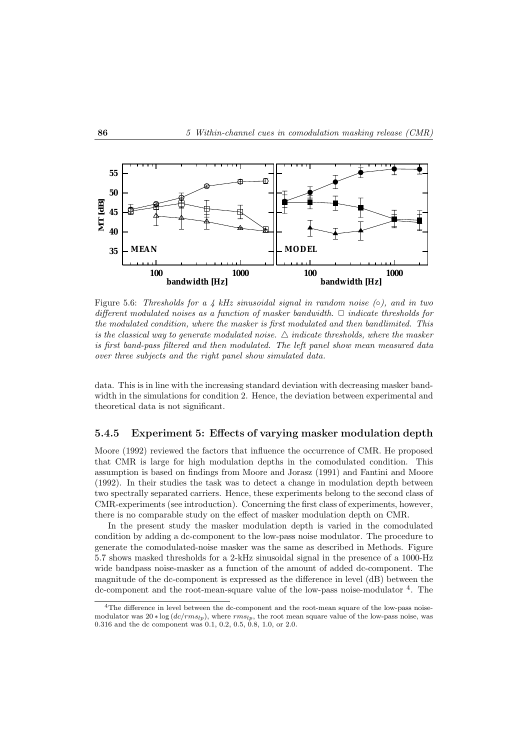

Figure 5.6: *Thresholds for a 4 kHz sinusoidal signal in random noise (*◦*), and in two different modulated noises as a function of masker bandwidth.* ✷ *indicate thresholds for the modulated condition, where the masker is first modulated and then bandlimited. This is the classical way to generate modulated noise.*  $\triangle$  *indicate thresholds, where the masker is first band-pass filtered and then modulated. The left panel show mean measured data over three subjects and the right panel show simulated data.*

data. This is in line with the increasing standard deviation with decreasing masker bandwidth in the simulations for condition 2. Hence, the deviation between experimental and theoretical data is not significant.

### **5.4.5 Experiment 5: Effects of varying masker modulation depth**

Moore (1992) reviewed the factors that influence the occurrence of CMR. He proposed that CMR is large for high modulation depths in the comodulated condition. This assumption is based on findings from Moore and Jorasz (1991) and Fantini and Moore (1992). In their studies the task was to detect a change in modulation depth between two spectrally separated carriers. Hence, these experiments belong to the second class of CMR-experiments (see introduction). Concerning the first class of experiments, however, there is no comparable study on the effect of masker modulation depth on CMR.

In the present study the masker modulation depth is varied in the comodulated condition by adding a dc-component to the low-pass noise modulator. The procedure to generate the comodulated-noise masker was the same as described in Methods. Figure 5.7 shows masked thresholds for a 2-kHz sinusoidal signal in the presence of a 1000-Hz wide bandpass noise-masker as a function of the amount of added dc-component. The magnitude of the dc-component is expressed as the difference in level (dB) between the dc-component and the root-mean-square value of the low-pass noise-modulator  $4$ . The

<sup>&</sup>lt;sup>4</sup>The difference in level between the dc-component and the root-mean square of the low-pass noisemodulator was  $20 * \log (dc/rms_{lp})$ , where  $rms_{lp}$ , the root mean square value of the low-pass noise, was 0.316 and the dc component was 0.1, 0.2, 0.5, 0.8, 1.0, or 2.0.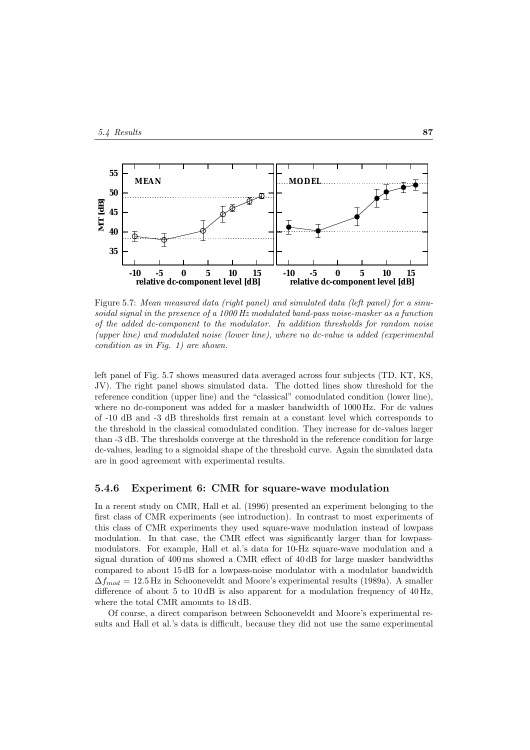

Figure 5.7: *Mean measured data (right panel) and simulated data (left panel) for a sinusoidal signal in the presence of a 1000 Hz modulated band-pass noise-masker as a function of the added dc-component to the modulator. In addition thresholds for random noise (upper line) and modulated noise (lower line), where no dc-value is added (experimental condition as in Fig. 1) are shown.*

left panel of Fig. 5.7 shows measured data averaged across four subjects (TD, KT, KS, JV). The right panel shows simulated data. The dotted lines show threshold for the reference condition (upper line) and the "classical" comodulated condition (lower line), where no dc-component was added for a masker bandwidth of 1000 Hz. For dc values of -10 dB and -3 dB thresholds first remain at a constant level which corresponds to the threshold in the classical comodulated condition. They increase for dc-values larger than -3 dB. The thresholds converge at the threshold in the reference condition for large dc-values, leading to a sigmoidal shape of the threshold curve. Again the simulated data are in good agreement with experimental results.

#### **5.4.6 Experiment 6: CMR for square-wave modulation**

In a recent study on CMR, Hall et al. (1996) presented an experiment belonging to the first class of CMR experiments (see introduction). In contrast to most experiments of this class of CMR experiments they used square-wave modulation instead of lowpass modulation. In that case, the CMR effect was significantly larger than for lowpassmodulators. For example, Hall et al.'s data for 10-Hz square-wave modulation and a signal duration of 400 ms showed a CMR effect of 40 dB for large masker bandwidths compared to about 15 dB for a lowpass-noise modulator with a modulator bandwidth  $\Delta f_{mod} = 12.5$  Hz in Schooneveldt and Moore's experimental results (1989a). A smaller difference of about 5 to  $10 \text{ dB}$  is also apparent for a modulation frequency of  $40 \text{ Hz}$ , where the total CMR amounts to 18 dB.

Of course, a direct comparison between Schooneveldt and Moore's experimental results and Hall et al.'s data is difficult, because they did not use the same experimental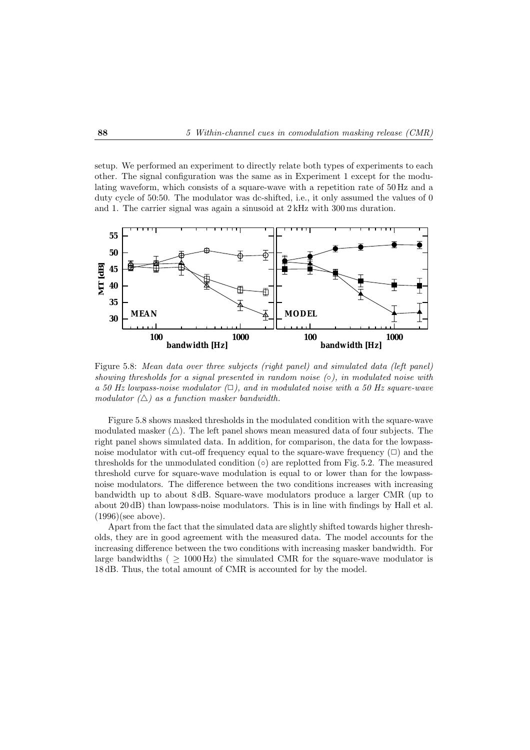setup. We performed an experiment to directly relate both types of experiments to each other. The signal configuration was the same as in Experiment 1 except for the modulating waveform, which consists of a square-wave with a repetition rate of 50 Hz and a duty cycle of 50:50. The modulator was dc-shifted, i.e., it only assumed the values of 0 and 1. The carrier signal was again a sinusoid at 2 kHz with 300 ms duration.



Figure 5.8: *Mean data over three subjects (right panel) and simulated data (left panel) showing thresholds for a signal presented in random noise (*◦*), in modulated noise with a 50 Hz lowpass-noise modulator*  $(\Box)$ , and in modulated noise with a 50 Hz square-wave *modulator*  $(\triangle)$  *as a function masker bandwidth.* 

Figure 5.8 shows masked thresholds in the modulated condition with the square-wave modulated masker  $(\triangle)$ . The left panel shows mean measured data of four subjects. The right panel shows simulated data. In addition, for comparison, the data for the lowpassnoise modulator with cut-off frequency equal to the square-wave frequency  $(\Box)$  and the thresholds for the unmodulated condition  $(○)$  are replotted from Fig. 5.2. The measured threshold curve for square-wave modulation is equal to or lower than for the lowpassnoise modulators. The difference between the two conditions increases with increasing bandwidth up to about 8 dB. Square-wave modulators produce a larger CMR (up to about 20 dB) than lowpass-noise modulators. This is in line with findings by Hall et al. (1996)(see above).

Apart from the fact that the simulated data are slightly shifted towards higher thresholds, they are in good agreement with the measured data. The model accounts for the increasing difference between the two conditions with increasing masker bandwidth. For large bandwidths ( $\geq 1000 \text{ Hz}$ ) the simulated CMR for the square-wave modulator is 18 dB. Thus, the total amount of CMR is accounted for by the model.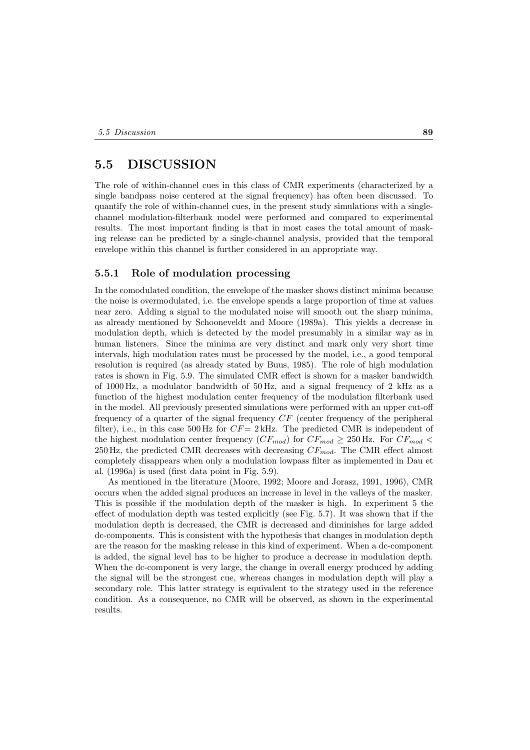### **5.5 DISCUSSION**

The role of within-channel cues in this class of CMR experiments (characterized by a single bandpass noise centered at the signal frequency) has often been discussed. To quantify the role of within-channel cues, in the present study simulations with a singlechannel modulation-filterbank model were performed and compared to experimental results. The most important finding is that in most cases the total amount of masking release can be predicted by a single-channel analysis, provided that the temporal envelope within this channel is further considered in an appropriate way.

### **5.5.1 Role of modulation processing**

In the comodulated condition, the envelope of the masker shows distinct minima because the noise is overmodulated, i.e. the envelope spends a large proportion of time at values near zero. Adding a signal to the modulated noise will smooth out the sharp minima, as already mentioned by Schooneveldt and Moore (1989a). This yields a decrease in modulation depth, which is detected by the model presumably in a similar way as in human listeners. Since the minima are very distinct and mark only very short time intervals, high modulation rates must be processed by the model, i.e., a good temporal resolution is required (as already stated by Buus, 1985). The role of high modulation rates is shown in Fig. 5.9. The simulated CMR effect is shown for a masker bandwidth of 1000 Hz, a modulator bandwidth of 50 Hz, and a signal frequency of 2 kHz as a function of the highest modulation center frequency of the modulation filterbank used in the model. All previously presented simulations were performed with an upper cut-off frequency of a quarter of the signal frequency CF (center frequency of the peripheral filter), i.e., in this case 500 Hz for  $CF = 2$  kHz. The predicted CMR is independent of the highest modulation center frequency  $(CF_{mod})$  for  $CF_{mod} \geq 250$  Hz. For  $CF_{mod}$ 250 Hz, the predicted CMR decreases with decreasing  $CF_{mod}$ . The CMR effect almost completely disappears when only a modulation lowpass filter as implemented in Dau et al. (1996a) is used (first data point in Fig. 5.9).

As mentioned in the literature (Moore, 1992; Moore and Jorasz, 1991, 1996), CMR occurs when the added signal produces an increase in level in the valleys of the masker. This is possible if the modulation depth of the masker is high. In experiment 5 the effect of modulation depth was tested explicitly (see Fig. 5.7). It was shown that if the modulation depth is decreased, the CMR is decreased and diminishes for large added dc-components. This is consistent with the hypothesis that changes in modulation depth are the reason for the masking release in this kind of experiment. When a dc-component is added, the signal level has to be higher to produce a decrease in modulation depth. When the dc-component is very large, the change in overall energy produced by adding the signal will be the strongest cue, whereas changes in modulation depth will play a secondary role. This latter strategy is equivalent to the strategy used in the reference condition. As a consequence, no CMR will be observed, as shown in the experimental results.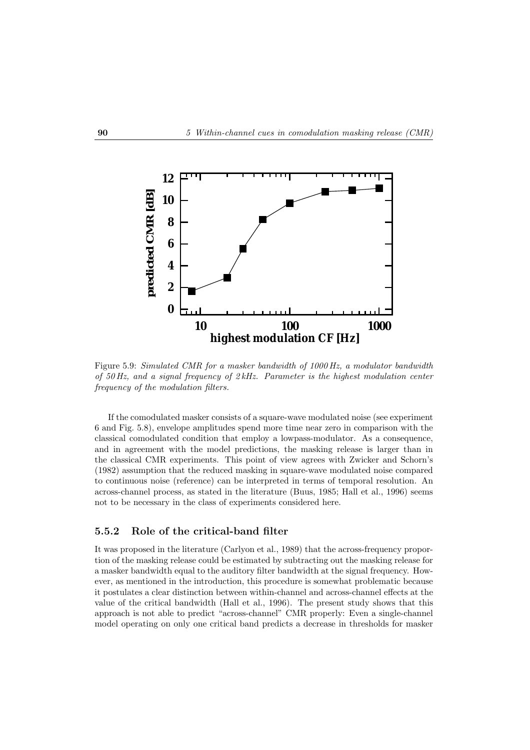

Figure 5.9: *Simulated CMR for a masker bandwidth of 1000 Hz, a modulator bandwidth of 50 Hz, and a signal frequency of 2 kHz. Parameter is the highest modulation center frequency of the modulation filters.*

If the comodulated masker consists of a square-wave modulated noise (see experiment 6 and Fig. 5.8), envelope amplitudes spend more time near zero in comparison with the classical comodulated condition that employ a lowpass-modulator. As a consequence, and in agreement with the model predictions, the masking release is larger than in the classical CMR experiments. This point of view agrees with Zwicker and Schorn's (1982) assumption that the reduced masking in square-wave modulated noise compared to continuous noise (reference) can be interpreted in terms of temporal resolution. An across-channel process, as stated in the literature (Buus, 1985; Hall et al., 1996) seems not to be necessary in the class of experiments considered here.

### **5.5.2 Role of the critical-band filter**

It was proposed in the literature (Carlyon et al., 1989) that the across-frequency proportion of the masking release could be estimated by subtracting out the masking release for a masker bandwidth equal to the auditory filter bandwidth at the signal frequency. However, as mentioned in the introduction, this procedure is somewhat problematic because it postulates a clear distinction between within-channel and across-channel effects at the value of the critical bandwidth (Hall et al., 1996). The present study shows that this approach is not able to predict "across-channel" CMR properly: Even a single-channel model operating on only one critical band predicts a decrease in thresholds for masker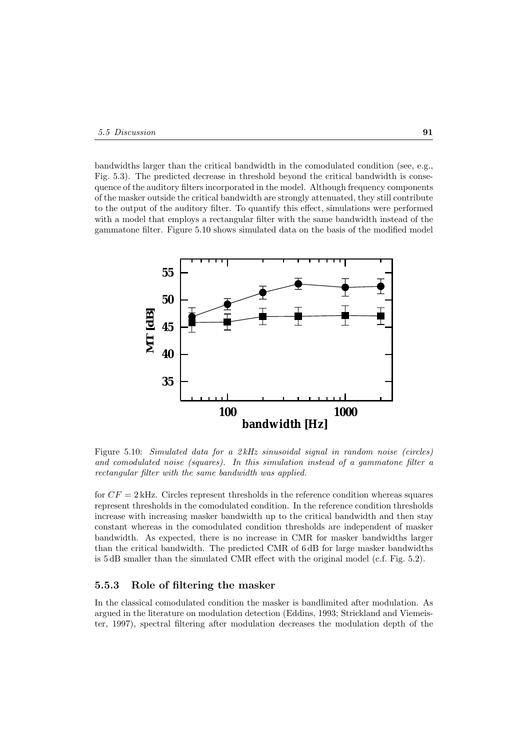bandwidths larger than the critical bandwidth in the comodulated condition (see, e.g., Fig. 5.3). The predicted decrease in threshold beyond the critical bandwidth is consequence of the auditory filters incorporated in the model. Although frequency components of the masker outside the critical bandwidth are strongly attenuated, they still contribute to the output of the auditory filter. To quantify this effect, simulations were performed with a model that employs a rectangular filter with the same bandwidth instead of the gammatone filter. Figure 5.10 shows simulated data on the basis of the modified model



Figure 5.10: *Simulated data for a 2 kHz sinusoidal signal in random noise (circles) and comodulated noise (squares). In this simulation instead of a gammatone filter a rectangular filter with the same bandwidth was applied.*

for  $CF = 2$  kHz. Circles represent thresholds in the reference condition whereas squares represent thresholds in the comodulated condition. In the reference condition thresholds increase with increasing masker bandwidth up to the critical bandwidth and then stay constant whereas in the comodulated condition thresholds are independent of masker bandwidth. As expected, there is no increase in CMR for masker bandwidths larger than the critical bandwidth. The predicted CMR of 6 dB for large masker bandwidths is 5 dB smaller than the simulated CMR effect with the original model (c.f. Fig. 5.2).

### **5.5.3 Role of filtering the masker**

In the classical comodulated condition the masker is bandlimited after modulation. As argued in the literature on modulation detection (Eddins, 1993; Strickland and Viemeister, 1997), spectral filtering after modulation decreases the modulation depth of the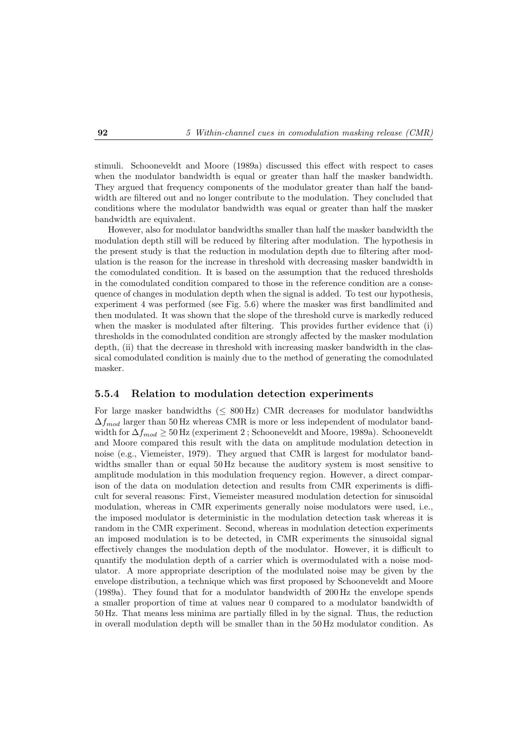stimuli. Schooneveldt and Moore (1989a) discussed this effect with respect to cases when the modulator bandwidth is equal or greater than half the masker bandwidth. They argued that frequency components of the modulator greater than half the bandwidth are filtered out and no longer contribute to the modulation. They concluded that conditions where the modulator bandwidth was equal or greater than half the masker bandwidth are equivalent.

However, also for modulator bandwidths smaller than half the masker bandwidth the modulation depth still will be reduced by filtering after modulation. The hypothesis in the present study is that the reduction in modulation depth due to filtering after modulation is the reason for the increase in threshold with decreasing masker bandwidth in the comodulated condition. It is based on the assumption that the reduced thresholds in the comodulated condition compared to those in the reference condition are a consequence of changes in modulation depth when the signal is added. To test our hypothesis, experiment 4 was performed (see Fig. 5.6) where the masker was first bandlimited and then modulated. It was shown that the slope of the threshold curve is markedly reduced when the masker is modulated after filtering. This provides further evidence that (i) thresholds in the comodulated condition are strongly affected by the masker modulation depth, (ii) that the decrease in threshold with increasing masker bandwidth in the classical comodulated condition is mainly due to the method of generating the comodulated masker.

### **5.5.4 Relation to modulation detection experiments**

For large masker bandwidths ( $\leq 800 \text{ Hz}$ ) CMR decreases for modulator bandwidths  $\Delta f_{mod}$  larger than 50 Hz whereas CMR is more or less independent of modulator bandwidth for  $\Delta f_{mod} \geq 50$  Hz (experiment 2; Schooneveldt and Moore, 1989a). Schooneveldt and Moore compared this result with the data on amplitude modulation detection in noise (e.g., Viemeister, 1979). They argued that CMR is largest for modulator bandwidths smaller than or equal 50 Hz because the auditory system is most sensitive to amplitude modulation in this modulation frequency region. However, a direct comparison of the data on modulation detection and results from CMR experiments is difficult for several reasons: First, Viemeister measured modulation detection for sinusoidal modulation, whereas in CMR experiments generally noise modulators were used, i.e., the imposed modulator is deterministic in the modulation detection task whereas it is random in the CMR experiment. Second, whereas in modulation detection experiments an imposed modulation is to be detected, in CMR experiments the sinusoidal signal effectively changes the modulation depth of the modulator. However, it is difficult to quantify the modulation depth of a carrier which is overmodulated with a noise modulator. A more appropriate description of the modulated noise may be given by the envelope distribution, a technique which was first proposed by Schooneveldt and Moore (1989a). They found that for a modulator bandwidth of 200 Hz the envelope spends a smaller proportion of time at values near 0 compared to a modulator bandwidth of 50 Hz. That means less minima are partially filled in by the signal. Thus, the reduction in overall modulation depth will be smaller than in the 50 Hz modulator condition. As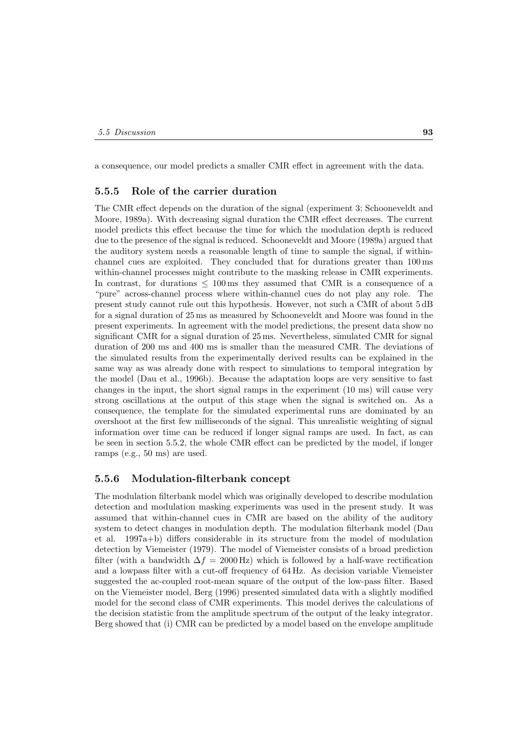a consequence, our model predicts a smaller CMR effect in agreement with the data.

### **5.5.5 Role of the carrier duration**

The CMR effect depends on the duration of the signal (experiment 3; Schooneveldt and Moore, 1989a). With decreasing signal duration the CMR effect decreases. The current model predicts this effect because the time for which the modulation depth is reduced due to the presence of the signal is reduced. Schooneveldt and Moore (1989a) argued that the auditory system needs a reasonable length of time to sample the signal, if withinchannel cues are exploited. They concluded that for durations greater than 100 ms within-channel processes might contribute to the masking release in CMR experiments. In contrast, for durations  $\leq 100 \,\text{ms}$  they assumed that CMR is a consequence of a "pure" across-channel process where within-channel cues do not play any role. The present study cannot rule out this hypothesis. However, not such a CMR of about 5 dB for a signal duration of 25 ms as measured by Schooneveldt and Moore was found in the present experiments. In agreement with the model predictions, the present data show no significant CMR for a signal duration of 25 ms. Nevertheless, simulated CMR for signal duration of 200 ms and 400 ms is smaller than the measured CMR. The deviations of the simulated results from the experimentally derived results can be explained in the same way as was already done with respect to simulations to temporal integration by the model (Dau et al., 1996b). Because the adaptation loops are very sensitive to fast changes in the input, the short signal ramps in the experiment (10 ms) will cause very strong oscillations at the output of this stage when the signal is switched on. As a consequence, the template for the simulated experimental runs are dominated by an overshoot at the first few milliseconds of the signal. This unrealistic weighting of signal information over time can be reduced if longer signal ramps are used. In fact, as can be seen in section 5.5.2, the whole CMR effect can be predicted by the model, if longer ramps (e.g., 50 ms) are used.

#### **5.5.6 Modulation-filterbank concept**

The modulation filterbank model which was originally developed to describe modulation detection and modulation masking experiments was used in the present study. It was assumed that within-channel cues in CMR are based on the ability of the auditory system to detect changes in modulation depth. The modulation filterbank model (Dau et al. 1997a+b) differs considerable in its structure from the model of modulation detection by Viemeister (1979). The model of Viemeister consists of a broad prediction filter (with a bandwidth  $\Delta f = 2000 \text{ Hz}$ ) which is followed by a half-wave rectification and a lowpass filter with a cut-off frequency of 64 Hz. As decision variable Viemeister suggested the ac-coupled root-mean square of the output of the low-pass filter. Based on the Viemeister model, Berg (1996) presented simulated data with a slightly modified model for the second class of CMR experiments. This model derives the calculations of the decision statistic from the amplitude spectrum of the output of the leaky integrator. Berg showed that (i) CMR can be predicted by a model based on the envelope amplitude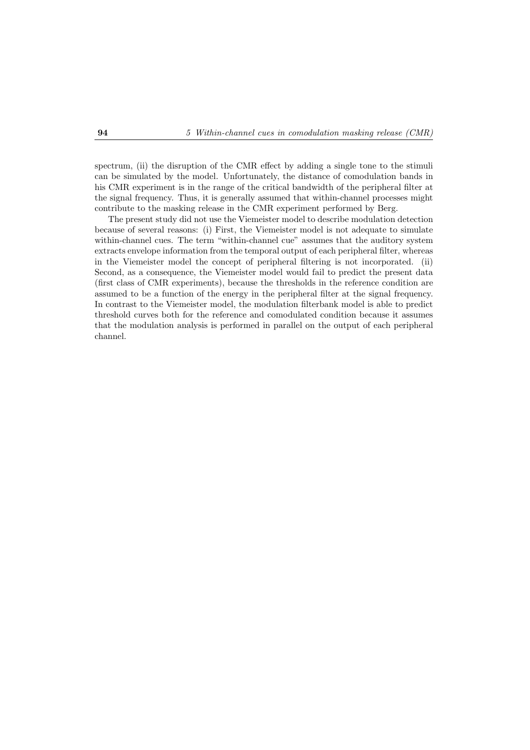spectrum, (ii) the disruption of the CMR effect by adding a single tone to the stimuli can be simulated by the model. Unfortunately, the distance of comodulation bands in his CMR experiment is in the range of the critical bandwidth of the peripheral filter at the signal frequency. Thus, it is generally assumed that within-channel processes might contribute to the masking release in the CMR experiment performed by Berg.

The present study did not use the Viemeister model to describe modulation detection because of several reasons: (i) First, the Viemeister model is not adequate to simulate within-channel cues. The term "within-channel cue" assumes that the auditory system extracts envelope information from the temporal output of each peripheral filter, whereas in the Viemeister model the concept of peripheral filtering is not incorporated. (ii) Second, as a consequence, the Viemeister model would fail to predict the present data (first class of CMR experiments), because the thresholds in the reference condition are assumed to be a function of the energy in the peripheral filter at the signal frequency. In contrast to the Viemeister model, the modulation filterbank model is able to predict threshold curves both for the reference and comodulated condition because it assumes that the modulation analysis is performed in parallel on the output of each peripheral channel.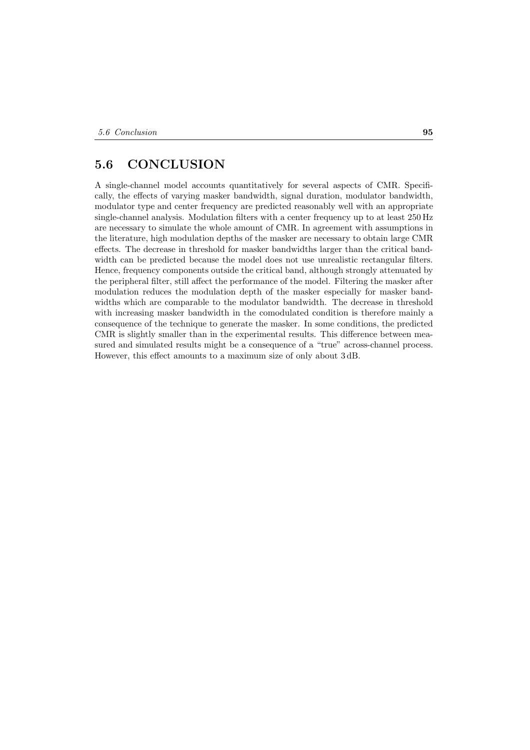### **5.6 CONCLUSION**

A single-channel model accounts quantitatively for several aspects of CMR. Specifically, the effects of varying masker bandwidth, signal duration, modulator bandwidth, modulator type and center frequency are predicted reasonably well with an appropriate single-channel analysis. Modulation filters with a center frequency up to at least 250 Hz are necessary to simulate the whole amount of CMR. In agreement with assumptions in the literature, high modulation depths of the masker are necessary to obtain large CMR effects. The decrease in threshold for masker bandwidths larger than the critical bandwidth can be predicted because the model does not use unrealistic rectangular filters. Hence, frequency components outside the critical band, although strongly attenuated by the peripheral filter, still affect the performance of the model. Filtering the masker after modulation reduces the modulation depth of the masker especially for masker bandwidths which are comparable to the modulator bandwidth. The decrease in threshold with increasing masker bandwidth in the comodulated condition is therefore mainly a consequence of the technique to generate the masker. In some conditions, the predicted CMR is slightly smaller than in the experimental results. This difference between measured and simulated results might be a consequence of a "true" across-channel process. However, this effect amounts to a maximum size of only about 3 dB.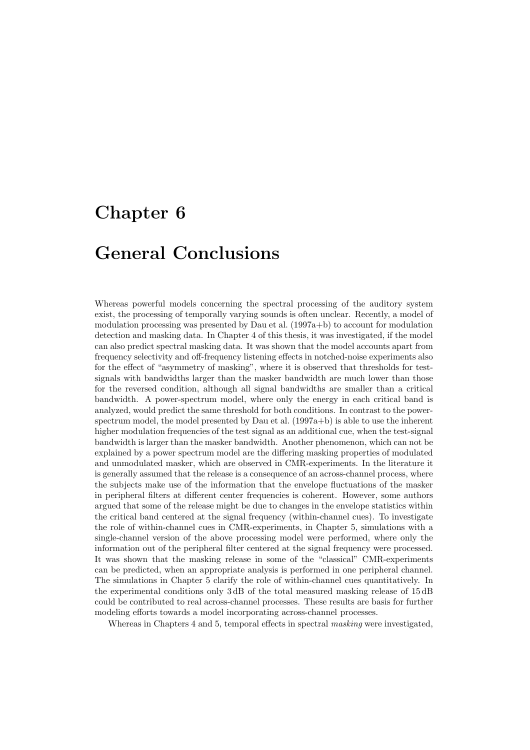## **Chapter 6**

## **General Conclusions**

Whereas powerful models concerning the spectral processing of the auditory system exist, the processing of temporally varying sounds is often unclear. Recently, a model of modulation processing was presented by Dau et al. (1997a+b) to account for modulation detection and masking data. In Chapter 4 of this thesis, it was investigated, if the model can also predict spectral masking data. It was shown that the model accounts apart from frequency selectivity and off-frequency listening effects in notched-noise experiments also for the effect of "asymmetry of masking", where it is observed that thresholds for testsignals with bandwidths larger than the masker bandwidth are much lower than those for the reversed condition, although all signal bandwidths are smaller than a critical bandwidth. A power-spectrum model, where only the energy in each critical band is analyzed, would predict the same threshold for both conditions. In contrast to the powerspectrum model, the model presented by Dau et al.  $(1997a+b)$  is able to use the inherent higher modulation frequencies of the test signal as an additional cue, when the test-signal bandwidth is larger than the masker bandwidth. Another phenomenon, which can not be explained by a power spectrum model are the differing masking properties of modulated and unmodulated masker, which are observed in CMR-experiments. In the literature it is generally assumed that the release is a consequence of an across-channel process, where the subjects make use of the information that the envelope fluctuations of the masker in peripheral filters at different center frequencies is coherent. However, some authors argued that some of the release might be due to changes in the envelope statistics within the critical band centered at the signal frequency (within-channel cues). To investigate the role of within-channel cues in CMR-experiments, in Chapter 5, simulations with a single-channel version of the above processing model were performed, where only the information out of the peripheral filter centered at the signal frequency were processed. It was shown that the masking release in some of the "classical" CMR-experiments can be predicted, when an appropriate analysis is performed in one peripheral channel. The simulations in Chapter 5 clarify the role of within-channel cues quantitatively. In the experimental conditions only 3 dB of the total measured masking release of 15 dB could be contributed to real across-channel processes. These results are basis for further modeling efforts towards a model incorporating across-channel processes.

Whereas in Chapters 4 and 5, temporal effects in spectral *masking* were investigated,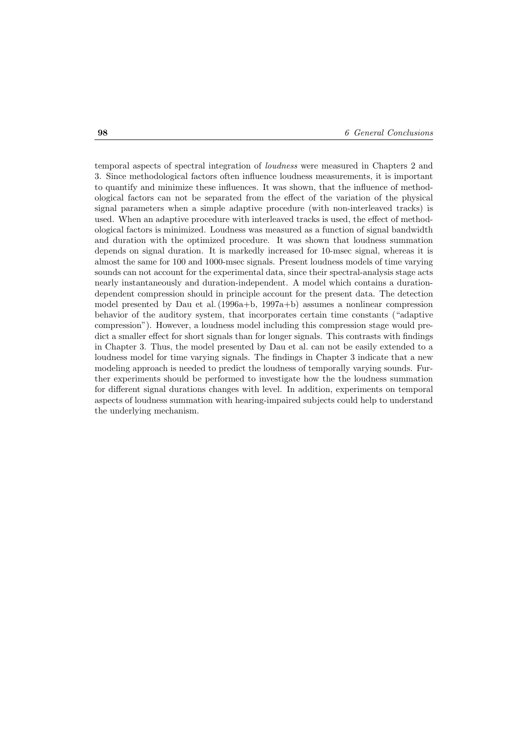temporal aspects of spectral integration of *loudness* were measured in Chapters 2 and 3. Since methodological factors often influence loudness measurements, it is important to quantify and minimize these influences. It was shown, that the influence of methodological factors can not be separated from the effect of the variation of the physical signal parameters when a simple adaptive procedure (with non-interleaved tracks) is used. When an adaptive procedure with interleaved tracks is used, the effect of methodological factors is minimized. Loudness was measured as a function of signal bandwidth and duration with the optimized procedure. It was shown that loudness summation depends on signal duration. It is markedly increased for 10-msec signal, whereas it is almost the same for 100 and 1000-msec signals. Present loudness models of time varying sounds can not account for the experimental data, since their spectral-analysis stage acts nearly instantaneously and duration-independent. A model which contains a durationdependent compression should in principle account for the present data. The detection model presented by Dau et al. (1996a+b, 1997a+b) assumes a nonlinear compression behavior of the auditory system, that incorporates certain time constants ("adaptive compression"). However, a loudness model including this compression stage would predict a smaller effect for short signals than for longer signals. This contrasts with findings in Chapter 3. Thus, the model presented by Dau et al. can not be easily extended to a loudness model for time varying signals. The findings in Chapter 3 indicate that a new modeling approach is needed to predict the loudness of temporally varying sounds. Further experiments should be performed to investigate how the the loudness summation for different signal durations changes with level. In addition, experiments on temporal aspects of loudness summation with hearing-impaired subjects could help to understand the underlying mechanism.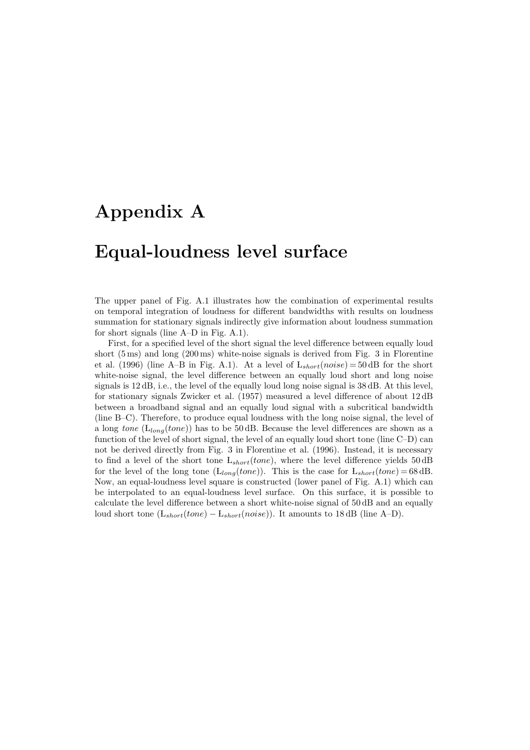# **Appendix A**

## **Equal-loudness level surface**

The upper panel of Fig. A.1 illustrates how the combination of experimental results on temporal integration of loudness for different bandwidths with results on loudness summation for stationary signals indirectly give information about loudness summation for short signals (line A–D in Fig. A.1).

First, for a specified level of the short signal the level difference between equally loud short (5 ms) and long (200 ms) white-noise signals is derived from Fig. 3 in Florentine et al. (1996) (line A–B in Fig. A.1). At a level of  $L_{short}(noise) = 50$  dB for the short white-noise signal, the level difference between an equally loud short and long noise signals is 12 dB, i.e., the level of the equally loud long noise signal is 38 dB. At this level, for stationary signals Zwicker et al. (1957) measured a level difference of about 12 dB between a broadband signal and an equally loud signal with a subcritical bandwidth (line B–C). Therefore, to produce equal loudness with the long noise signal, the level of a long *tone* ( $L_{long}(tone)$ ) has to be 50 dB. Because the level differences are shown as a function of the level of short signal, the level of an equally loud short tone (line C–D) can not be derived directly from Fig. 3 in Florentine et al. (1996). Instead, it is necessary to find a level of the short tone  $L_{short}(tone)$ , where the level difference yields 50 dB for the level of the long tone ( $L_{long}(tone)$ ). This is the case for  $L_{short}(tone) = 68$  dB. Now, an equal-loudness level square is constructed (lower panel of Fig. A.1) which can be interpolated to an equal-loudness level surface. On this surface, it is possible to calculate the level difference between a short white-noise signal of 50 dB and an equally loud short tone  $(L_{short}(tone) - L_{short}(noise))$ . It amounts to 18 dB (line A–D).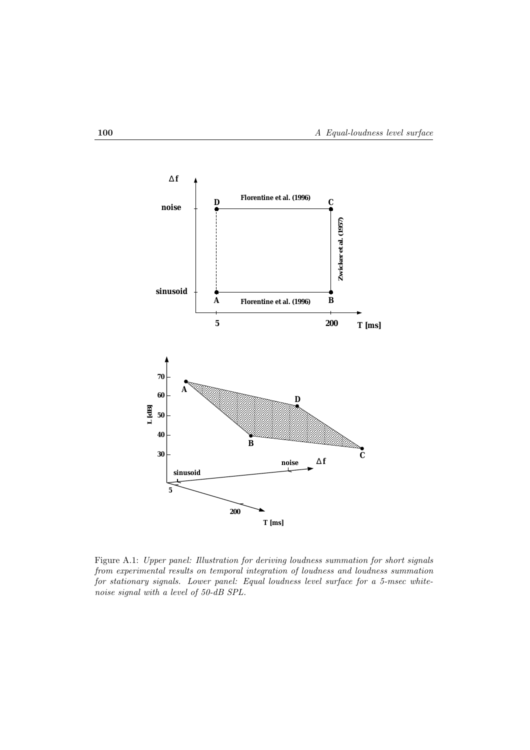

Figure A.1: *Upper panel: Illustration for deriving loudness summation for short signals from experimental results on temporal integration of loudness and loudness summation for stationary signals. Lower panel: Equal loudness level surface for a 5-msec whitenoise signal with a level of 50-dB SPL.*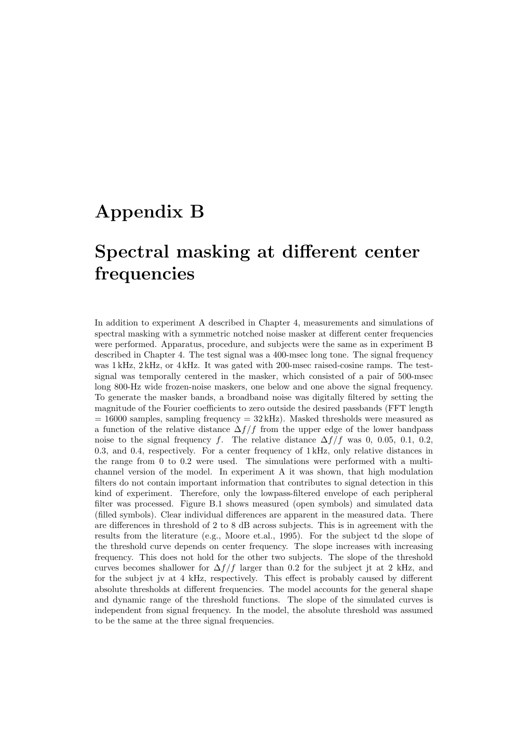## **Appendix B**

# **Spectral masking at different center frequencies**

In addition to experiment A described in Chapter 4, measurements and simulations of spectral masking with a symmetric notched noise masker at different center frequencies were performed. Apparatus, procedure, and subjects were the same as in experiment B described in Chapter 4. The test signal was a 400-msec long tone. The signal frequency was 1 kHz, 2 kHz, or 4 kHz. It was gated with 200-msec raised-cosine ramps. The testsignal was temporally centered in the masker, which consisted of a pair of 500-msec long 800-Hz wide frozen-noise maskers, one below and one above the signal frequency. To generate the masker bands, a broadband noise was digitally filtered by setting the magnitude of the Fourier coefficients to zero outside the desired passbands (FFT length  $= 16000$  samples, sampling frequency  $= 32 \text{ kHz}$ ). Masked thresholds were measured as a function of the relative distance  $\Delta f/f$  from the upper edge of the lower bandpass noise to the signal frequency f. The relative distance  $\Delta f/f$  was 0, 0.05, 0.1, 0.2, 0.3, and 0.4, respectively. For a center frequency of 1 kHz, only relative distances in the range from 0 to 0.2 were used. The simulations were performed with a multichannel version of the model. In experiment A it was shown, that high modulation filters do not contain important information that contributes to signal detection in this kind of experiment. Therefore, only the lowpass-filtered envelope of each peripheral filter was processed. Figure B.1 shows measured (open symbols) and simulated data (filled symbols). Clear individual differences are apparent in the measured data. There are differences in threshold of 2 to 8 dB across subjects. This is in agreement with the results from the literature (e.g., Moore et.al., 1995). For the subject td the slope of the threshold curve depends on center frequency. The slope increases with increasing frequency. This does not hold for the other two subjects. The slope of the threshold curves becomes shallower for  $\Delta f/f$  larger than 0.2 for the subject jt at 2 kHz, and for the subject jv at 4 kHz, respectively. This effect is probably caused by different absolute thresholds at different frequencies. The model accounts for the general shape and dynamic range of the threshold functions. The slope of the simulated curves is independent from signal frequency. In the model, the absolute threshold was assumed to be the same at the three signal frequencies.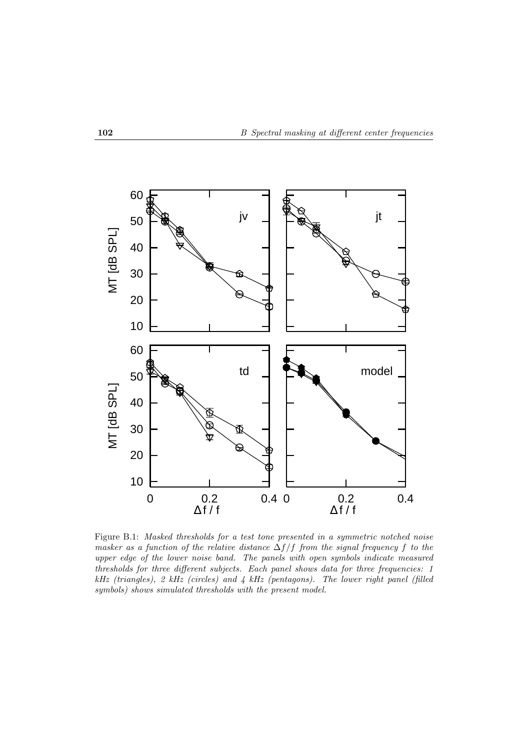

Figure B.1: *Masked thresholds for a test tone presented in a symmetric notched noise masker as a function of the relative distance*  $\Delta f/f$  *from the signal frequency* f *to the upper edge of the lower noise band. The panels with open symbols indicate measured thresholds for three different subjects. Each panel shows data for three frequencies: 1 kHz (triangles), 2 kHz (circles) and 4 kHz (pentagons). The lower right panel (filled symbols) shows simulated thresholds with the present model.*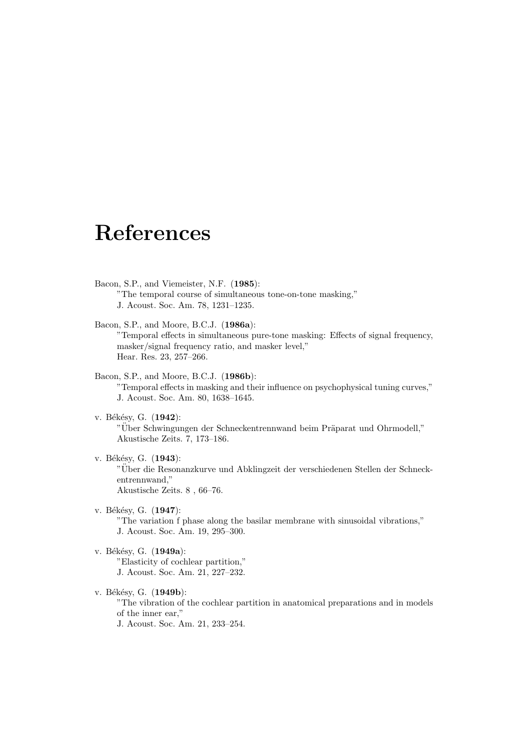# **References**

- Bacon, S.P., and Viemeister, N.F. (**1985**): "The temporal course of simultaneous tone-on-tone masking," J. Acoust. Soc. Am. 78, 1231–1235.
- Bacon, S.P., and Moore, B.C.J. (**1986a**): "Temporal effects in simultaneous pure-tone masking: Effects of signal frequency, masker/signal frequency ratio, and masker level," Hear. Res. 23, 257–266.
- Bacon, S.P., and Moore, B.C.J. (**1986b**): "Temporal effects in masking and their influence on psychophysical tuning curves," J. Acoust. Soc. Am. 80, 1638–1645.
- v. Békésy, G. (1942): "Über Schwingungen der Schneckentrennwand beim Präparat und Ohrmodell," Akustische Zeits. 7, 173–186.
- v. Békésy, G. (1943): "Uber die Resonanzkurve und Abklingzeit der verschiedenen Stellen der Schneck- ¨ entrennwand," Akustische Zeits. 8 , 66–76.
- v. Békésy, G. (1947): "The variation f phase along the basilar membrane with sinusoidal vibrations," J. Acoust. Soc. Am. 19, 295–300.
- v. Békésy, G. (1949a): "Elasticity of cochlear partition," J. Acoust. Soc. Am. 21, 227–232.
- v. Békésy, G. (1949b): "The vibration of the cochlear partition in anatomical preparations and in models of the inner ear," J. Acoust. Soc. Am. 21, 233–254.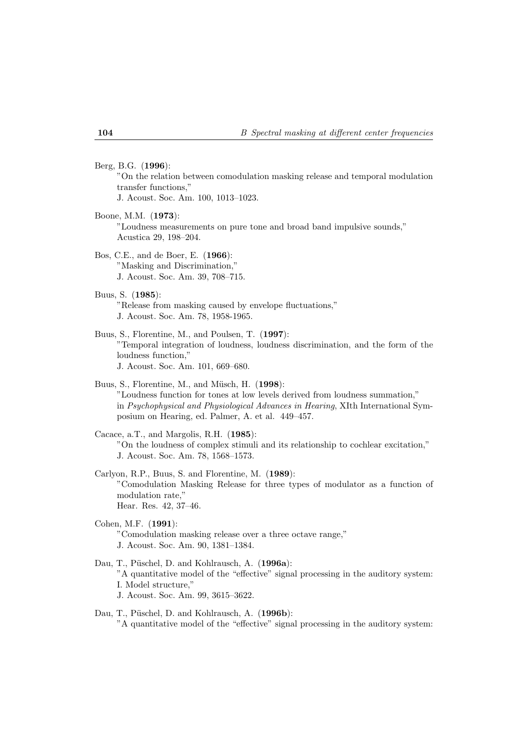#### Berg, B.G. (**1996**):

"On the relation between comodulation masking release and temporal modulation transfer functions,"

J. Acoust. Soc. Am. 100, 1013–1023.

Boone, M.M. (**1973**): "Loudness measurements on pure tone and broad band impulsive sounds," Acustica 29, 198–204.

Bos, C.E., and de Boer, E. (**1966**): "Masking and Discrimination," J. Acoust. Soc. Am. 39, 708–715.

Buus, S. (**1985**):

"Release from masking caused by envelope fluctuations," J. Acoust. Soc. Am. 78, 1958-1965.

### Buus, S., Florentine, M., and Poulsen, T. (**1997**): "Temporal integration of loudness, loudness discrimination, and the form of the loudness function," J. Acoust. Soc. Am. 101, 669–680.

Buus, S., Florentine, M., and Müsch, H. (1998): "Loudness function for tones at low levels derived from loudness summation," in *Psychophysical and Physiological Advances in Hearing*, XIth International Symposium on Hearing, ed. Palmer, A. et al. 449–457.

Cacace, a.T., and Margolis, R.H. (**1985**): "On the loudness of complex stimuli and its relationship to cochlear excitation," J. Acoust. Soc. Am. 78, 1568–1573.

Carlyon, R.P., Buus, S. and Florentine, M. (**1989**): "Comodulation Masking Release for three types of modulator as a function of modulation rate," Hear. Res. 42, 37–46.

- Cohen, M.F. (**1991**): "Comodulation masking release over a three octave range," J. Acoust. Soc. Am. 90, 1381–1384.
- Dau, T., Püschel, D. and Kohlrausch, A. (1996a): "A quantitative model of the "effective" signal processing in the auditory system: I. Model structure," J. Acoust. Soc. Am. 99, 3615–3622.
- Dau, T., Püschel, D. and Kohlrausch, A. (1996b): "A quantitative model of the "effective" signal processing in the auditory system: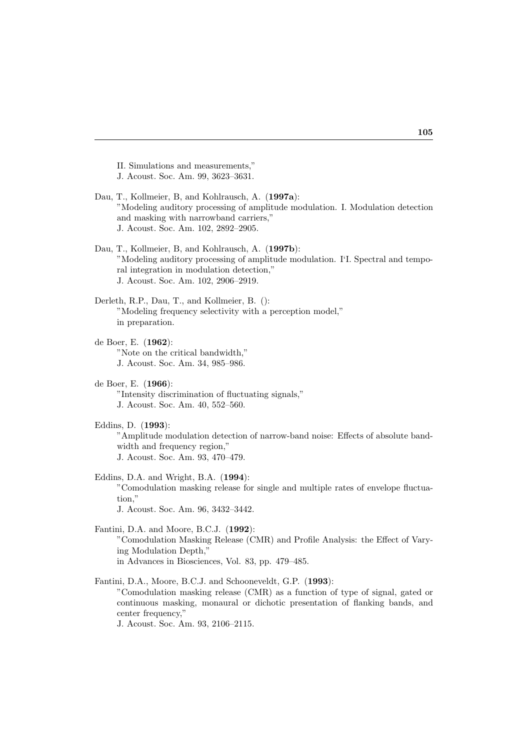II. Simulations and measurements," J. Acoust. Soc. Am. 99, 3623–3631.

Dau, T., Kollmeier, B, and Kohlrausch, A. (**1997a**): "Modeling auditory processing of amplitude modulation. I. Modulation detection and masking with narrowband carriers," J. Acoust. Soc. Am. 102, 2892–2905.

Dau, T., Kollmeier, B, and Kohlrausch, A. (**1997b**): "Modeling auditory processing of amplitude modulation. I'I. Spectral and temporal integration in modulation detection," J. Acoust. Soc. Am. 102, 2906–2919.

Derleth, R.P., Dau, T., and Kollmeier, B. (): "Modeling frequency selectivity with a perception model," in preparation.

- de Boer, E. (**1962**): "Note on the critical bandwidth," J. Acoust. Soc. Am. 34, 985–986.
- de Boer, E. (**1966**): "Intensity discrimination of fluctuating signals," J. Acoust. Soc. Am. 40, 552–560.
- Eddins, D. (**1993**): "Amplitude modulation detection of narrow-band noise: Effects of absolute bandwidth and frequency region," J. Acoust. Soc. Am. 93, 470–479.

Eddins, D.A. and Wright, B.A. (**1994**): "Comodulation masking release for single and multiple rates of envelope fluctuation,"

J. Acoust. Soc. Am. 96, 3432–3442.

Fantini, D.A. and Moore, B.C.J. (**1992**): "Comodulation Masking Release (CMR) and Profile Analysis: the Effect of Varying Modulation Depth," in Advances in Biosciences, Vol. 83, pp. 479–485.

Fantini, D.A., Moore, B.C.J. and Schooneveldt, G.P. (**1993**): "Comodulation masking release (CMR) as a function of type of signal, gated or continuous masking, monaural or dichotic presentation of flanking bands, and center frequency," J. Acoust. Soc. Am. 93, 2106–2115.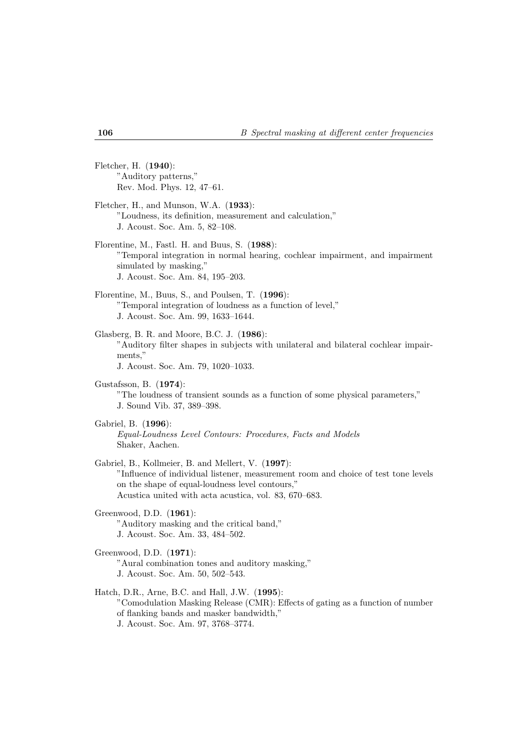Fletcher, H. (**1940**): "Auditory patterns," Rev. Mod. Phys. 12, 47–61.

- Fletcher, H., and Munson, W.A. (**1933**): "Loudness, its definition, measurement and calculation," J. Acoust. Soc. Am. 5, 82–108.
- Florentine, M., Fastl. H. and Buus, S. (**1988**): "Temporal integration in normal hearing, cochlear impairment, and impairment simulated by masking," J. Acoust. Soc. Am. 84, 195–203.
- Florentine, M., Buus, S., and Poulsen, T. (**1996**): "Temporal integration of loudness as a function of level," J. Acoust. Soc. Am. 99, 1633–1644.
- Glasberg, B. R. and Moore, B.C. J. (**1986**): "Auditory filter shapes in subjects with unilateral and bilateral cochlear impairments,"

J. Acoust. Soc. Am. 79, 1020–1033.

Gustafsson, B. (**1974**): "The loudness of transient sounds as a function of some physical parameters," J. Sound Vib. 37, 389–398.

- Gabriel, B. (**1996**): *Equal-Loudness Level Contours: Procedures, Facts and Models* Shaker, Aachen.
- Gabriel, B., Kollmeier, B. and Mellert, V. (**1997**): "Influence of individual listener, measurement room and choice of test tone levels on the shape of equal-loudness level contours," Acustica united with acta acustica, vol. 83, 670–683.
- Greenwood, D.D. (**1961**): "Auditory masking and the critical band," J. Acoust. Soc. Am. 33, 484–502.
- Greenwood, D.D. (**1971**): "Aural combination tones and auditory masking," J. Acoust. Soc. Am. 50, 502–543.
- Hatch, D.R., Arne, B.C. and Hall, J.W. (**1995**): "Comodulation Masking Release (CMR): Effects of gating as a function of number of flanking bands and masker bandwidth," J. Acoust. Soc. Am. 97, 3768–3774.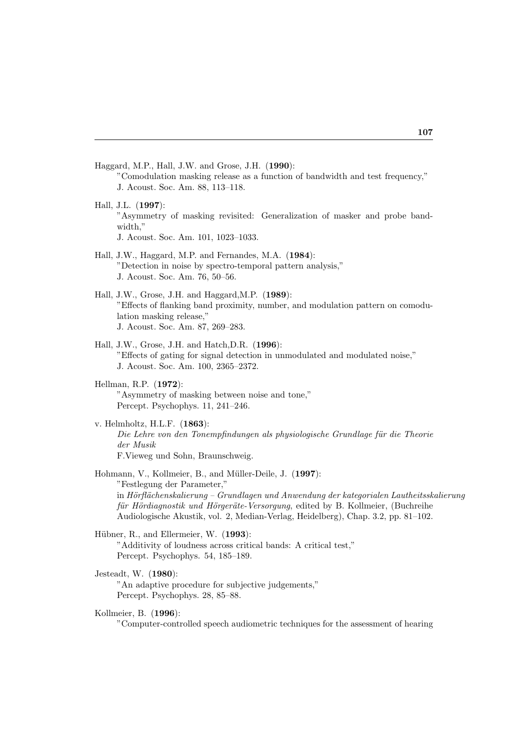Haggard, M.P., Hall, J.W. and Grose, J.H. (**1990**): "Comodulation masking release as a function of bandwidth and test frequency," J. Acoust. Soc. Am. 88, 113–118.

- Hall, J.L. (**1997**): "Asymmetry of masking revisited: Generalization of masker and probe bandwidth," J. Acoust. Soc. Am. 101, 1023–1033.
- Hall, J.W., Haggard, M.P. and Fernandes, M.A. (**1984**): "Detection in noise by spectro-temporal pattern analysis," J. Acoust. Soc. Am. 76, 50–56.
- Hall, J.W., Grose, J.H. and Haggard,M.P. (**1989**): "Effects of flanking band proximity, number, and modulation pattern on comodulation masking release," J. Acoust. Soc. Am. 87, 269–283.
- Hall, J.W., Grose, J.H. and Hatch,D.R. (**1996**): "Effects of gating for signal detection in unmodulated and modulated noise," J. Acoust. Soc. Am. 100, 2365–2372.
- Hellman, R.P. (**1972**): "Asymmetry of masking between noise and tone," Percept. Psychophys. 11, 241–246.
- v. Helmholtz, H.L.F. (**1863**): *Die Lehre von den Tonempfindungen als physiologische Grundlage für die Theorie der Musik* F.Vieweg und Sohn, Braunschweig.
- Hohmann, V., Kollmeier, B., and Müller-Deile, J. (1997): "Festlegung der Parameter," in *Hörflächenskalierung – Grundlagen und Anwendung der kategorialen Lautheitsskalierung für Hördiagnostik und Hörgeräte-Versorgung*, edited by B. Kollmeier, (Buchreihe Audiologische Akustik, vol. 2, Median-Verlag, Heidelberg), Chap. 3.2, pp. 81–102.
- Hübner, R., and Ellermeier, W. (1993): "Additivity of loudness across critical bands: A critical test," Percept. Psychophys. 54, 185–189.
- Jesteadt, W. (**1980**):

"An adaptive procedure for subjective judgements," Percept. Psychophys. 28, 85–88.

Kollmeier, B. (**1996**):

"Computer-controlled speech audiometric techniques for the assessment of hearing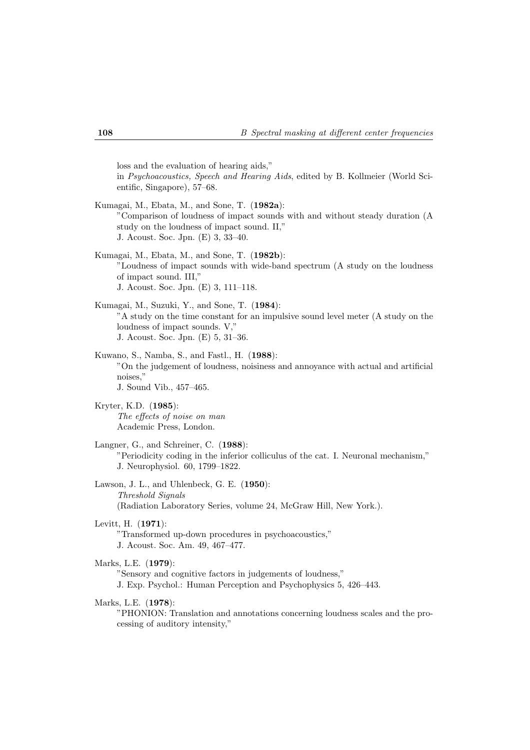loss and the evaluation of hearing aids," in *Psychoacoustics, Speech and Hearing Aids*, edited by B. Kollmeier (World Scientific, Singapore), 57–68.

- Kumagai, M., Ebata, M., and Sone, T. (**1982a**): "Comparison of loudness of impact sounds with and without steady duration (A study on the loudness of impact sound. II," J. Acoust. Soc. Jpn. (E) 3, 33–40.
- Kumagai, M., Ebata, M., and Sone, T. (**1982b**): "Loudness of impact sounds with wide-band spectrum (A study on the loudness of impact sound. III," J. Acoust. Soc. Jpn. (E) 3, 111–118.
- Kumagai, M., Suzuki, Y., and Sone, T. (**1984**): "A study on the time constant for an impulsive sound level meter (A study on the loudness of impact sounds. V," J. Acoust. Soc. Jpn. (E) 5, 31–36.
- Kuwano, S., Namba, S., and Fastl., H. (**1988**): "On the judgement of loudness, noisiness and annoyance with actual and artificial noises," J. Sound Vib., 457–465.
- Kryter, K.D. (**1985**): *The effects of noise on man* Academic Press, London.
- Langner, G., and Schreiner, C. (**1988**): "Periodicity coding in the inferior colliculus of the cat. I. Neuronal mechanism," J. Neurophysiol. 60, 1799–1822.
- Lawson, J. L., and Uhlenbeck, G. E. (**1950**): *Threshold Signals* (Radiation Laboratory Series, volume 24, McGraw Hill, New York.).
- Levitt, H. (**1971**):

"Transformed up-down procedures in psychoacoustics," J. Acoust. Soc. Am. 49, 467–477.

Marks, L.E. (**1979**):

"Sensory and cognitive factors in judgements of loudness," J. Exp. Psychol.: Human Perception and Psychophysics 5, 426–443.

Marks, L.E. (**1978**):

"PHONION: Translation and annotations concerning loudness scales and the processing of auditory intensity,"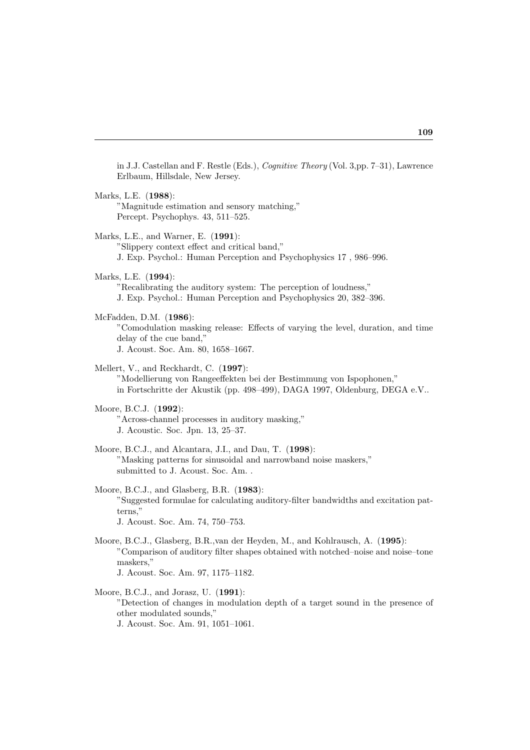in J.J. Castellan and F. Restle (Eds.), *Cognitive Theory* (Vol. 3,pp. 7–31), Lawrence Erlbaum, Hillsdale, New Jersey.

Marks, L.E. (**1988**): "Magnitude estimation and sensory matching," Percept. Psychophys. 43, 511–525. Marks, L.E., and Warner, E. (**1991**): "Slippery context effect and critical band," J. Exp. Psychol.: Human Perception and Psychophysics 17 , 986–996. Marks, L.E. (**1994**): "Recalibrating the auditory system: The perception of loudness," J. Exp. Psychol.: Human Perception and Psychophysics 20, 382–396. McFadden, D.M. (**1986**): "Comodulation masking release: Effects of varying the level, duration, and time delay of the cue band," J. Acoust. Soc. Am. 80, 1658–1667. Mellert, V., and Reckhardt, C. (**1997**): "Modellierung von Rangeeffekten bei der Bestimmung von Ispophonen," in Fortschritte der Akustik (pp. 498–499), DAGA 1997, Oldenburg, DEGA e.V.. Moore, B.C.J. (**1992**): "Across-channel processes in auditory masking," J. Acoustic. Soc. Jpn. 13, 25–37. Moore, B.C.J., and Alcantara, J.I., and Dau, T. (**1998**): "Masking patterns for sinusoidal and narrowband noise maskers," submitted to J. Acoust. Soc. Am. . Moore, B.C.J., and Glasberg, B.R. (**1983**): "Suggested formulae for calculating auditory-filter bandwidths and excitation patterns," J. Acoust. Soc. Am. 74, 750–753. Moore, B.C.J., Glasberg, B.R.,van der Heyden, M., and Kohlrausch, A. (**1995**): "Comparison of auditory filter shapes obtained with notched–noise and noise–tone maskers," J. Acoust. Soc. Am. 97, 1175–1182. Moore, B.C.J., and Jorasz, U. (**1991**):

"Detection of changes in modulation depth of a target sound in the presence of other modulated sounds," J. Acoust. Soc. Am. 91, 1051–1061.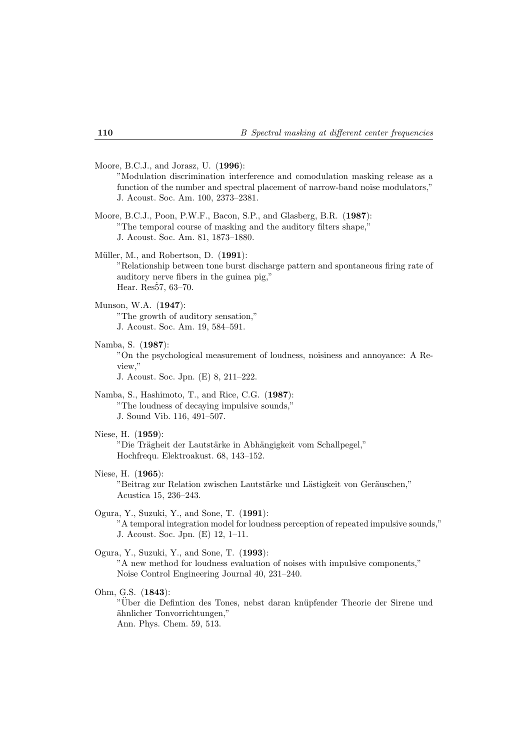Moore, B.C.J., and Jorasz, U. (**1996**):

"Modulation discrimination interference and comodulation masking release as a function of the number and spectral placement of narrow-band noise modulators," J. Acoust. Soc. Am. 100, 2373–2381.

- Moore, B.C.J., Poon, P.W.F., Bacon, S.P., and Glasberg, B.R. (**1987**): "The temporal course of masking and the auditory filters shape," J. Acoust. Soc. Am. 81, 1873–1880.
- Müller, M., and Robertson, D. (1991): "Relationship between tone burst discharge pattern and spontaneous firing rate of auditory nerve fibers in the guinea pig," Hear.  $Res57, 63-70.$
- Munson, W.A. (**1947**): "The growth of auditory sensation," J. Acoust. Soc. Am. 19, 584–591.
- Namba, S. (**1987**):

"On the psychological measurement of loudness, noisiness and annoyance: A Review,"

J. Acoust. Soc. Jpn. (E) 8, 211–222.

- Namba, S., Hashimoto, T., and Rice, C.G. (**1987**): "The loudness of decaying impulsive sounds," J. Sound Vib. 116, 491–507.
- Niese, H. (**1959**):

"Die Trägheit der Lautstärke in Abhängigkeit vom Schallpegel," Hochfrequ. Elektroakust. 68, 143–152.

Niese, H. (**1965**):

"Beitrag zur Relation zwischen Lautstärke und Lästigkeit von Geräuschen," Acustica 15, 236–243.

Ogura, Y., Suzuki, Y., and Sone, T. (**1991**): "A temporal integration model for loudness perception of repeated impulsive sounds,"

J. Acoust. Soc. Jpn. (E) 12, 1–11.

### Ogura, Y., Suzuki, Y., and Sone, T. (**1993**):

"A new method for loudness evaluation of noises with impulsive components," Noise Control Engineering Journal 40, 231–240.

Ohm, G.S. (**1843**):

"Über die Defintion des Tones, nebst daran knüpfender Theorie der Sirene und ¨ahnlicher Tonvorrichtungen," Ann. Phys. Chem. 59, 513.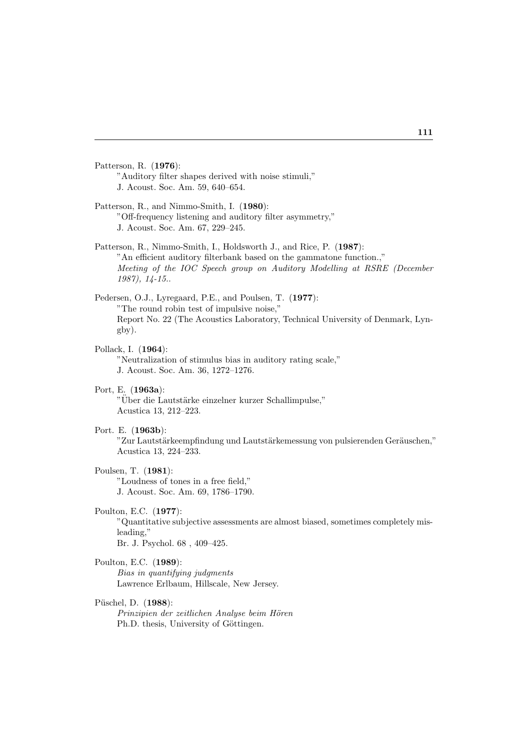Patterson, R. (**1976**): "Auditory filter shapes derived with noise stimuli," J. Acoust. Soc. Am. 59, 640–654.

- Patterson, R., and Nimmo-Smith, I. (**1980**): "Off-frequency listening and auditory filter asymmetry," J. Acoust. Soc. Am. 67, 229–245.
- Patterson, R., Nimmo-Smith, I., Holdsworth J., and Rice, P. (**1987**): "An efficient auditory filterbank based on the gammatone function.," *Meeting of the IOC Speech group on Auditory Modelling at RSRE (December 1987), 14-15.*.
- Pedersen, O.J., Lyregaard, P.E., and Poulsen, T. (**1977**): "The round robin test of impulsive noise," Report No. 22 (The Acoustics Laboratory, Technical University of Denmark, Lyngby).
- Pollack, I. (**1964**): "Neutralization of stimulus bias in auditory rating scale," J. Acoust. Soc. Am. 36, 1272–1276.
- Port, E. (**1963a**): "Über die Lautstärke einzelner kurzer Schallimpulse," Acustica 13, 212–223.
- Port. E. (**1963b**):

"Zur Lautstärkeempfindung und Lautstärkemessung von pulsierenden Geräuschen," Acustica 13, 224–233.

Poulsen, T. (**1981**):

"Loudness of tones in a free field," J. Acoust. Soc. Am. 69, 1786–1790.

Poulton, E.C. (**1977**):

"Quantitative subjective assessments are almost biased, sometimes completely misleading,"

- Br. J. Psychol. 68 , 409–425.
- Poulton, E.C. (**1989**): *Bias in quantifying judgments*

Lawrence Erlbaum, Hillscale, New Jersey.

P¨uschel, D. (**1988**):

*Prinzipien der zeitlichen Analyse beim H¨oren* Ph.D. thesis, University of Göttingen.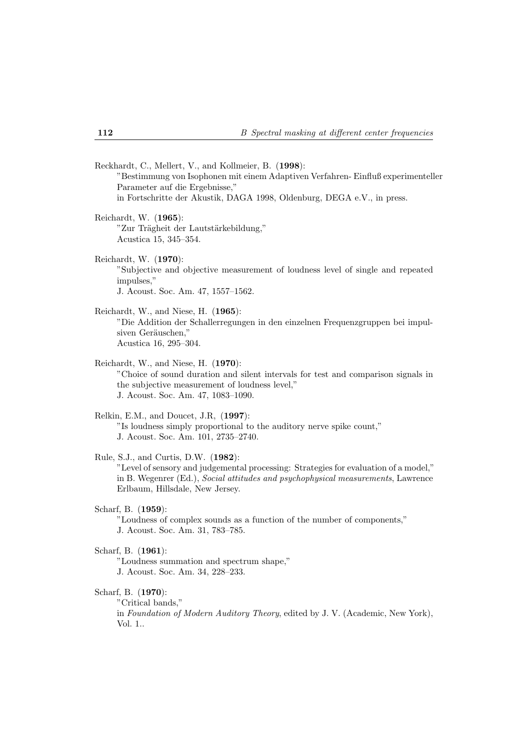Reckhardt, C., Mellert, V., and Kollmeier, B. (**1998**): "Bestimmung von Isophonen mit einem Adaptiven Verfahren- Einfluß experimenteller Parameter auf die Ergebnisse," in Fortschritte der Akustik, DAGA 1998, Oldenburg, DEGA e.V., in press.

- Reichardt, W. (**1965**): "Zur Trägheit der Lautstärkebildung," Acustica 15, 345–354.
- Reichardt, W. (**1970**): "Subjective and objective measurement of loudness level of single and repeated impulses," J. Acoust. Soc. Am. 47, 1557–1562.
- Reichardt, W., and Niese, H. (**1965**): "Die Addition der Schallerregungen in den einzelnen Frequenzgruppen bei impulsiven Geräuschen," Acustica 16, 295–304.
- Reichardt, W., and Niese, H. (**1970**): "Choice of sound duration and silent intervals for test and comparison signals in the subjective measurement of loudness level," J. Acoust. Soc. Am. 47, 1083–1090.

### Relkin, E.M., and Doucet, J.R, (**1997**): "Is loudness simply proportional to the auditory nerve spike count," J. Acoust. Soc. Am. 101, 2735–2740.

Rule, S.J., and Curtis, D.W. (**1982**): "Level of sensory and judgemental processing: Strategies for evaluation of a model," in B. Wegenrer (Ed.), *Social attitudes and psychophysical measurements*, Lawrence Erlbaum, Hillsdale, New Jersey.

Scharf, B. (**1959**):

"Loudness of complex sounds as a function of the number of components," J. Acoust. Soc. Am. 31, 783–785.

### Scharf, B. (**1961**):

"Loudness summation and spectrum shape," J. Acoust. Soc. Am. 34, 228–233.

### Scharf, B. (**1970**):

"Critical bands,"

in *Foundation of Modern Auditory Theory*, edited by J. V. (Academic, New York), Vol. 1..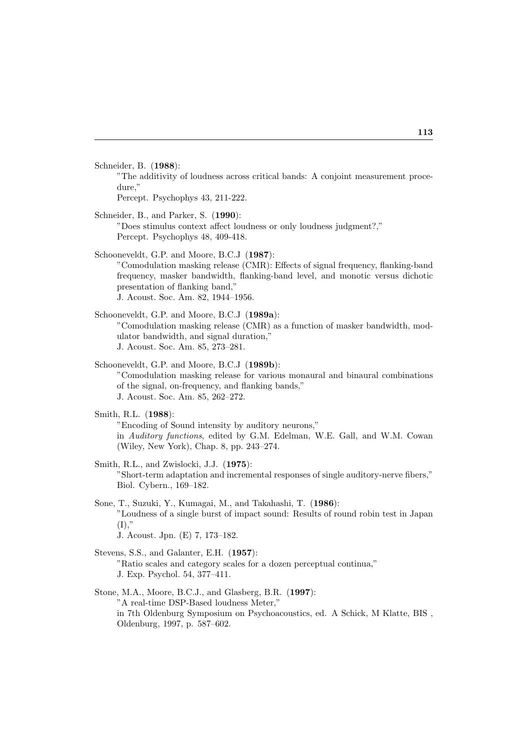Schneider, B. (**1988**):

"The additivity of loudness across critical bands: A conjoint measurement procedure,"

Percept. Psychophys 43, 211-222.

- Schneider, B., and Parker, S. (**1990**): "Does stimulus context affect loudness or only loudness judgment?," Percept. Psychophys 48, 409-418.
- Schooneveldt, G.P. and Moore, B.C.J (**1987**): "Comodulation masking release (CMR): Effects of signal frequency, flanking-band frequency, masker bandwidth, flanking-band level, and monotic versus dichotic presentation of flanking band," J. Acoust. Soc. Am. 82, 1944–1956.
- Schooneveldt, G.P. and Moore, B.C.J (**1989a**): "Comodulation masking release (CMR) as a function of masker bandwidth, modulator bandwidth, and signal duration," J. Acoust. Soc. Am. 85, 273–281.
- Schooneveldt, G.P. and Moore, B.C.J (**1989b**): "Comodulation masking release for various monaural and binaural combinations of the signal, on-frequency, and flanking bands," J. Acoust. Soc. Am. 85, 262–272.
- Smith, R.L. (**1988**):

"Encoding of Sound intensity by auditory neurons," in *Auditory functions*, edited by G.M. Edelman, W.E. Gall, and W.M. Cowan (Wiley, New York), Chap. 8, pp. 243–274.

- Smith, R.L., and Zwislocki, J.J. (**1975**): "Short-term adaptation and incremental responses of single auditory-nerve fibers," Biol. Cybern., 169–182.
- Sone, T., Suzuki, Y., Kumagai, M., and Takahashi, T. (**1986**): "Loudness of a single burst of impact sound: Results of round robin test in Japan  $(I)$ ." J. Acoust. Jpn. (E) 7, 173–182.
- Stevens, S.S., and Galanter, E.H. (**1957**): "Ratio scales and category scales for a dozen perceptual continua," J. Exp. Psychol. 54, 377–411.
- Stone, M.A., Moore, B.C.J., and Glasberg, B.R. (**1997**): "A real-time DSP-Based loudness Meter," in 7th Oldenburg Symposium on Psychoacoustics, ed. A Schick, M Klatte, BIS , Oldenburg, 1997, p. 587–602.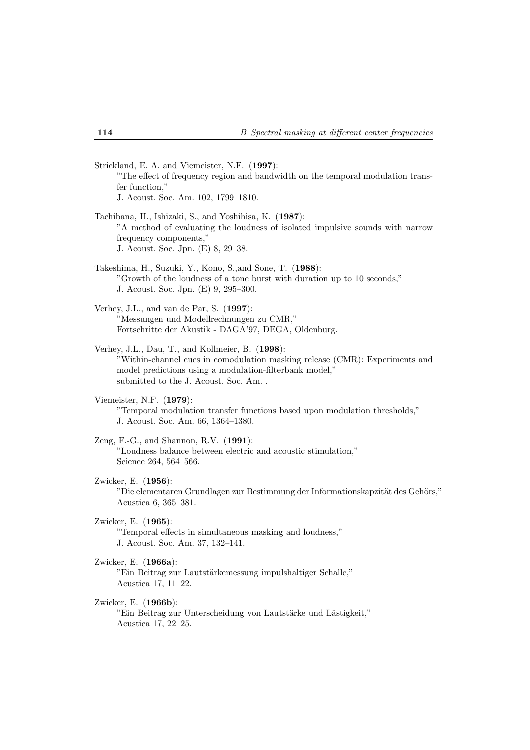Strickland, E. A. and Viemeister, N.F. (**1997**): "The effect of frequency region and bandwidth on the temporal modulation transfer function," J. Acoust. Soc. Am. 102, 1799–1810.

- Tachibana, H., Ishizaki, S., and Yoshihisa, K. (**1987**): "A method of evaluating the loudness of isolated impulsive sounds with narrow frequency components," J. Acoust. Soc. Jpn. (E) 8, 29–38.
- Takeshima, H., Suzuki, Y., Kono, S.,and Sone, T. (**1988**): "Growth of the loudness of a tone burst with duration up to 10 seconds," J. Acoust. Soc. Jpn. (E) 9, 295–300.
- Verhey, J.L., and van de Par, S. (**1997**): "Messungen und Modellrechnungen zu CMR," Fortschritte der Akustik - DAGA'97, DEGA, Oldenburg.
- Verhey, J.L., Dau, T., and Kollmeier, B. (**1998**): "Within-channel cues in comodulation masking release (CMR): Experiments and model predictions using a modulation-filterbank model," submitted to the J. Acoust. Soc. Am. .
- Viemeister, N.F. (**1979**):

"Temporal modulation transfer functions based upon modulation thresholds," J. Acoust. Soc. Am. 66, 1364–1380.

- Zeng, F.-G., and Shannon, R.V. (**1991**): "Loudness balance between electric and acoustic stimulation," Science 264, 564–566.
- Zwicker, E. (**1956**): "Die elementaren Grundlagen zur Bestimmung der Informationskapzität des Gehörs," Acustica 6, 365–381.
- Zwicker, E. (**1965**): "Temporal effects in simultaneous masking and loudness," J. Acoust. Soc. Am. 37, 132–141.
- Zwicker, E. (**1966a**): "Ein Beitrag zur Lautstärkemessung impulshaltiger Schalle," Acustica 17, 11–22.

Zwicker, E. (**1966b**): "Ein Beitrag zur Unterscheidung von Lautstärke und Lästigkeit," Acustica 17, 22–25.